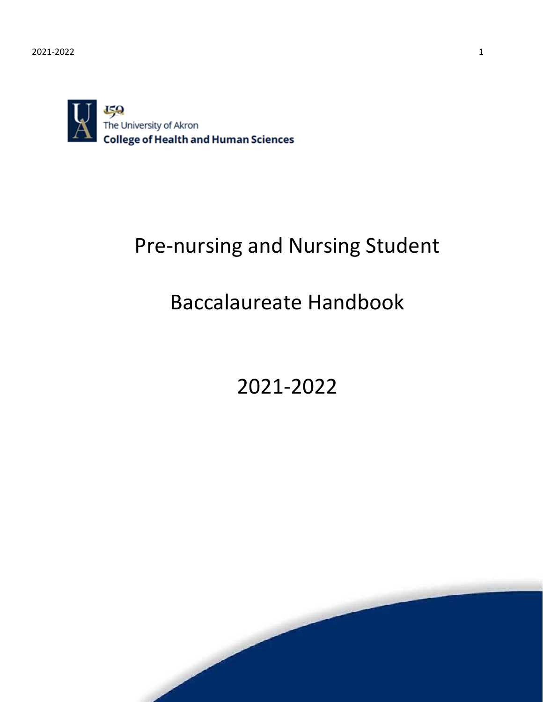

# Pre-nursing and Nursing Student

# Baccalaureate Handbook

2021-2022

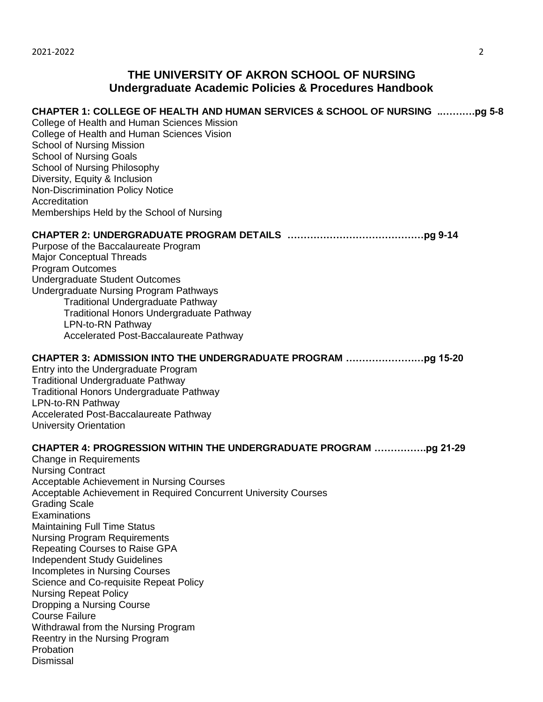# **THE UNIVERSITY OF AKRON SCHOOL OF NURSING Undergraduate Academic Policies & Procedures Handbook**

| CHAPTER 1: COLLEGE OF HEALTH AND HUMAN SERVICES & SCHOOL OF NURSING pg 5-8<br>College of Health and Human Sciences Mission<br>College of Health and Human Sciences Vision<br><b>School of Nursing Mission</b><br><b>School of Nursing Goals</b><br>School of Nursing Philosophy<br>Diversity, Equity & Inclusion<br><b>Non-Discrimination Policy Notice</b><br>Accreditation<br>Memberships Held by the School of Nursing                                                                                                                                                                                                                                                                                                |
|--------------------------------------------------------------------------------------------------------------------------------------------------------------------------------------------------------------------------------------------------------------------------------------------------------------------------------------------------------------------------------------------------------------------------------------------------------------------------------------------------------------------------------------------------------------------------------------------------------------------------------------------------------------------------------------------------------------------------|
| Purpose of the Baccalaureate Program<br><b>Major Conceptual Threads</b><br><b>Program Outcomes</b><br><b>Undergraduate Student Outcomes</b><br><b>Undergraduate Nursing Program Pathways</b><br><b>Traditional Undergraduate Pathway</b><br><b>Traditional Honors Undergraduate Pathway</b><br><b>LPN-to-RN Pathway</b><br>Accelerated Post-Baccalaureate Pathway                                                                                                                                                                                                                                                                                                                                                        |
| Entry into the Undergraduate Program<br><b>Traditional Undergraduate Pathway</b><br><b>Traditional Honors Undergraduate Pathway</b><br>LPN-to-RN Pathway<br>Accelerated Post-Baccalaureate Pathway<br><b>University Orientation</b>                                                                                                                                                                                                                                                                                                                                                                                                                                                                                      |
| CHAPTER 4: PROGRESSION WITHIN THE UNDERGRADUATE PROGRAM pg 21-29<br>Change in Requirements<br><b>Nursing Contract</b><br>Acceptable Achievement in Nursing Courses<br>Acceptable Achievement in Required Concurrent University Courses<br><b>Grading Scale</b><br>Examinations<br><b>Maintaining Full Time Status</b><br><b>Nursing Program Requirements</b><br>Repeating Courses to Raise GPA<br><b>Independent Study Guidelines</b><br><b>Incompletes in Nursing Courses</b><br>Science and Co-requisite Repeat Policy<br><b>Nursing Repeat Policy</b><br>Dropping a Nursing Course<br><b>Course Failure</b><br>Withdrawal from the Nursing Program<br>Reentry in the Nursing Program<br>Probation<br><b>Dismissal</b> |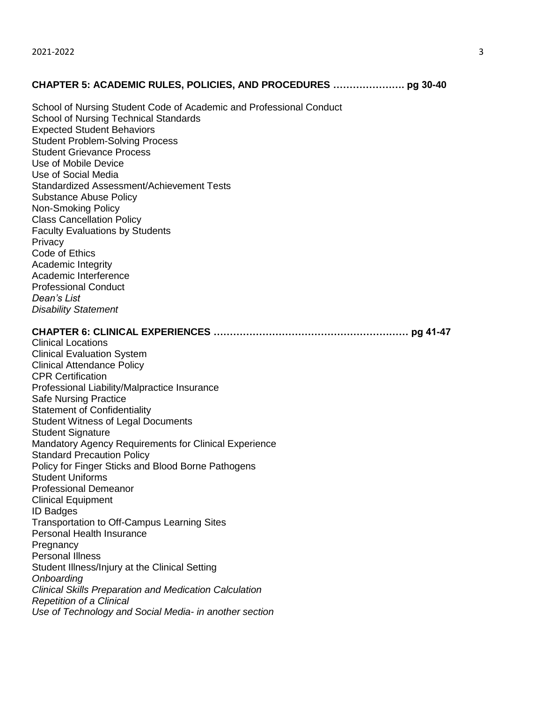#### **CHAPTER 5: ACADEMIC RULES, POLICIES, AND PROCEDURES …………………. pg 30-40**

School of Nursing Student Code of Academic and Professional Conduct School of Nursing Technical Standards Expected Student Behaviors Student Problem-Solving Process Student Grievance Process Use of Mobile Device Use of Social Media Standardized Assessment/Achievement Tests Substance Abuse Policy Non-Smoking Policy Class Cancellation Policy Faculty Evaluations by Students **Privacy** Code of Ethics Academic Integrity Academic Interference Professional Conduct *Dean's List Disability Statement* **CHAPTER 6: CLINICAL EXPERIENCES …………………………………………………… pg 41-47** Clinical Locations Clinical Evaluation System Clinical Attendance Policy CPR Certification Professional Liability/Malpractice Insurance Safe Nursing Practice Statement of Confidentiality Student Witness of Legal Documents Student Signature Mandatory Agency Requirements for Clinical Experience Standard Precaution Policy Policy for Finger Sticks and Blood Borne Pathogens Student Uniforms Professional Demeanor Clinical Equipment ID Badges Transportation to Off-Campus Learning Sites Personal Health Insurance **Pregnancy** Personal Illness Student Illness/Injury at the Clinical Setting *Onboarding Clinical Skills Preparation and Medication Calculation Repetition of a Clinical Use of Technology and Social Media- in another section*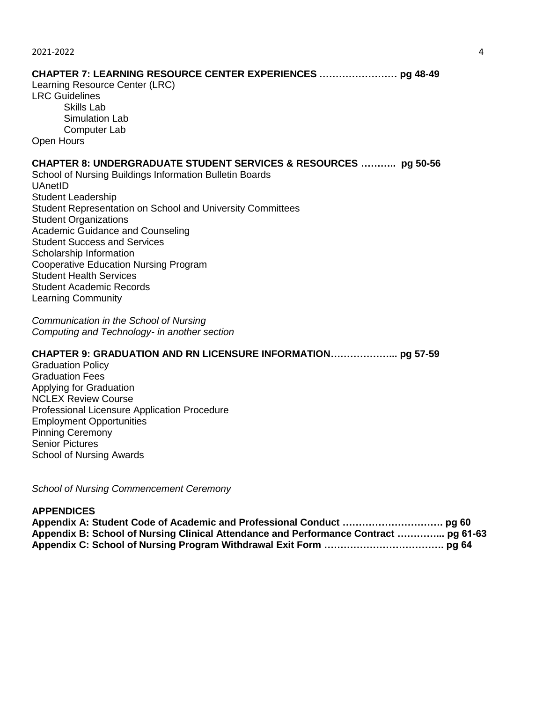| Learning Resource Center (LRC)<br><b>LRC Guidelines</b><br><b>Skills Lab</b><br><b>Simulation Lab</b><br>Computer Lab<br>Open Hours                                                                                                                                                                                                                                                                                                                                                                                                    |
|----------------------------------------------------------------------------------------------------------------------------------------------------------------------------------------------------------------------------------------------------------------------------------------------------------------------------------------------------------------------------------------------------------------------------------------------------------------------------------------------------------------------------------------|
| CHAPTER 8: UNDERGRADUATE STUDENT SERVICES & RESOURCES  pg 50-56<br>School of Nursing Buildings Information Bulletin Boards<br><b>UAnetID</b><br><b>Student Leadership</b><br>Student Representation on School and University Committees<br><b>Student Organizations</b><br><b>Academic Guidance and Counseling</b><br><b>Student Success and Services</b><br>Scholarship Information<br><b>Cooperative Education Nursing Program</b><br><b>Student Health Services</b><br><b>Student Academic Records</b><br><b>Learning Community</b> |
| Communication in the School of Nursing<br>Computing and Technology- in another section                                                                                                                                                                                                                                                                                                                                                                                                                                                 |
| <b>Graduation Policy</b><br><b>Graduation Fees</b><br><b>Applying for Graduation</b><br><b>NCLEX Review Course</b><br>Professional Licensure Application Procedure<br><b>Employment Opportunities</b><br><b>Pinning Ceremony</b>                                                                                                                                                                                                                                                                                                       |

*School of Nursing Commencement Ceremony*

#### **APPENDICES**

Senior Pictures

School of Nursing Awards

| Appendix B: School of Nursing Clinical Attendance and Performance Contract  pg 61-63 |  |  |
|--------------------------------------------------------------------------------------|--|--|
|                                                                                      |  |  |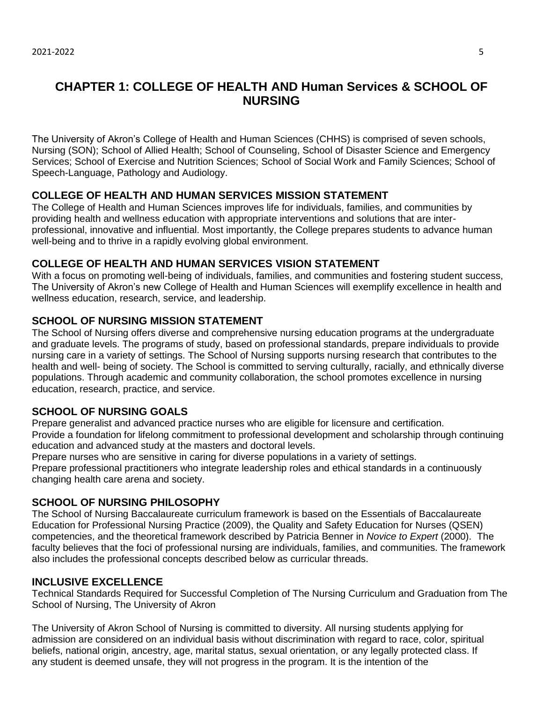# **CHAPTER 1: COLLEGE OF HEALTH AND Human Services & SCHOOL OF NURSING**

The University of Akron's College of Health and Human Sciences (CHHS) is comprised of seven schools, Nursing (SON); School of Allied Health; School of Counseling, School of Disaster Science and Emergency Services; School of Exercise and Nutrition Sciences; School of Social Work and Family Sciences; School of Speech-Language, Pathology and Audiology.

# **COLLEGE OF HEALTH AND HUMAN SERVICES MISSION STATEMENT**

The College of Health and Human Sciences improves life for individuals, families, and communities by providing health and wellness education with appropriate interventions and solutions that are interprofessional, innovative and influential. Most importantly, the College prepares students to advance human well-being and to thrive in a rapidly evolving global environment.

#### **COLLEGE OF HEALTH AND HUMAN SERVICES VISION STATEMENT**

With a focus on promoting well-being of individuals, families, and communities and fostering student success, The University of Akron's new College of Health and Human Sciences will exemplify excellence in health and wellness education, research, service, and leadership.

#### **SCHOOL OF NURSING MISSION STATEMENT**

The School of Nursing offers diverse and comprehensive nursing education programs at the undergraduate and graduate levels. The programs of study, based on professional standards, prepare individuals to provide nursing care in a variety of settings. The School of Nursing supports nursing research that contributes to the health and well- being of society. The School is committed to serving culturally, racially, and ethnically diverse populations. Through academic and community collaboration, the school promotes excellence in nursing education, research, practice, and service.

#### **SCHOOL OF NURSING GOALS**

Prepare generalist and advanced practice nurses who are eligible for licensure and certification. Provide a foundation for lifelong commitment to professional development and scholarship through continuing education and advanced study at the masters and doctoral levels.

Prepare nurses who are sensitive in caring for diverse populations in a variety of settings. Prepare professional practitioners who integrate leadership roles and ethical standards in a continuously changing health care arena and society.

#### **SCHOOL OF NURSING PHILOSOPHY**

The School of Nursing Baccalaureate curriculum framework is based on the Essentials of Baccalaureate Education for Professional Nursing Practice (2009), the Quality and Safety Education for Nurses (QSEN) competencies, and the theoretical framework described by Patricia Benner in *Novice to Expert* (2000). The faculty believes that the foci of professional nursing are individuals, families, and communities. The framework also includes the professional concepts described below as curricular threads.

#### **INCLUSIVE EXCELLENCE**

Technical Standards Required for Successful Completion of The Nursing Curriculum and Graduation from The School of Nursing, The University of Akron

The University of Akron School of Nursing is committed to diversity. All nursing students applying for admission are considered on an individual basis without discrimination with regard to race, color, spiritual beliefs, national origin, ancestry, age, marital status, sexual orientation, or any legally protected class. If any student is deemed unsafe, they will not progress in the program. It is the intention of the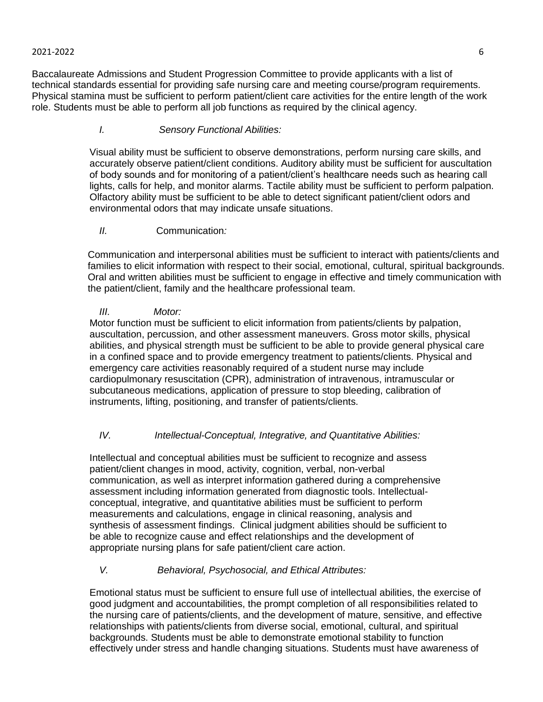Baccalaureate Admissions and Student Progression Committee to provide applicants with a list of technical standards essential for providing safe nursing care and meeting course/program requirements. Physical stamina must be sufficient to perform patient/client care activities for the entire length of the work role. Students must be able to perform all job functions as required by the clinical agency.

#### *I. Sensory Functional Abilities:*

Visual ability must be sufficient to observe demonstrations, perform nursing care skills, and accurately observe patient/client conditions. Auditory ability must be sufficient for auscultation of body sounds and for monitoring of a patient/client's healthcare needs such as hearing call lights, calls for help, and monitor alarms. Tactile ability must be sufficient to perform palpation. Olfactory ability must be sufficient to be able to detect significant patient/client odors and environmental odors that may indicate unsafe situations.

#### *II.* Communication*:*

Communication and interpersonal abilities must be sufficient to interact with patients/clients and families to elicit information with respect to their social, emotional, cultural, spiritual backgrounds. Oral and written abilities must be sufficient to engage in effective and timely communication with the patient/client, family and the healthcare professional team.

#### *III. Motor:*

Motor function must be sufficient to elicit information from patients/clients by palpation, auscultation, percussion, and other assessment maneuvers. Gross motor skills, physical abilities, and physical strength must be sufficient to be able to provide general physical care in a confined space and to provide emergency treatment to patients/clients. Physical and emergency care activities reasonably required of a student nurse may include cardiopulmonary resuscitation (CPR), administration of intravenous, intramuscular or subcutaneous medications, application of pressure to stop bleeding, calibration of instruments, lifting, positioning, and transfer of patients/clients.

#### *IV. Intellectual-Conceptual, Integrative, and Quantitative Abilities:*

Intellectual and conceptual abilities must be sufficient to recognize and assess patient/client changes in mood, activity, cognition, verbal, non-verbal communication, as well as interpret information gathered during a comprehensive assessment including information generated from diagnostic tools. Intellectualconceptual, integrative, and quantitative abilities must be sufficient to perform measurements and calculations, engage in clinical reasoning, analysis and synthesis of assessment findings. Clinical judgment abilities should be sufficient to be able to recognize cause and effect relationships and the development of appropriate nursing plans for safe patient/client care action.

#### *V. Behavioral, Psychosocial, and Ethical Attributes:*

Emotional status must be sufficient to ensure full use of intellectual abilities, the exercise of good judgment and accountabilities, the prompt completion of all responsibilities related to the nursing care of patients/clients, and the development of mature, sensitive, and effective relationships with patients/clients from diverse social, emotional, cultural, and spiritual backgrounds. Students must be able to demonstrate emotional stability to function effectively under stress and handle changing situations. Students must have awareness of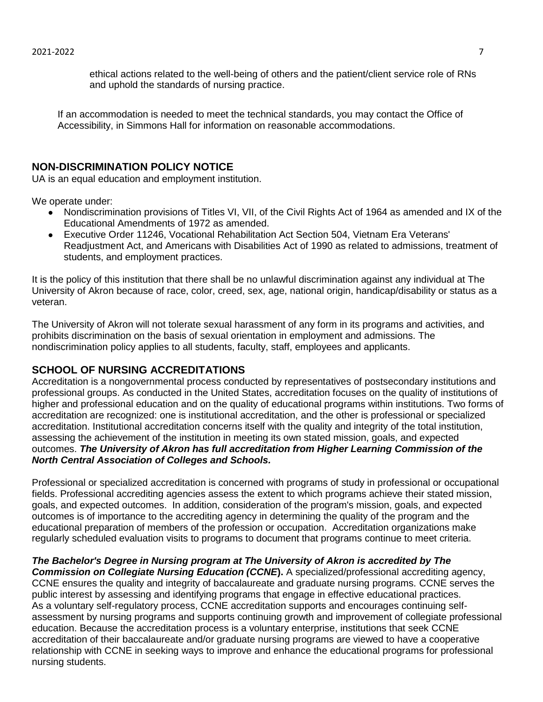ethical actions related to the well-being of others and the patient/client service role of RNs and uphold the standards of nursing practice.

If an accommodation is needed to meet the technical standards, you may contact the Office of Accessibility, in Simmons Hall for information on reasonable accommodations.

#### **NON-DISCRIMINATION POLICY NOTICE**

UA is an equal education and employment institution.

We operate under:

- Nondiscrimination provisions of Titles VI, VII, of the Civil Rights Act of 1964 as amended and IX of the Educational Amendments of 1972 as amended.
- Executive Order 11246, Vocational Rehabilitation Act Section 504, Vietnam Era Veterans' Readjustment Act, and Americans with Disabilities Act of 1990 as related to admissions, treatment of students, and employment practices.

It is the policy of this institution that there shall be no unlawful discrimination against any individual at The University of Akron because of race, color, creed, sex, age, national origin, handicap/disability or status as a veteran.

The University of Akron will not tolerate sexual harassment of any form in its programs and activities, and prohibits discrimination on the basis of sexual orientation in employment and admissions. The nondiscrimination policy applies to all students, faculty, staff, employees and applicants.

#### **SCHOOL OF NURSING ACCREDITATIONS**

Accreditation is a nongovernmental process conducted by representatives of postsecondary institutions and professional groups. As conducted in the United States, accreditation focuses on the quality of institutions of higher and professional education and on the quality of educational programs within institutions. Two forms of accreditation are recognized: one is institutional accreditation, and the other is professional or specialized accreditation. Institutional accreditation concerns itself with the quality and integrity of the total institution, assessing the achievement of the institution in meeting its own stated mission, goals, and expected outcomes. *The University of Akron has full accreditation from Higher Learning Commission of the North Central Association of Colleges and Schools.*

Professional or specialized accreditation is concerned with programs of study in professional or occupational fields. Professional accrediting agencies assess the extent to which programs achieve their stated mission, goals, and expected outcomes. In addition, consideration of the program's mission, goals, and expected outcomes is of importance to the accrediting agency in determining the quality of the program and the educational preparation of members of the profession or occupation. Accreditation organizations make regularly scheduled evaluation visits to programs to document that programs continue to meet criteria.

### *The Bachelor's Degree in Nursing program at The University of Akron is accredited by The*

*Commission on Collegiate Nursing Education (CCNE***).** A specialized/professional accrediting agency, CCNE ensures the quality and integrity of baccalaureate and graduate nursing programs. CCNE serves the public interest by assessing and identifying programs that engage in effective educational practices. As a voluntary self-regulatory process, CCNE accreditation supports and encourages continuing selfassessment by nursing programs and supports continuing growth and improvement of collegiate professional education. Because the accreditation process is a voluntary enterprise, institutions that seek CCNE accreditation of their baccalaureate and/or graduate nursing programs are viewed to have a cooperative relationship with CCNE in seeking ways to improve and enhance the educational programs for professional nursing students.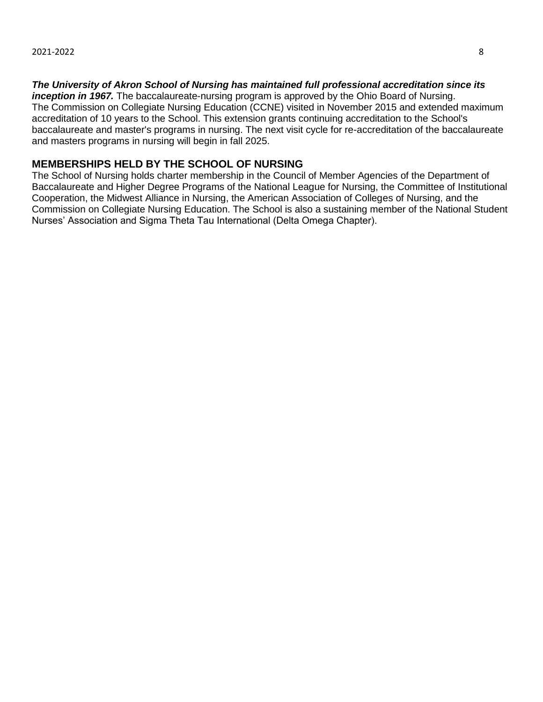#### *The University of Akron School of Nursing has maintained full professional accreditation since its*

*inception in 1967.* The baccalaureate-nursing program is approved by the Ohio Board of Nursing. The Commission on Collegiate Nursing Education (CCNE) visited in November 2015 and extended maximum accreditation of 10 years to the School. This extension grants continuing accreditation to the School's baccalaureate and master's programs in nursing. The next visit cycle for re-accreditation of the baccalaureate and masters programs in nursing will begin in fall 2025.

# **MEMBERSHIPS HELD BY THE SCHOOL OF NURSING**

The School of Nursing holds charter membership in the Council of Member Agencies of the Department of Baccalaureate and Higher Degree Programs of the National League for Nursing, the Committee of Institutional Cooperation, the Midwest Alliance in Nursing, the American Association of Colleges of Nursing, and the Commission on Collegiate Nursing Education. The School is also a sustaining member of the National Student Nurses' Association and Sigma Theta Tau International (Delta Omega Chapter).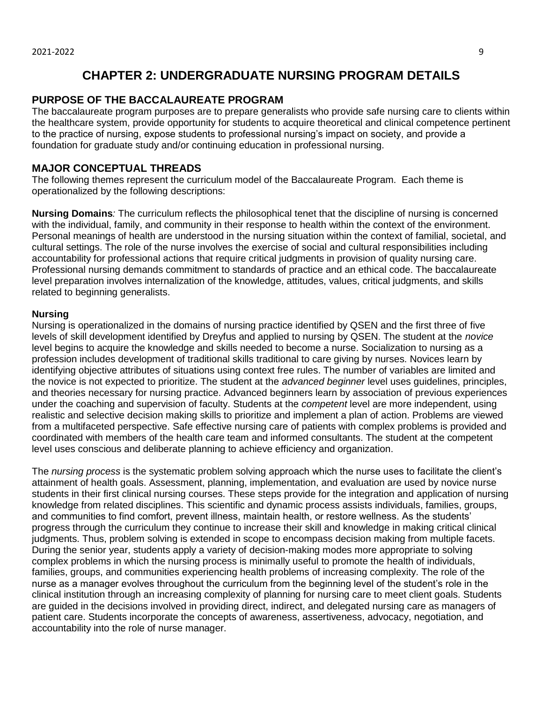# **CHAPTER 2: UNDERGRADUATE NURSING PROGRAM DETAILS**

#### **PURPOSE OF THE BACCALAUREATE PROGRAM**

The baccalaureate program purposes are to prepare generalists who provide safe nursing care to clients within the healthcare system, provide opportunity for students to acquire theoretical and clinical competence pertinent to the practice of nursing, expose students to professional nursing's impact on society, and provide a foundation for graduate study and/or continuing education in professional nursing.

#### **MAJOR CONCEPTUAL THREADS**

The following themes represent the curriculum model of the Baccalaureate Program. Each theme is operationalized by the following descriptions:

**Nursing Domains***:* The curriculum reflects the philosophical tenet that the discipline of nursing is concerned with the individual, family, and community in their response to health within the context of the environment. Personal meanings of health are understood in the nursing situation within the context of familial, societal, and cultural settings. The role of the nurse involves the exercise of social and cultural responsibilities including accountability for professional actions that require critical judgments in provision of quality nursing care. Professional nursing demands commitment to standards of practice and an ethical code. The baccalaureate level preparation involves internalization of the knowledge, attitudes, values, critical judgments, and skills related to beginning generalists.

#### **Nursing**

Nursing is operationalized in the domains of nursing practice identified by QSEN and the first three of five levels of skill development identified by Dreyfus and applied to nursing by QSEN. The student at the *novice*  level begins to acquire the knowledge and skills needed to become a nurse. Socialization to nursing as a profession includes development of traditional skills traditional to care giving by nurses. Novices learn by identifying objective attributes of situations using context free rules. The number of variables are limited and the novice is not expected to prioritize. The student at the *advanced beginner* level uses guidelines, principles, and theories necessary for nursing practice. Advanced beginners learn by association of previous experiences under the coaching and supervision of faculty. Students at the *competent* level are more independent, using realistic and selective decision making skills to prioritize and implement a plan of action. Problems are viewed from a multifaceted perspective. Safe effective nursing care of patients with complex problems is provided and coordinated with members of the health care team and informed consultants. The student at the competent level uses conscious and deliberate planning to achieve efficiency and organization.

The *nursing process* is the systematic problem solving approach which the nurse uses to facilitate the client's attainment of health goals. Assessment, planning, implementation, and evaluation are used by novice nurse students in their first clinical nursing courses. These steps provide for the integration and application of nursing knowledge from related disciplines. This scientific and dynamic process assists individuals, families, groups, and communities to find comfort, prevent illness, maintain health, or restore wellness. As the students' progress through the curriculum they continue to increase their skill and knowledge in making critical clinical judgments. Thus, problem solving is extended in scope to encompass decision making from multiple facets. During the senior year, students apply a variety of decision-making modes more appropriate to solving complex problems in which the nursing process is minimally useful to promote the health of individuals, families, groups, and communities experiencing health problems of increasing complexity. The role of the nurse as a manager evolves throughout the curriculum from the beginning level of the student's role in the clinical institution through an increasing complexity of planning for nursing care to meet client goals. Students are guided in the decisions involved in providing direct, indirect, and delegated nursing care as managers of patient care. Students incorporate the concepts of awareness, assertiveness, advocacy, negotiation, and accountability into the role of nurse manager.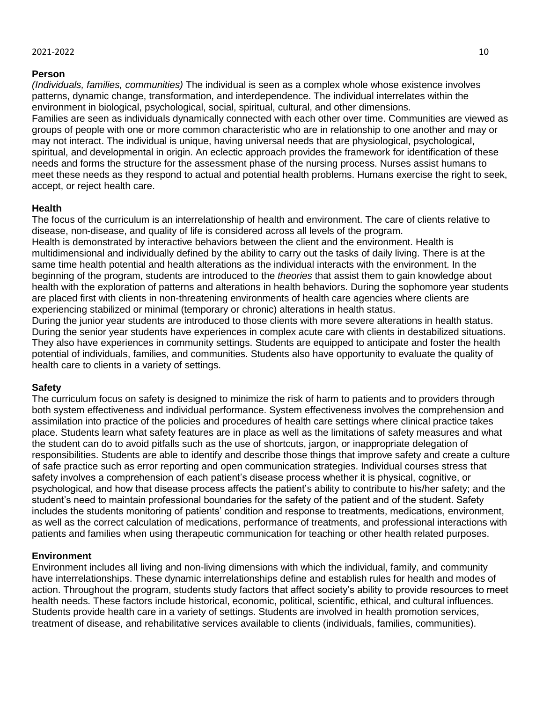#### **Person**

*(Individuals, families, communities)* The individual is seen as a complex whole whose existence involves patterns, dynamic change, transformation, and interdependence. The individual interrelates within the environment in biological, psychological, social, spiritual, cultural, and other dimensions. Families are seen as individuals dynamically connected with each other over time. Communities are viewed as groups of people with one or more common characteristic who are in relationship to one another and may or may not interact. The individual is unique, having universal needs that are physiological, psychological, spiritual, and developmental in origin. An eclectic approach provides the framework for identification of these needs and forms the structure for the assessment phase of the nursing process. Nurses assist humans to meet these needs as they respond to actual and potential health problems. Humans exercise the right to seek, accept, or reject health care.

#### **Health**

The focus of the curriculum is an interrelationship of health and environment. The care of clients relative to disease, non-disease, and quality of life is considered across all levels of the program. Health is demonstrated by interactive behaviors between the client and the environment. Health is multidimensional and individually defined by the ability to carry out the tasks of daily living. There is at the same time health potential and health alterations as the individual interacts with the environment. In the beginning of the program, students are introduced to the *theories* that assist them to gain knowledge about health with the exploration of patterns and alterations in health behaviors. During the sophomore year students are placed first with clients in non-threatening environments of health care agencies where clients are experiencing stabilized or minimal (temporary or chronic) alterations in health status.

During the junior year students are introduced to those clients with more severe alterations in health status. During the senior year students have experiences in complex acute care with clients in destabilized situations. They also have experiences in community settings. Students are equipped to anticipate and foster the health potential of individuals, families, and communities. Students also have opportunity to evaluate the quality of health care to clients in a variety of settings.

#### **Safety**

The curriculum focus on safety is designed to minimize the risk of harm to patients and to providers through both system effectiveness and individual performance. System effectiveness involves the comprehension and assimilation into practice of the policies and procedures of health care settings where clinical practice takes place. Students learn what safety features are in place as well as the limitations of safety measures and what the student can do to avoid pitfalls such as the use of shortcuts, jargon, or inappropriate delegation of responsibilities. Students are able to identify and describe those things that improve safety and create a culture of safe practice such as error reporting and open communication strategies. Individual courses stress that safety involves a comprehension of each patient's disease process whether it is physical, cognitive, or psychological, and how that disease process affects the patient's ability to contribute to his/her safety; and the student's need to maintain professional boundaries for the safety of the patient and of the student. Safety includes the students monitoring of patients' condition and response to treatments, medications, environment, as well as the correct calculation of medications, performance of treatments, and professional interactions with patients and families when using therapeutic communication for teaching or other health related purposes.

#### **Environment**

Environment includes all living and non-living dimensions with which the individual, family, and community have interrelationships. These dynamic interrelationships define and establish rules for health and modes of action. Throughout the program, students study factors that affect society's ability to provide resources to meet health needs. These factors include historical, economic, political, scientific, ethical, and cultural influences. Students provide health care in a variety of settings. Students are involved in health promotion services, treatment of disease, and rehabilitative services available to clients (individuals, families, communities).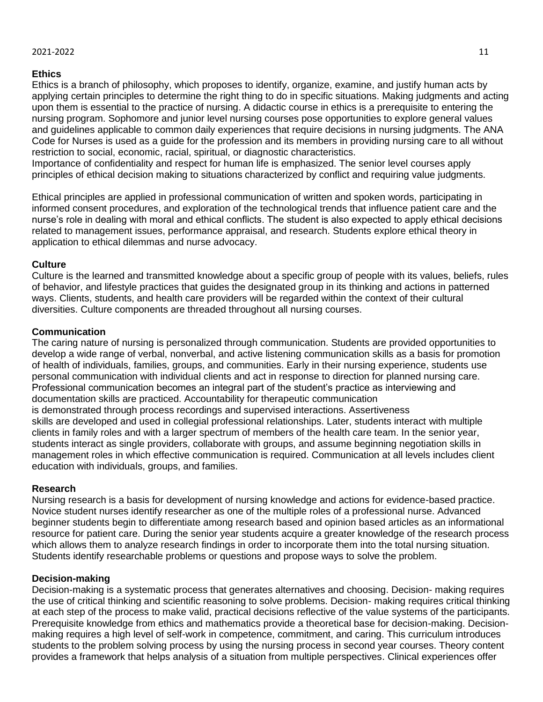#### **Ethics**

Ethics is a branch of philosophy, which proposes to identify, organize, examine, and justify human acts by applying certain principles to determine the right thing to do in specific situations. Making judgments and acting upon them is essential to the practice of nursing. A didactic course in ethics is a prerequisite to entering the nursing program. Sophomore and junior level nursing courses pose opportunities to explore general values and guidelines applicable to common daily experiences that require decisions in nursing judgments. The ANA Code for Nurses is used as a guide for the profession and its members in providing nursing care to all without restriction to social, economic, racial, spiritual, or diagnostic characteristics.

Importance of confidentiality and respect for human life is emphasized. The senior level courses apply principles of ethical decision making to situations characterized by conflict and requiring value judgments.

Ethical principles are applied in professional communication of written and spoken words, participating in informed consent procedures, and exploration of the technological trends that influence patient care and the nurse's role in dealing with moral and ethical conflicts. The student is also expected to apply ethical decisions related to management issues, performance appraisal, and research. Students explore ethical theory in application to ethical dilemmas and nurse advocacy.

#### **Culture**

Culture is the learned and transmitted knowledge about a specific group of people with its values, beliefs, rules of behavior, and lifestyle practices that guides the designated group in its thinking and actions in patterned ways. Clients, students, and health care providers will be regarded within the context of their cultural diversities. Culture components are threaded throughout all nursing courses.

#### **Communication**

The caring nature of nursing is personalized through communication. Students are provided opportunities to develop a wide range of verbal, nonverbal, and active listening communication skills as a basis for promotion of health of individuals, families, groups, and communities. Early in their nursing experience, students use personal communication with individual clients and act in response to direction for planned nursing care. Professional communication becomes an integral part of the student's practice as interviewing and documentation skills are practiced. Accountability for therapeutic communication is demonstrated through process recordings and supervised interactions. Assertiveness skills are developed and used in collegial professional relationships. Later, students interact with multiple clients in family roles and with a larger spectrum of members of the health care team. In the senior year, students interact as single providers, collaborate with groups, and assume beginning negotiation skills in management roles in which effective communication is required. Communication at all levels includes client education with individuals, groups, and families.

#### **Research**

Nursing research is a basis for development of nursing knowledge and actions for evidence-based practice. Novice student nurses identify researcher as one of the multiple roles of a professional nurse. Advanced beginner students begin to differentiate among research based and opinion based articles as an informational resource for patient care. During the senior year students acquire a greater knowledge of the research process which allows them to analyze research findings in order to incorporate them into the total nursing situation. Students identify researchable problems or questions and propose ways to solve the problem.

#### **Decision-making**

Decision-making is a systematic process that generates alternatives and choosing. Decision- making requires the use of critical thinking and scientific reasoning to solve problems. Decision- making requires critical thinking at each step of the process to make valid, practical decisions reflective of the value systems of the participants. Prerequisite knowledge from ethics and mathematics provide a theoretical base for decision-making. Decisionmaking requires a high level of self-work in competence, commitment, and caring. This curriculum introduces students to the problem solving process by using the nursing process in second year courses. Theory content provides a framework that helps analysis of a situation from multiple perspectives. Clinical experiences offer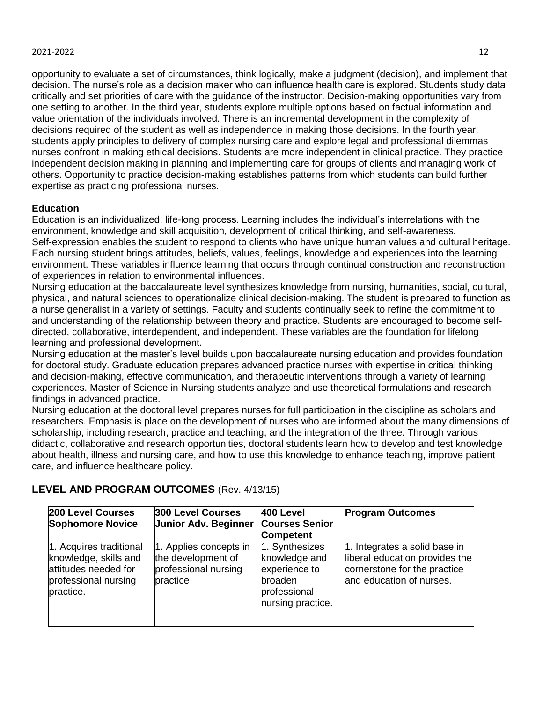opportunity to evaluate a set of circumstances, think logically, make a judgment (decision), and implement that decision. The nurse's role as a decision maker who can influence health care is explored. Students study data critically and set priorities of care with the guidance of the instructor. Decision-making opportunities vary from one setting to another. In the third year, students explore multiple options based on factual information and value orientation of the individuals involved. There is an incremental development in the complexity of decisions required of the student as well as independence in making those decisions. In the fourth year, students apply principles to delivery of complex nursing care and explore legal and professional dilemmas nurses confront in making ethical decisions. Students are more independent in clinical practice. They practice independent decision making in planning and implementing care for groups of clients and managing work of others. Opportunity to practice decision-making establishes patterns from which students can build further expertise as practicing professional nurses.

#### **Education**

Education is an individualized, life-long process. Learning includes the individual's interrelations with the environment, knowledge and skill acquisition, development of critical thinking, and self-awareness. Self-expression enables the student to respond to clients who have unique human values and cultural heritage. Each nursing student brings attitudes, beliefs, values, feelings, knowledge and experiences into the learning environment. These variables influence learning that occurs through continual construction and reconstruction of experiences in relation to environmental influences.

Nursing education at the baccalaureate level synthesizes knowledge from nursing, humanities, social, cultural, physical, and natural sciences to operationalize clinical decision-making. The student is prepared to function as a nurse generalist in a variety of settings. Faculty and students continually seek to refine the commitment to and understanding of the relationship between theory and practice. Students are encouraged to become selfdirected, collaborative, interdependent, and independent. These variables are the foundation for lifelong learning and professional development.

Nursing education at the master's level builds upon baccalaureate nursing education and provides foundation for doctoral study. Graduate education prepares advanced practice nurses with expertise in critical thinking and decision-making, effective communication, and therapeutic interventions through a variety of learning experiences. Master of Science in Nursing students analyze and use theoretical formulations and research findings in advanced practice.

Nursing education at the doctoral level prepares nurses for full participation in the discipline as scholars and researchers. Emphasis is place on the development of nurses who are informed about the many dimensions of scholarship, including research, practice and teaching, and the integration of the three. Through various didactic, collaborative and research opportunities, doctoral students learn how to develop and test knowledge about health, illness and nursing care, and how to use this knowledge to enhance teaching, improve patient care, and influence healthcare policy.

| 200 Level Courses<br><b>Sophomore Novice</b>                                                                  | <b>300 Level Courses</b><br><b>Junior Adv. Beginner</b>                          | 400 Level<br><b>Courses Senior</b><br><b>Competent</b>                                           | <b>Program Outcomes</b>                                                                                                     |
|---------------------------------------------------------------------------------------------------------------|----------------------------------------------------------------------------------|--------------------------------------------------------------------------------------------------|-----------------------------------------------------------------------------------------------------------------------------|
| 1. Acquires traditional<br>knowledge, skills and<br>attitudes needed for<br>professional nursing<br>practice. | 1. Applies concepts in<br>the development of<br>professional nursing<br>practice | 1. Synthesizes<br>knowledge and<br>experience to<br>broaden<br>professional<br>nursing practice. | 1. Integrates a solid base in<br>liberal education provides the<br>cornerstone for the practice<br>and education of nurses. |

# **LEVEL AND PROGRAM OUTCOMES** (Rev. 4/13/15)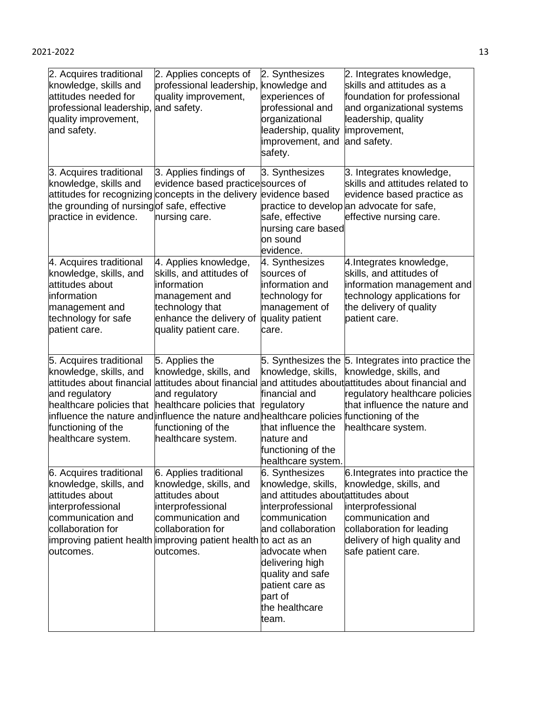| 2. Acquires traditional<br>knowledge, skills and<br>attitudes needed for<br>professional leadership,<br>quality improvement,<br>and safety.                                                                                                                          | 2. Applies concepts of<br>professional leadership,<br>quality improvement,<br>and safety.                                                                 | 2. Synthesizes<br>knowledge and<br>experiences of<br>professional and<br>organizational<br>leadership, quality<br>improvement, and<br>safety.                                                                                                           | 2. Integrates knowledge,<br>skills and attitudes as a<br>foundation for professional<br>and organizational systems<br>leadership, quality<br>improvement,<br>and safety.                                                                                                |
|----------------------------------------------------------------------------------------------------------------------------------------------------------------------------------------------------------------------------------------------------------------------|-----------------------------------------------------------------------------------------------------------------------------------------------------------|---------------------------------------------------------------------------------------------------------------------------------------------------------------------------------------------------------------------------------------------------------|-------------------------------------------------------------------------------------------------------------------------------------------------------------------------------------------------------------------------------------------------------------------------|
| 3. Acquires traditional<br>knowledge, skills and<br>attitudes for recognizing<br>the grounding of nursing of safe, effective<br>practice in evidence.                                                                                                                | 3. Applies findings of<br>evidence based practicesources of<br>concepts in the delivery<br>nursing care.                                                  | 3. Synthesizes<br>evidence based<br>safe, effective<br>nursing care based<br>on sound<br>evidence.                                                                                                                                                      | 3. Integrates knowledge,<br>skills and attitudes related to<br>evidence based practice as<br>practice to develop an advocate for safe,<br>effective nursing care.                                                                                                       |
| 4. Acquires traditional<br>knowledge, skills, and<br>attitudes about<br>information<br>management and<br>technology for safe<br>patient care.                                                                                                                        | 4. Applies knowledge,<br>skills, and attitudes of<br>information<br>management and<br>technology that<br>enhance the delivery of<br>quality patient care. | 4. Synthesizes<br>sources of<br>information and<br>technology for<br>management of<br>quality patient<br>care.                                                                                                                                          | 4. Integrates knowledge,<br>skills, and attitudes of<br>information management and<br>technology applications for<br>the delivery of quality<br>patient care.                                                                                                           |
| 5. Acquires traditional<br>knowledge, skills, and<br>attitudes about financial<br>and regulatory<br>healthcare policies that<br>influence the nature and influence the nature and healthcare policies functioning of the<br>functioning of the<br>healthcare system. | 5. Applies the<br>knowledge, skills, and<br>and regulatory<br>healthcare policies that<br>functioning of the<br>healthcare system.                        | financial and<br>regulatory<br>that influence the<br>nature and<br>functioning of the<br>healthcare system.                                                                                                                                             | 5. Synthesizes the 5. Integrates into practice the<br>knowledge, skills, knowledge, skills, and<br>attitudes about financial and attitudes about attitudes about financial and<br>regulatory healthcare policies<br>that influence the nature and<br>healthcare system. |
| 6. Acquires traditional<br>knowledge, skills, and<br>attitudes about<br>interprofessional<br>communication and<br>collaboration for<br>improving patient health improving patient health to act as an<br>outcomes.                                                   | 6. Applies traditional<br>knowledge, skills, and<br>attitudes about<br>interprofessional<br>communication and<br>collaboration for<br>outcomes.           | 6. Synthesizes<br>knowledge, skills,<br>and attitudes about attitudes about<br>interprofessional<br>communication<br>and collaboration<br>advocate when<br>delivering high<br>quality and safe<br>patient care as<br>part of<br>the healthcare<br>team. | 6. Integrates into practice the<br>knowledge, skills, and<br>interprofessional<br>communication and<br>collaboration for leading<br>delivery of high quality and<br>safe patient care.                                                                                  |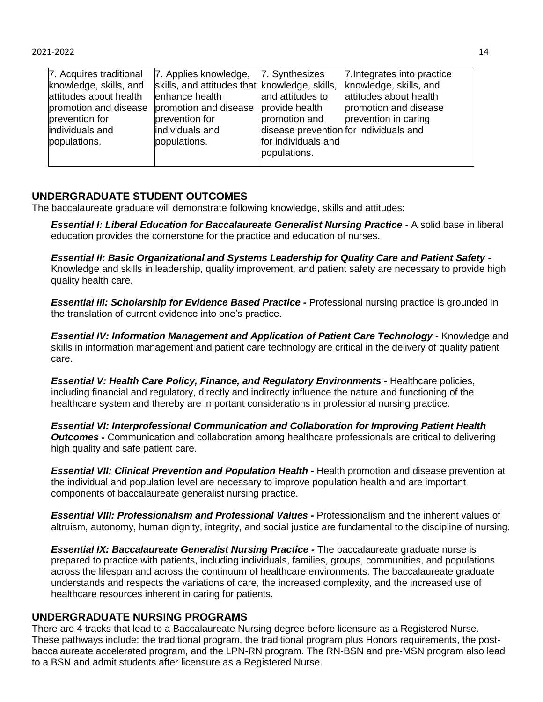| 7. Acquires traditional | 7. Applies knowledge, 7. Synthesizes          |                                        | 7. Integrates into practice |
|-------------------------|-----------------------------------------------|----------------------------------------|-----------------------------|
| knowledge, skills, and  | skills, and attitudes that knowledge, skills, |                                        | knowledge, skills, and      |
| attitudes about health  | enhance health                                | and attitudes to                       | attitudes about health      |
| promotion and disease   | promotion and disease provide health          |                                        | promotion and disease       |
| prevention for          | prevention for                                | promotion and                          | prevention in caring        |
| individuals and         | individuals and                               | disease prevention for individuals and |                             |
| populations.            | populations.                                  | for individuals and                    |                             |
|                         |                                               | populations.                           |                             |
|                         |                                               |                                        |                             |

# **UNDERGRADUATE STUDENT OUTCOMES**

The baccalaureate graduate will demonstrate following knowledge, skills and attitudes:

*Essential I: Liberal Education for Baccalaureate Generalist Nursing Practice -* A solid base in liberal education provides the cornerstone for the practice and education of nurses.

*Essential II: Basic Organizational and Systems Leadership for Quality Care and Patient Safety -* Knowledge and skills in leadership, quality improvement, and patient safety are necessary to provide high quality health care.

**Essential III: Scholarship for Evidence Based Practice -** Professional nursing practice is grounded in the translation of current evidence into one's practice.

*Essential IV: Information Management and Application of Patient Care Technology -* Knowledge and skills in information management and patient care technology are critical in the delivery of quality patient care.

*Essential V: Health Care Policy, Finance, and Regulatory Environments* **-** Healthcare policies, including financial and regulatory, directly and indirectly influence the nature and functioning of the healthcare system and thereby are important considerations in professional nursing practice.

*Essential VI: Interprofessional Communication and Collaboration for Improving Patient Health Outcomes -* Communication and collaboration among healthcare professionals are critical to delivering high quality and safe patient care.

*Essential VII: Clinical Prevention and Population Health -* Health promotion and disease prevention at the individual and population level are necessary to improve population health and are important components of baccalaureate generalist nursing practice.

*Essential VIII: Professionalism and Professional Values -* Professionalism and the inherent values of altruism, autonomy, human dignity, integrity, and social justice are fundamental to the discipline of nursing.

*Essential IX: Baccalaureate Generalist Nursing Practice -* The baccalaureate graduate nurse is prepared to practice with patients, including individuals, families, groups, communities, and populations across the lifespan and across the continuum of healthcare environments. The baccalaureate graduate understands and respects the variations of care, the increased complexity, and the increased use of healthcare resources inherent in caring for patients.

#### **UNDERGRADUATE NURSING PROGRAMS**

There are 4 tracks that lead to a Baccalaureate Nursing degree before licensure as a Registered Nurse. These pathways include: the traditional program, the traditional program plus Honors requirements, the postbaccalaureate accelerated program, and the LPN-RN program. The RN-BSN and pre-MSN program also lead to a BSN and admit students after licensure as a Registered Nurse.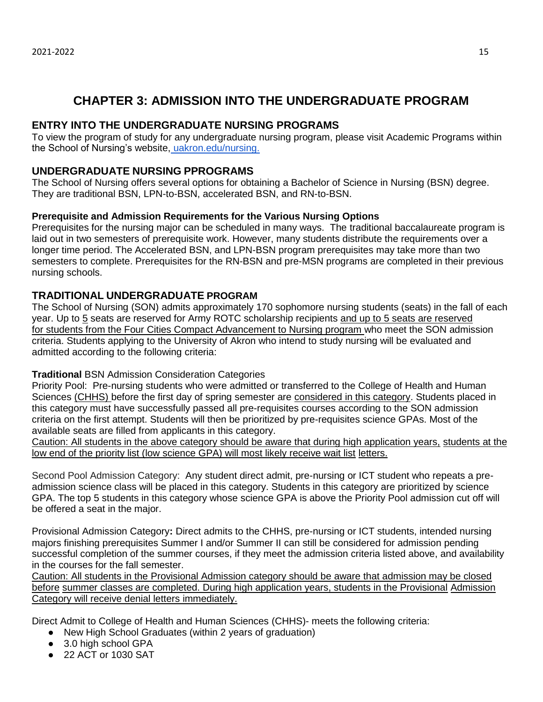# **CHAPTER 3: ADMISSION INTO THE UNDERGRADUATE PROGRAM**

# **ENTRY INTO THE UNDERGRADUATE NURSING PROGRAMS**

To view the program of study for any undergraduate nursing program, please visit Academic Programs within the School of Nursing's website, [uakron.edu/nursing.](http://uakron.edu/nursing) 

# **UNDERGRADUATE NURSING PPROGRAMS**

The School of Nursing offers several options for obtaining a Bachelor of Science in Nursing (BSN) degree. They are traditional BSN, LPN-to-BSN, accelerated BSN, and RN-to-BSN.

# **Prerequisite and Admission Requirements for the Various Nursing Options**

Prerequisites for the nursing major can be scheduled in many ways. The traditional baccalaureate program is laid out in two semesters of prerequisite work. However, many students distribute the requirements over a longer time period. The Accelerated BSN, and LPN-BSN program prerequisites may take more than two semesters to complete. Prerequisites for the RN-BSN and pre-MSN programs are completed in their previous nursing schools.

# **TRADITIONAL UNDERGRADUATE PROGRAM**

The School of Nursing (SON) admits approximately 170 sophomore nursing students (seats) in the fall of each year. Up to 5 seats are reserved for Army ROTC scholarship recipients and up to 5 seats are reserved for students from the Four Cities Compact Advancement to Nursing program who meet the SON admission criteria. Students applying to the University of Akron who intend to study nursing will be evaluated and admitted according to the following criteria:

# **Traditional** BSN Admission Consideration Categories

Priority Pool: Pre-nursing students who were admitted or transferred to the College of Health and Human Sciences (CHHS) before the first day of spring semester are considered in this category. Students placed in this category must have successfully passed all pre-requisites courses according to the SON admission criteria on the first attempt. Students will then be prioritized by pre-requisites science GPAs. Most of the available seats are filled from applicants in this category.

Caution: All students in the above category should be aware that during high application years, students at the low end of the priority list (low science GPA) will most likely receive wait list letters.

Second Pool Admission Category: Any student direct admit, pre-nursing or ICT student who repeats a preadmission science class will be placed in this category. Students in this category are prioritized by science GPA. The top 5 students in this category whose science GPA is above the Priority Pool admission cut off will be offered a seat in the major.

Provisional Admission Category**:** Direct admits to the CHHS, pre-nursing or ICT students, intended nursing majors finishing prerequisites Summer I and/or Summer II can still be considered for admission pending successful completion of the summer courses, if they meet the admission criteria listed above, and availability in the courses for the fall semester.

Caution: All students in the Provisional Admission category should be aware that admission may be closed before summer classes are completed. During high application years, students in the Provisional Admission Category will receive denial letters immediately.

Direct Admit to College of Health and Human Sciences (CHHS)- meets the following criteria:

- New High School Graduates (within 2 years of graduation)
- 3.0 high school GPA
- 22 ACT or 1030 SAT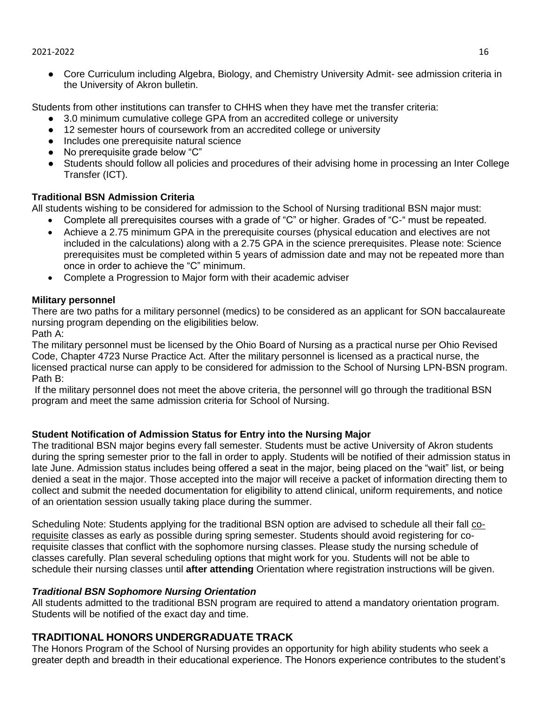● Core Curriculum including Algebra, Biology, and Chemistry University Admit- see admission criteria in the University of Akron bulletin.

Students from other institutions can transfer to CHHS when they have met the transfer criteria:

- 3.0 minimum cumulative college GPA from an accredited college or university
- 12 semester hours of coursework from an accredited college or university
- Includes one prerequisite natural science
- No prerequisite grade below "C"
- Students should follow all policies and procedures of their advising home in processing an Inter College Transfer (ICT).

#### **Traditional BSN Admission Criteria**

All students wishing to be considered for admission to the School of Nursing traditional BSN major must:

- Complete all prerequisites courses with a grade of "C" or higher. Grades of "C-" must be repeated.
- Achieve a 2.75 minimum GPA in the prerequisite courses (physical education and electives are not included in the calculations) along with a 2.75 GPA in the science prerequisites. Please note: Science prerequisites must be completed within 5 years of admission date and may not be repeated more than once in order to achieve the "C" minimum.
- Complete a Progression to Major form with their academic adviser

#### **Military personnel**

There are two paths for a military personnel (medics) to be considered as an applicant for SON baccalaureate nursing program depending on the eligibilities below.

Path A:

The military personnel must be licensed by the Ohio Board of Nursing as a practical nurse per Ohio Revised Code, Chapter 4723 Nurse Practice Act. After the military personnel is licensed as a practical nurse, the licensed practical nurse can apply to be considered for admission to the School of Nursing LPN-BSN program. Path B:

If the military personnel does not meet the above criteria, the personnel will go through the traditional BSN program and meet the same admission criteria for School of Nursing.

#### **Student Notification of Admission Status for Entry into the Nursing Major**

The traditional BSN major begins every fall semester. Students must be active University of Akron students during the spring semester prior to the fall in order to apply. Students will be notified of their admission status in late June. Admission status includes being offered a seat in the major, being placed on the "wait" list, or being denied a seat in the major. Those accepted into the major will receive a packet of information directing them to collect and submit the needed documentation for eligibility to attend clinical, uniform requirements, and notice of an orientation session usually taking place during the summer.

Scheduling Note: Students applying for the traditional BSN option are advised to schedule all their fall corequisite classes as early as possible during spring semester. Students should avoid registering for corequisite classes that conflict with the sophomore nursing classes. Please study the nursing schedule of classes carefully. Plan several scheduling options that might work for you. Students will not be able to schedule their nursing classes until **after attending** Orientation where registration instructions will be given.

#### *Traditional BSN Sophomore Nursing Orientation*

All students admitted to the traditional BSN program are required to attend a mandatory orientation program. Students will be notified of the exact day and time.

# **TRADITIONAL HONORS UNDERGRADUATE TRACK**

The Honors Program of the School of Nursing provides an opportunity for high ability students who seek a greater depth and breadth in their educational experience. The Honors experience contributes to the student's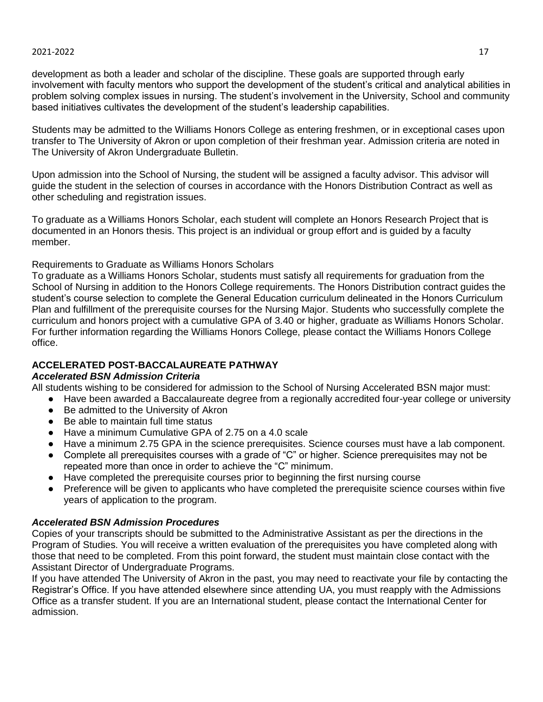development as both a leader and scholar of the discipline. These goals are supported through early involvement with faculty mentors who support the development of the student's critical and analytical abilities in problem solving complex issues in nursing. The student's involvement in the University, School and community based initiatives cultivates the development of the student's leadership capabilities.

Students may be admitted to the Williams Honors College as entering freshmen, or in exceptional cases upon transfer to The University of Akron or upon completion of their freshman year. Admission criteria are noted in The University of Akron Undergraduate Bulletin.

Upon admission into the School of Nursing, the student will be assigned a faculty advisor. This advisor will guide the student in the selection of courses in accordance with the Honors Distribution Contract as well as other scheduling and registration issues.

To graduate as a Williams Honors Scholar, each student will complete an Honors Research Project that is documented in an Honors thesis. This project is an individual or group effort and is guided by a faculty member.

#### Requirements to Graduate as Williams Honors Scholars

To graduate as a Williams Honors Scholar, students must satisfy all requirements for graduation from the School of Nursing in addition to the Honors College requirements. The Honors Distribution contract guides the student's course selection to complete the General Education curriculum delineated in the Honors Curriculum Plan and fulfillment of the prerequisite courses for the Nursing Major. Students who successfully complete the curriculum and honors project with a cumulative GPA of 3.40 or higher, graduate as Williams Honors Scholar. For further information regarding the Williams Honors College, please contact the Williams Honors College office.

### **ACCELERATED POST-BACCALAUREATE PATHWAY**

#### *Accelerated BSN Admission Criteria*

All students wishing to be considered for admission to the School of Nursing Accelerated BSN major must:

- Have been awarded a Baccalaureate degree from a regionally accredited four-year college or university
- Be admitted to the University of Akron
- Be able to maintain full time status
- Have a minimum Cumulative GPA of 2.75 on a 4.0 scale
- Have a minimum 2.75 GPA in the science prerequisites. Science courses must have a lab component.
- Complete all prerequisites courses with a grade of "C" or higher. Science prerequisites may not be repeated more than once in order to achieve the "C" minimum.
- Have completed the prerequisite courses prior to beginning the first nursing course
- Preference will be given to applicants who have completed the prerequisite science courses within five years of application to the program.

#### *Accelerated BSN Admission Procedures*

Copies of your transcripts should be submitted to the Administrative Assistant as per the directions in the Program of Studies. You will receive a written evaluation of the prerequisites you have completed along with those that need to be completed. From this point forward, the student must maintain close contact with the Assistant Director of Undergraduate Programs.

If you have attended The University of Akron in the past, you may need to reactivate your file by contacting the Registrar's Office. If you have attended elsewhere since attending UA, you must reapply with the Admissions Office as a transfer student. If you are an International student, please contact the International Center for admission.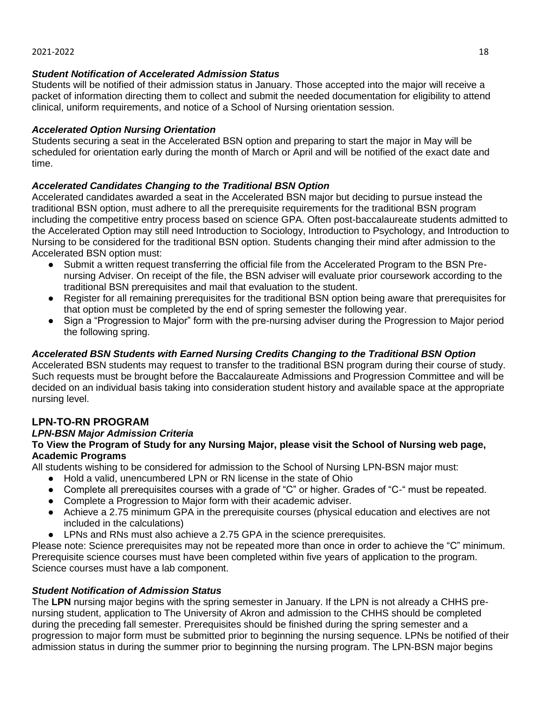### *Student Notification of Accelerated Admission Status*

Students will be notified of their admission status in January. Those accepted into the major will receive a packet of information directing them to collect and submit the needed documentation for eligibility to attend clinical, uniform requirements, and notice of a School of Nursing orientation session.

### *Accelerated Option Nursing Orientation*

Students securing a seat in the Accelerated BSN option and preparing to start the major in May will be scheduled for orientation early during the month of March or April and will be notified of the exact date and time.

# *Accelerated Candidates Changing to the Traditional BSN Option*

Accelerated candidates awarded a seat in the Accelerated BSN major but deciding to pursue instead the traditional BSN option, must adhere to all the prerequisite requirements for the traditional BSN program including the competitive entry process based on science GPA. Often post-baccalaureate students admitted to the Accelerated Option may still need Introduction to Sociology, Introduction to Psychology, and Introduction to Nursing to be considered for the traditional BSN option. Students changing their mind after admission to the Accelerated BSN option must:

- Submit a written request transferring the official file from the Accelerated Program to the BSN Prenursing Adviser. On receipt of the file, the BSN adviser will evaluate prior coursework according to the traditional BSN prerequisites and mail that evaluation to the student.
- Register for all remaining prerequisites for the traditional BSN option being aware that prerequisites for that option must be completed by the end of spring semester the following year.
- Sign a "Progression to Major" form with the pre-nursing adviser during the Progression to Major period the following spring.

# *Accelerated BSN Students with Earned Nursing Credits Changing to the Traditional BSN Option*

Accelerated BSN students may request to transfer to the traditional BSN program during their course of study. Such requests must be brought before the Baccalaureate Admissions and Progression Committee and will be decided on an individual basis taking into consideration student history and available space at the appropriate nursing level.

# **LPN-TO-RN PROGRAM**

#### *LPN-BSN Major Admission Criteria*

#### **To View the Program of Study for any Nursing Major, please visit the School of Nursing web page, Academic Programs**

All students wishing to be considered for admission to the School of Nursing LPN-BSN major must:

- Hold a valid, unencumbered LPN or RN license in the state of Ohio
- Complete all prerequisites courses with a grade of "C" or higher. Grades of "C-" must be repeated.
- Complete a Progression to Major form with their academic adviser.
- Achieve a 2.75 minimum GPA in the prerequisite courses (physical education and electives are not included in the calculations)
- LPNs and RNs must also achieve a 2.75 GPA in the science prerequisites.

Please note: Science prerequisites may not be repeated more than once in order to achieve the "C" minimum. Prerequisite science courses must have been completed within five years of application to the program. Science courses must have a lab component.

# *Student Notification of Admission Status*

The **LPN** nursing major begins with the spring semester in January. If the LPN is not already a CHHS prenursing student, application to The University of Akron and admission to the CHHS should be completed during the preceding fall semester. Prerequisites should be finished during the spring semester and a progression to major form must be submitted prior to beginning the nursing sequence. LPNs be notified of their admission status in during the summer prior to beginning the nursing program. The LPN-BSN major begins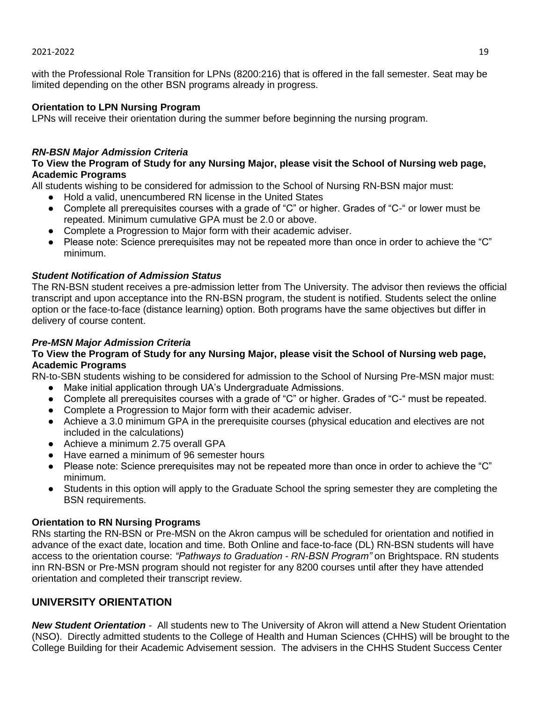with the Professional Role Transition for LPNs (8200:216) that is offered in the fall semester. Seat may be limited depending on the other BSN programs already in progress.

#### **Orientation to LPN Nursing Program**

LPNs will receive their orientation during the summer before beginning the nursing program.

### *RN-BSN Major Admission Criteria*

#### **To View the Program of Study for any Nursing Major, please visit the School of Nursing web page, Academic Programs**

All students wishing to be considered for admission to the School of Nursing RN-BSN major must:

- Hold a valid, unencumbered RN license in the United States
- Complete all prerequisites courses with a grade of "C" or higher. Grades of "C-" or lower must be repeated. Minimum cumulative GPA must be 2.0 or above.
- Complete a Progression to Major form with their academic adviser.
- Please note: Science prerequisites may not be repeated more than once in order to achieve the "C" minimum.

### *Student Notification of Admission Status*

The RN-BSN student receives a pre-admission letter from The University. The advisor then reviews the official transcript and upon acceptance into the RN-BSN program, the student is notified. Students select the online option or the face-to-face (distance learning) option. Both programs have the same objectives but differ in delivery of course content.

### *Pre-MSN Major Admission Criteria*

#### **To View the Program of Study for any Nursing Major, please visit the School of Nursing web page, Academic Programs**

RN-to-SBN students wishing to be considered for admission to the School of Nursing Pre-MSN major must:

- Make initial application through UA's Undergraduate Admissions.
- Complete all prerequisites courses with a grade of "C" or higher. Grades of "C-" must be repeated.
- Complete a Progression to Major form with their academic adviser.
- Achieve a 3.0 minimum GPA in the prerequisite courses (physical education and electives are not included in the calculations)
- Achieve a minimum 2.75 overall GPA
- Have earned a minimum of 96 semester hours
- Please note: Science prerequisites may not be repeated more than once in order to achieve the "C" minimum.
- Students in this option will apply to the Graduate School the spring semester they are completing the BSN requirements.

# **Orientation to RN Nursing Programs**

RNs starting the RN-BSN or Pre-MSN on the Akron campus will be scheduled for orientation and notified in advance of the exact date, location and time. Both Online and face-to-face (DL) RN-BSN students will have access to the orientation course: *"Pathways to Graduation - RN-BSN Program"* on Brightspace. RN students inn RN-BSN or Pre-MSN program should not register for any 8200 courses until after they have attended orientation and completed their transcript review.

# **UNIVERSITY ORIENTATION**

*New Student Orientation -* All students new to The University of Akron will attend a New Student Orientation (NSO). Directly admitted students to the College of Health and Human Sciences (CHHS) will be brought to the College Building for their Academic Advisement session. The advisers in the CHHS Student Success Center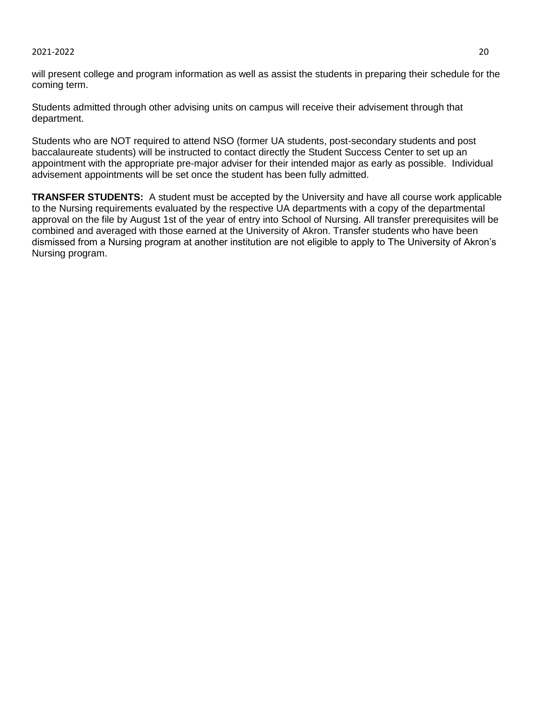will present college and program information as well as assist the students in preparing their schedule for the coming term.

Students admitted through other advising units on campus will receive their advisement through that department.

Students who are NOT required to attend NSO (former UA students, post-secondary students and post baccalaureate students) will be instructed to contact directly the Student Success Center to set up an appointment with the appropriate pre-major adviser for their intended major as early as possible. Individual advisement appointments will be set once the student has been fully admitted.

**TRANSFER STUDENTS:** A student must be accepted by the University and have all course work applicable to the Nursing requirements evaluated by the respective UA departments with a copy of the departmental approval on the file by August 1st of the year of entry into School of Nursing. All transfer prerequisites will be combined and averaged with those earned at the University of Akron. Transfer students who have been dismissed from a Nursing program at another institution are not eligible to apply to The University of Akron's Nursing program.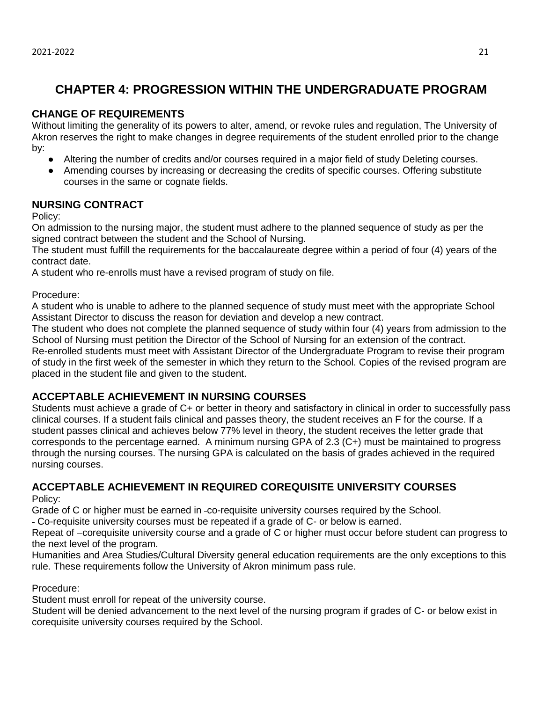# **CHAPTER 4: PROGRESSION WITHIN THE UNDERGRADUATE PROGRAM**

# **CHANGE OF REQUIREMENTS**

Without limiting the generality of its powers to alter, amend, or revoke rules and regulation, The University of Akron reserves the right to make changes in degree requirements of the student enrolled prior to the change by:

- Altering the number of credits and/or courses required in a major field of study Deleting courses.
- Amending courses by increasing or decreasing the credits of specific courses. Offering substitute courses in the same or cognate fields.

# **NURSING CONTRACT**

Policy:

On admission to the nursing major, the student must adhere to the planned sequence of study as per the signed contract between the student and the School of Nursing.

The student must fulfill the requirements for the baccalaureate degree within a period of four (4) years of the contract date.

A student who re-enrolls must have a revised program of study on file.

Procedure:

A student who is unable to adhere to the planned sequence of study must meet with the appropriate School Assistant Director to discuss the reason for deviation and develop a new contract.

The student who does not complete the planned sequence of study within four (4) years from admission to the School of Nursing must petition the Director of the School of Nursing for an extension of the contract.

Re-enrolled students must meet with Assistant Director of the Undergraduate Program to revise their program of study in the first week of the semester in which they return to the School. Copies of the revised program are placed in the student file and given to the student.

# **ACCEPTABLE ACHIEVEMENT IN NURSING COURSES**

Students must achieve a grade of C+ or better in theory and satisfactory in clinical in order to successfully pass clinical courses. If a student fails clinical and passes theory, the student receives an F for the course. If a student passes clinical and achieves below 77% level in theory, the student receives the letter grade that corresponds to the percentage earned. A minimum nursing GPA of 2.3 (C+) must be maintained to progress through the nursing courses. The nursing GPA is calculated on the basis of grades achieved in the required nursing courses.

# **ACCEPTABLE ACHIEVEMENT IN REQUIRED COREQUISITE UNIVERSITY COURSES**

Policy:

Grade of C or higher must be earned in -co-requisite university courses required by the School.

Co-requisite university courses must be repeated if a grade of C- or below is earned.

Repeat of –corequisite university course and a grade of C or higher must occur before student can progress to the next level of the program.

Humanities and Area Studies/Cultural Diversity general education requirements are the only exceptions to this rule. These requirements follow the University of Akron minimum pass rule.

Procedure:

Student must enroll for repeat of the university course.

Student will be denied advancement to the next level of the nursing program if grades of C- or below exist in corequisite university courses required by the School.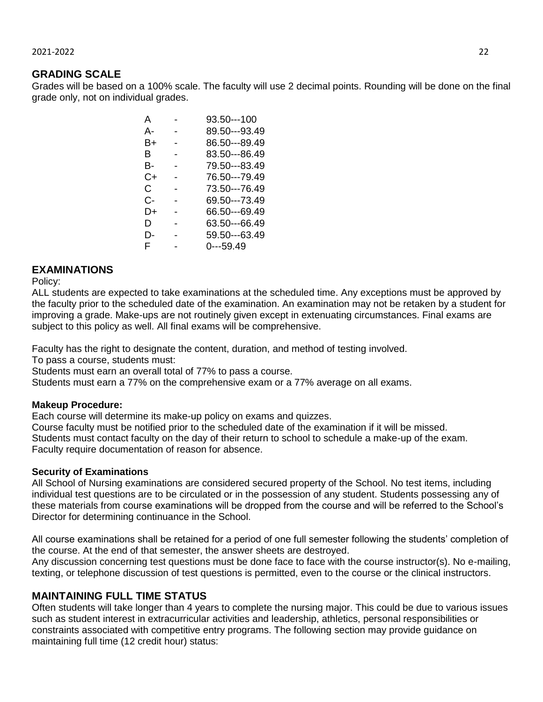### **GRADING SCALE**

Grades will be based on a 100% scale. The faculty will use 2 decimal points. Rounding will be done on the final grade only, not on individual grades.

| 93.50---100   |
|---------------|
| 89.50---93.49 |
| 86.50---89.49 |
| 83.50---86.49 |
| 79.50---83.49 |
| 76.50---79.49 |
| 73.50---76.49 |
| 69.50---73.49 |
| 66.50---69.49 |
| 63.50---66.49 |
| 59.50---63.49 |
| 0---59.49     |
|               |

### **EXAMINATIONS**

Policy:

ALL students are expected to take examinations at the scheduled time. Any exceptions must be approved by the faculty prior to the scheduled date of the examination. An examination may not be retaken by a student for improving a grade. Make-ups are not routinely given except in extenuating circumstances. Final exams are subject to this policy as well. All final exams will be comprehensive.

Faculty has the right to designate the content, duration, and method of testing involved.

To pass a course, students must:

Students must earn an overall total of 77% to pass a course.

Students must earn a 77% on the comprehensive exam or a 77% average on all exams.

#### **Makeup Procedure:**

Each course will determine its make-up policy on exams and quizzes.

Course faculty must be notified prior to the scheduled date of the examination if it will be missed. Students must contact faculty on the day of their return to school to schedule a make-up of the exam. Faculty require documentation of reason for absence.

#### **Security of Examinations**

All School of Nursing examinations are considered secured property of the School. No test items, including individual test questions are to be circulated or in the possession of any student. Students possessing any of these materials from course examinations will be dropped from the course and will be referred to the School's Director for determining continuance in the School.

All course examinations shall be retained for a period of one full semester following the students' completion of the course. At the end of that semester, the answer sheets are destroyed.

Any discussion concerning test questions must be done face to face with the course instructor(s). No e-mailing, texting, or telephone discussion of test questions is permitted, even to the course or the clinical instructors.

# **MAINTAINING FULL TIME STATUS**

Often students will take longer than 4 years to complete the nursing major. This could be due to various issues such as student interest in extracurricular activities and leadership, athletics, personal responsibilities or constraints associated with competitive entry programs. The following section may provide guidance on maintaining full time (12 credit hour) status: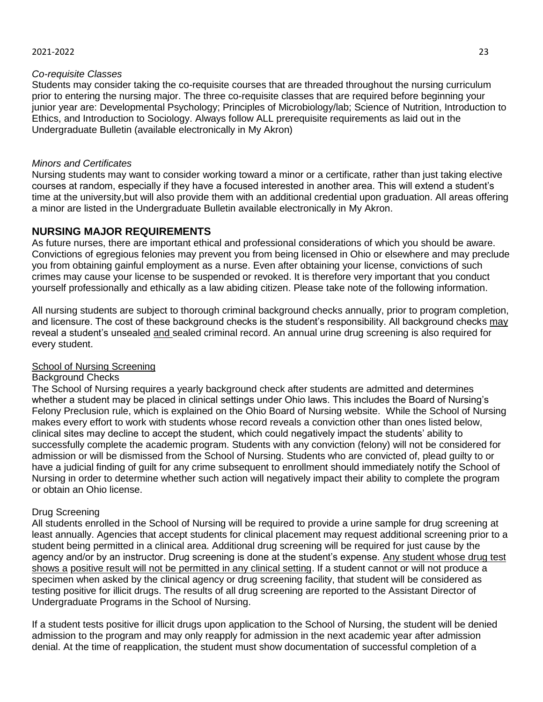#### *Co-requisite Classes*

Students may consider taking the co-requisite courses that are threaded throughout the nursing curriculum prior to entering the nursing major. The three co-requisite classes that are required before beginning your junior year are: Developmental Psychology; Principles of Microbiology/lab; Science of Nutrition, Introduction to Ethics, and Introduction to Sociology. Always follow ALL prerequisite requirements as laid out in the Undergraduate Bulletin (available electronically in My Akron)

#### *Minors and Certificates*

Nursing students may want to consider working toward a minor or a certificate, rather than just taking elective courses at random, especially if they have a focused interested in another area. This will extend a student's time at the university,but will also provide them with an additional credential upon graduation. All areas offering a minor are listed in the Undergraduate Bulletin available electronically in My Akron.

#### **NURSING MAJOR REQUIREMENTS**

As future nurses, there are important ethical and professional considerations of which you should be aware. Convictions of egregious felonies may prevent you from being licensed in Ohio or elsewhere and may preclude you from obtaining gainful employment as a nurse. Even after obtaining your license, convictions of such crimes may cause your license to be suspended or revoked. It is therefore very important that you conduct yourself professionally and ethically as a law abiding citizen. Please take note of the following information.

All nursing students are subject to thorough criminal background checks annually, prior to program completion, and licensure. The cost of these background checks is the student's responsibility. All background checks may reveal a student's unsealed and sealed criminal record. An annual urine drug screening is also required for every student.

#### School of Nursing Screening

#### Background Checks

The School of Nursing requires a yearly background check after students are admitted and determines whether a student may be placed in clinical settings under Ohio laws. This includes the Board of Nursing's Felony Preclusion rule, which is explained on the Ohio Board of Nursing website. While the School of Nursing makes every effort to work with students whose record reveals a conviction other than ones listed below, clinical sites may decline to accept the student, which could negatively impact the students' ability to successfully complete the academic program. Students with any conviction (felony) will not be considered for admission or will be dismissed from the School of Nursing. Students who are convicted of, plead guilty to or have a judicial finding of guilt for any crime subsequent to enrollment should immediately notify the School of Nursing in order to determine whether such action will negatively impact their ability to complete the program or obtain an Ohio license.

#### Drug Screening

All students enrolled in the School of Nursing will be required to provide a urine sample for drug screening at least annually. Agencies that accept students for clinical placement may request additional screening prior to a student being permitted in a clinical area. Additional drug screening will be required for just cause by the agency and/or by an instructor. Drug screening is done at the student's expense. Any student whose drug test shows a positive result will not be permitted in any clinical setting. If a student cannot or will not produce a specimen when asked by the clinical agency or drug screening facility, that student will be considered as testing positive for illicit drugs. The results of all drug screening are reported to the Assistant Director of Undergraduate Programs in the School of Nursing.

If a student tests positive for illicit drugs upon application to the School of Nursing, the student will be denied admission to the program and may only reapply for admission in the next academic year after admission denial. At the time of reapplication, the student must show documentation of successful completion of a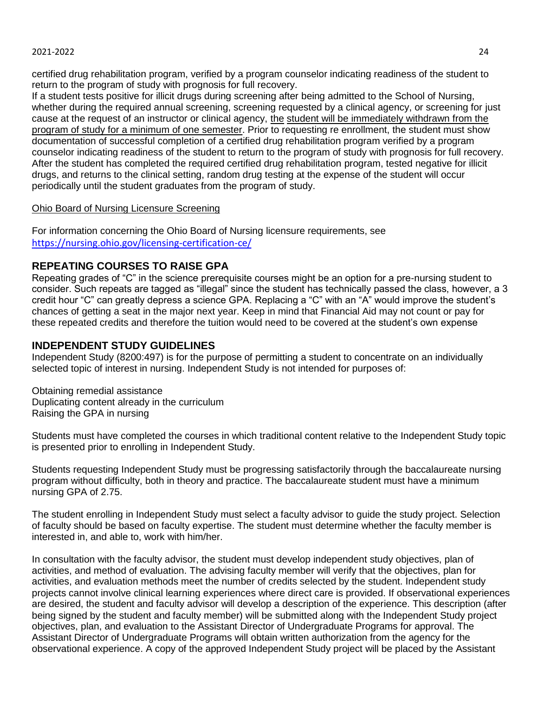certified drug rehabilitation program, verified by a program counselor indicating readiness of the student to return to the program of study with prognosis for full recovery.

If a student tests positive for illicit drugs during screening after being admitted to the School of Nursing, whether during the required annual screening, screening requested by a clinical agency, or screening for just cause at the request of an instructor or clinical agency, the student will be immediately withdrawn from the program of study for a minimum of one semester. Prior to requesting re enrollment, the student must show documentation of successful completion of a certified drug rehabilitation program verified by a program counselor indicating readiness of the student to return to the program of study with prognosis for full recovery. After the student has completed the required certified drug rehabilitation program, tested negative for illicit drugs, and returns to the clinical setting, random drug testing at the expense of the student will occur periodically until the student graduates from the program of study.

#### Ohio Board of Nursing Licensure Screening

For information concerning the Ohio Board of Nursing licensure requirements, see <https://nursing.ohio.gov/licensing-certification-ce/>

### **REPEATING COURSES TO RAISE GPA**

Repeating grades of "C" in the science prerequisite courses might be an option for a pre-nursing student to consider. Such repeats are tagged as "illegal" since the student has technically passed the class, however, a 3 credit hour "C" can greatly depress a science GPA. Replacing a "C" with an "A" would improve the student's chances of getting a seat in the major next year. Keep in mind that Financial Aid may not count or pay for these repeated credits and therefore the tuition would need to be covered at the student's own expense

### **INDEPENDENT STUDY GUIDELINES**

Independent Study (8200:497) is for the purpose of permitting a student to concentrate on an individually selected topic of interest in nursing. Independent Study is not intended for purposes of:

Obtaining remedial assistance Duplicating content already in the curriculum Raising the GPA in nursing

Students must have completed the courses in which traditional content relative to the Independent Study topic is presented prior to enrolling in Independent Study.

Students requesting Independent Study must be progressing satisfactorily through the baccalaureate nursing program without difficulty, both in theory and practice. The baccalaureate student must have a minimum nursing GPA of 2.75.

The student enrolling in Independent Study must select a faculty advisor to guide the study project. Selection of faculty should be based on faculty expertise. The student must determine whether the faculty member is interested in, and able to, work with him/her.

In consultation with the faculty advisor, the student must develop independent study objectives, plan of activities, and method of evaluation. The advising faculty member will verify that the objectives, plan for activities, and evaluation methods meet the number of credits selected by the student. Independent study projects cannot involve clinical learning experiences where direct care is provided. If observational experiences are desired, the student and faculty advisor will develop a description of the experience. This description (after being signed by the student and faculty member) will be submitted along with the Independent Study project objectives, plan, and evaluation to the Assistant Director of Undergraduate Programs for approval. The Assistant Director of Undergraduate Programs will obtain written authorization from the agency for the observational experience. A copy of the approved Independent Study project will be placed by the Assistant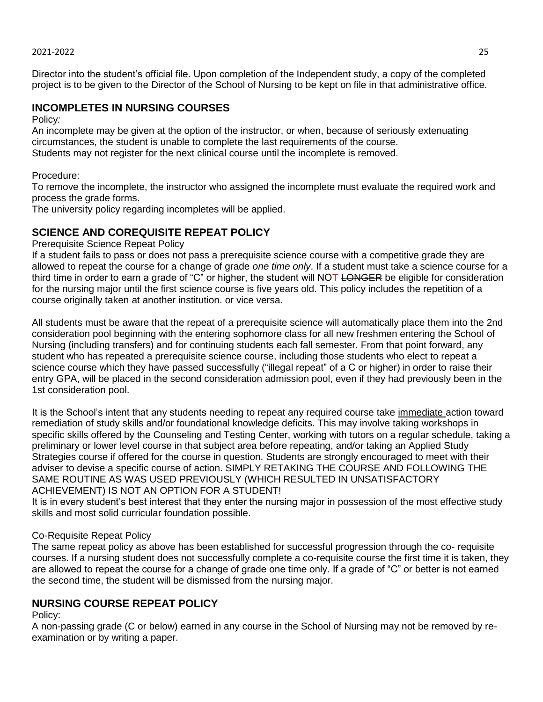Director into the student's official file. Upon completion of the Independent study, a copy of the completed project is to be given to the Director of the School of Nursing to be kept on file in that administrative office.

### **INCOMPLETES IN NURSING COURSES**

Policy*:*

An incomplete may be given at the option of the instructor, or when, because of seriously extenuating circumstances, the student is unable to complete the last requirements of the course. Students may not register for the next clinical course until the incomplete is removed.

Procedure:

To remove the incomplete, the instructor who assigned the incomplete must evaluate the required work and process the grade forms.

The university policy regarding incompletes will be applied.

### **SCIENCE AND COREQUISITE REPEAT POLICY**

Prerequisite Science Repeat Policy

If a student fails to pass or does not pass a prerequisite science course with a competitive grade they are allowed to repeat the course for a change of grade *one time only*. If a student must take a science course for a third time in order to earn a grade of "C" or higher, the student will NOT LONGER be eligible for consideration for the nursing major until the first science course is five years old. This policy includes the repetition of a course originally taken at another institution. or vice versa.

All students must be aware that the repeat of a prerequisite science will automatically place them into the 2nd consideration pool beginning with the entering sophomore class for all new freshmen entering the School of Nursing (including transfers) and for continuing students each fall semester. From that point forward, any student who has repeated a prerequisite science course, including those students who elect to repeat a science course which they have passed successfully ("illegal repeat" of a C or higher) in order to raise their entry GPA, will be placed in the second consideration admission pool, even if they had previously been in the 1st consideration pool.

It is the School's intent that any students needing to repeat any required course take immediate action toward remediation of study skills and/or foundational knowledge deficits. This may involve taking workshops in specific skills offered by the Counseling and Testing Center, working with tutors on a regular schedule, taking a preliminary or lower level course in that subject area before repeating, and/or taking an Applied Study Strategies course if offered for the course in question. Students are strongly encouraged to meet with their adviser to devise a specific course of action. SIMPLY RETAKING THE COURSE AND FOLLOWING THE SAME ROUTINE AS WAS USED PREVIOUSLY (WHICH RESULTED IN UNSATISFACTORY ACHIEVEMENT) IS NOT AN OPTION FOR A STUDENT!

It is in every student's best interest that they enter the nursing major in possession of the most effective study skills and most solid curricular foundation possible.

#### Co-Requisite Repeat Policy

The same repeat policy as above has been established for successful progression through the co- requisite courses. If a nursing student does not successfully complete a co-requisite course the first time it is taken, they are allowed to repeat the course for a change of grade one time only. If a grade of "C" or better is not earned the second time, the student will be dismissed from the nursing major.

# **NURSING COURSE REPEAT POLICY**

Policy:

A non-passing grade (C or below) earned in any course in the School of Nursing may not be removed by reexamination or by writing a paper.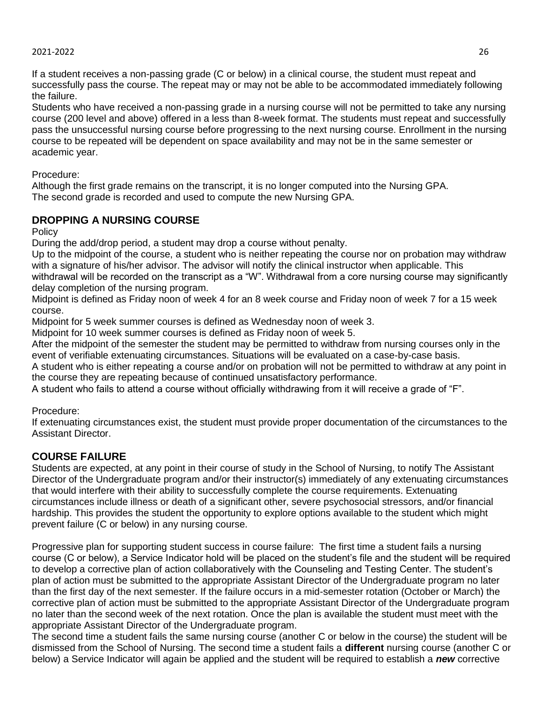If a student receives a non-passing grade (C or below) in a clinical course, the student must repeat and successfully pass the course. The repeat may or may not be able to be accommodated immediately following the failure.

Students who have received a non-passing grade in a nursing course will not be permitted to take any nursing course (200 level and above) offered in a less than 8-week format. The students must repeat and successfully pass the unsuccessful nursing course before progressing to the next nursing course. Enrollment in the nursing course to be repeated will be dependent on space availability and may not be in the same semester or academic year.

Procedure:

Although the first grade remains on the transcript, it is no longer computed into the Nursing GPA. The second grade is recorded and used to compute the new Nursing GPA.

# **DROPPING A NURSING COURSE**

**Policy** 

During the add/drop period, a student may drop a course without penalty.

Up to the midpoint of the course, a student who is neither repeating the course nor on probation may withdraw with a signature of his/her advisor. The advisor will notify the clinical instructor when applicable. This

withdrawal will be recorded on the transcript as a "W". Withdrawal from a core nursing course may significantly delay completion of the nursing program.

Midpoint is defined as Friday noon of week 4 for an 8 week course and Friday noon of week 7 for a 15 week course.

Midpoint for 5 week summer courses is defined as Wednesday noon of week 3.

Midpoint for 10 week summer courses is defined as Friday noon of week 5.

After the midpoint of the semester the student may be permitted to withdraw from nursing courses only in the event of verifiable extenuating circumstances. Situations will be evaluated on a case-by-case basis.

A student who is either repeating a course and/or on probation will not be permitted to withdraw at any point in the course they are repeating because of continued unsatisfactory performance.

A student who fails to attend a course without officially withdrawing from it will receive a grade of "F".

Procedure:

If extenuating circumstances exist, the student must provide proper documentation of the circumstances to the Assistant Director.

# **COURSE FAILURE**

Students are expected, at any point in their course of study in the School of Nursing, to notify The Assistant Director of the Undergraduate program and/or their instructor(s) immediately of any extenuating circumstances that would interfere with their ability to successfully complete the course requirements. Extenuating circumstances include illness or death of a significant other, severe psychosocial stressors, and/or financial hardship. This provides the student the opportunity to explore options available to the student which might prevent failure (C or below) in any nursing course.

Progressive plan for supporting student success in course failure: The first time a student fails a nursing course (C or below), a Service Indicator hold will be placed on the student's file and the student will be required to develop a corrective plan of action collaboratively with the Counseling and Testing Center. The student's plan of action must be submitted to the appropriate Assistant Director of the Undergraduate program no later than the first day of the next semester. If the failure occurs in a mid-semester rotation (October or March) the corrective plan of action must be submitted to the appropriate Assistant Director of the Undergraduate program no later than the second week of the next rotation. Once the plan is available the student must meet with the appropriate Assistant Director of the Undergraduate program.

The second time a student fails the same nursing course (another C or below in the course) the student will be dismissed from the School of Nursing. The second time a student fails a **different** nursing course (another C or below) a Service Indicator will again be applied and the student will be required to establish a *new* corrective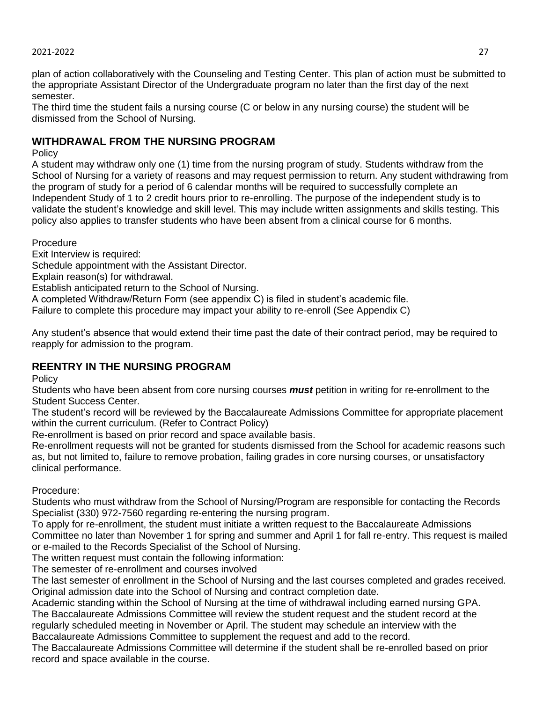plan of action collaboratively with the Counseling and Testing Center. This plan of action must be submitted to the appropriate Assistant Director of the Undergraduate program no later than the first day of the next semester.

The third time the student fails a nursing course (C or below in any nursing course) the student will be dismissed from the School of Nursing.

# **WITHDRAWAL FROM THE NURSING PROGRAM**

Policy

A student may withdraw only one (1) time from the nursing program of study. Students withdraw from the School of Nursing for a variety of reasons and may request permission to return. Any student withdrawing from the program of study for a period of 6 calendar months will be required to successfully complete an Independent Study of 1 to 2 credit hours prior to re-enrolling. The purpose of the independent study is to validate the student's knowledge and skill level. This may include written assignments and skills testing. This policy also applies to transfer students who have been absent from a clinical course for 6 months.

Procedure

Exit Interview is required:

Schedule appointment with the Assistant Director.

Explain reason(s) for withdrawal.

Establish anticipated return to the School of Nursing.

A completed Withdraw/Return Form (see appendix C) is filed in student's academic file.

Failure to complete this procedure may impact your ability to re-enroll (See Appendix C)

Any student's absence that would extend their time past the date of their contract period, may be required to reapply for admission to the program.

# **REENTRY IN THE NURSING PROGRAM**

**Policy** 

Students who have been absent from core nursing courses *must* petition in writing for re-enrollment to the Student Success Center.

The student's record will be reviewed by the Baccalaureate Admissions Committee for appropriate placement within the current curriculum. (Refer to Contract Policy)

Re-enrollment is based on prior record and space available basis.

Re-enrollment requests will not be granted for students dismissed from the School for academic reasons such as, but not limited to, failure to remove probation, failing grades in core nursing courses, or unsatisfactory clinical performance.

#### Procedure:

Students who must withdraw from the School of Nursing/Program are responsible for contacting the Records Specialist (330) 972-7560 regarding re-entering the nursing program.

To apply for re-enrollment, the student must initiate a written request to the Baccalaureate Admissions Committee no later than November 1 for spring and summer and April 1 for fall re-entry. This request is mailed or e-mailed to the Records Specialist of the School of Nursing.

The written request must contain the following information:

The semester of re-enrollment and courses involved

The last semester of enrollment in the School of Nursing and the last courses completed and grades received. Original admission date into the School of Nursing and contract completion date.

Academic standing within the School of Nursing at the time of withdrawal including earned nursing GPA. The Baccalaureate Admissions Committee will review the student request and the student record at the regularly scheduled meeting in November or April. The student may schedule an interview with the Baccalaureate Admissions Committee to supplement the request and add to the record.

The Baccalaureate Admissions Committee will determine if the student shall be re-enrolled based on prior record and space available in the course.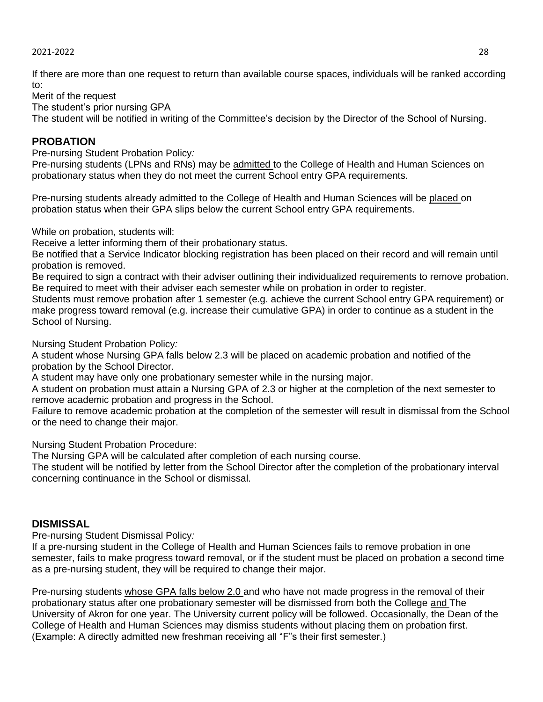If there are more than one request to return than available course spaces, individuals will be ranked according to:

Merit of the request

The student's prior nursing GPA

The student will be notified in writing of the Committee's decision by the Director of the School of Nursing.

#### **PROBATION**

Pre-nursing Student Probation Policy*:*

Pre-nursing students (LPNs and RNs) may be admitted to the College of Health and Human Sciences on probationary status when they do not meet the current School entry GPA requirements.

Pre-nursing students already admitted to the College of Health and Human Sciences will be placed on probation status when their GPA slips below the current School entry GPA requirements.

While on probation, students will:

Receive a letter informing them of their probationary status.

Be notified that a Service Indicator blocking registration has been placed on their record and will remain until probation is removed.

Be required to sign a contract with their adviser outlining their individualized requirements to remove probation. Be required to meet with their adviser each semester while on probation in order to register.

Students must remove probation after 1 semester (e.g. achieve the current School entry GPA requirement) or make progress toward removal (e.g. increase their cumulative GPA) in order to continue as a student in the School of Nursing.

Nursing Student Probation Policy*:*

A student whose Nursing GPA falls below 2.3 will be placed on academic probation and notified of the probation by the School Director.

A student may have only one probationary semester while in the nursing major.

A student on probation must attain a Nursing GPA of 2.3 or higher at the completion of the next semester to remove academic probation and progress in the School.

Failure to remove academic probation at the completion of the semester will result in dismissal from the School or the need to change their major.

Nursing Student Probation Procedure:

The Nursing GPA will be calculated after completion of each nursing course.

The student will be notified by letter from the School Director after the completion of the probationary interval concerning continuance in the School or dismissal.

#### **DISMISSAL**

Pre-nursing Student Dismissal Policy*:*

If a pre-nursing student in the College of Health and Human Sciences fails to remove probation in one semester, fails to make progress toward removal, or if the student must be placed on probation a second time as a pre-nursing student, they will be required to change their major.

Pre-nursing students whose GPA falls below 2.0 and who have not made progress in the removal of their probationary status after one probationary semester will be dismissed from both the College and The University of Akron for one year. The University current policy will be followed. Occasionally, the Dean of the College of Health and Human Sciences may dismiss students without placing them on probation first. (Example: A directly admitted new freshman receiving all "F"s their first semester.)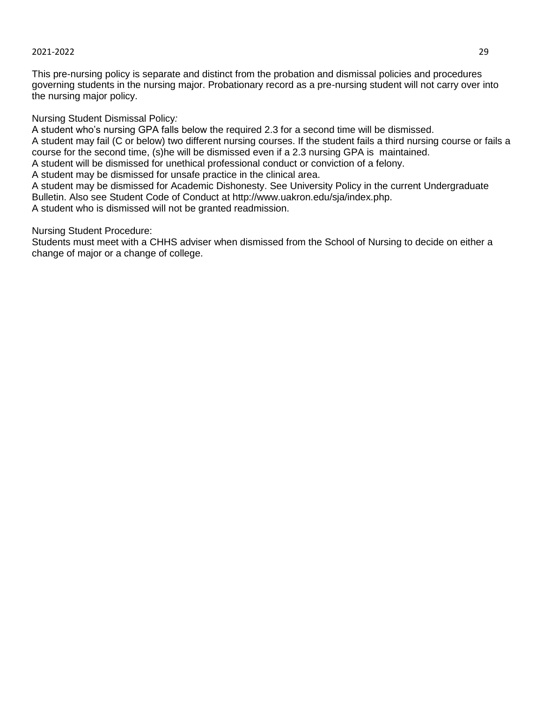This pre-nursing policy is separate and distinct from the probation and dismissal policies and procedures governing students in the nursing major. Probationary record as a pre-nursing student will not carry over into the nursing major policy.

#### Nursing Student Dismissal Policy*:*

A student who's nursing GPA falls below the required 2.3 for a second time will be dismissed. A student may fail (C or below) two different nursing courses. If the student fails a third nursing course or fails a course for the second time, (s)he will be dismissed even if a 2.3 nursing GPA is maintained.

A student will be dismissed for unethical professional conduct or conviction of a felony. A student may be dismissed for unsafe practice in the clinical area.

A student may be dismissed for Academic Dishonesty. See University Policy in the current Undergraduate Bulletin. Also see Student Code of Conduct [at http://www.uakron.edu/sja/index.php.](http://www.uakron.edu/sja/index.php) A student who is dismissed will not be granted readmission.

#### Nursing Student Procedure:

Students must meet with a CHHS adviser when dismissed from the School of Nursing to decide on either a change of major or a change of college.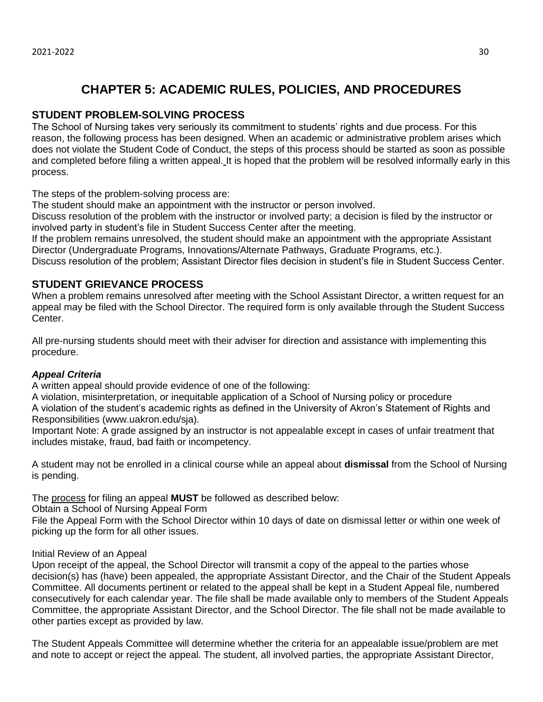# **CHAPTER 5: ACADEMIC RULES, POLICIES, AND PROCEDURES**

### **STUDENT PROBLEM-SOLVING PROCESS**

The School of Nursing takes very seriously its commitment to students' rights and due process. For this reason, the following process has been designed. When an academic or administrative problem arises which does not violate the Student Code of Conduct, the steps of this process should be started as soon as possible and completed before filing a written appeal. It is hoped that the problem will be resolved informally early in this process.

The steps of the problem-solving process are:

The student should make an appointment with the instructor or person involved.

Discuss resolution of the problem with the instructor or involved party; a decision is filed by the instructor or involved party in student's file in Student Success Center after the meeting.

If the problem remains unresolved, the student should make an appointment with the appropriate Assistant Director (Undergraduate Programs, Innovations/Alternate Pathways, Graduate Programs, etc.).

Discuss resolution of the problem; Assistant Director files decision in student's file in Student Success Center.

### **STUDENT GRIEVANCE PROCESS**

When a problem remains unresolved after meeting with the School Assistant Director, a written request for an appeal may be filed with the School Director. The required form is only available through the Student Success Center.

All pre-nursing students should meet with their adviser for direction and assistance with implementing this procedure.

#### *Appeal Criteria*

A written appeal should provide evidence of one of the following:

A violation, misinterpretation, or inequitable application of a School of Nursing policy or procedure

A violation of the student's academic rights as defined in the University of Akron's Statement of Rights and Responsibilities [\(www.uakron.edu/sja\).](http://www.uakron.edu/sja))

Important Note: A grade assigned by an instructor is not appealable except in cases of unfair treatment that includes mistake, fraud, bad faith or incompetency.

A student may not be enrolled in a clinical course while an appeal about **dismissal** from the School of Nursing is pending.

The process for filing an appeal **MUST** be followed as described below:

Obtain a School of Nursing Appeal Form

File the Appeal Form with the School Director within 10 days of date on dismissal letter or within one week of picking up the form for all other issues.

#### Initial Review of an Appeal

Upon receipt of the appeal, the School Director will transmit a copy of the appeal to the parties whose decision(s) has (have) been appealed, the appropriate Assistant Director, and the Chair of the Student Appeals Committee. All documents pertinent or related to the appeal shall be kept in a Student Appeal file, numbered consecutively for each calendar year. The file shall be made available only to members of the Student Appeals Committee, the appropriate Assistant Director, and the School Director. The file shall not be made available to other parties except as provided by law.

The Student Appeals Committee will determine whether the criteria for an appealable issue/problem are met and note to accept or reject the appeal. The student, all involved parties, the appropriate Assistant Director,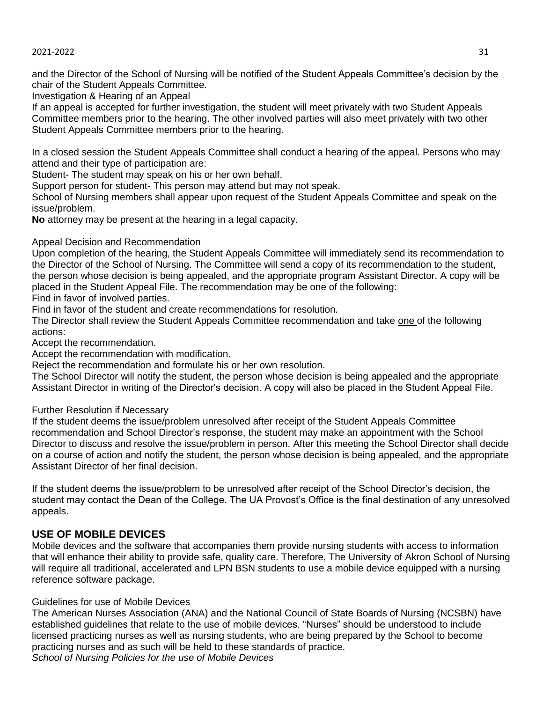and the Director of the School of Nursing will be notified of the Student Appeals Committee's decision by the chair of the Student Appeals Committee.

Investigation & Hearing of an Appeal

If an appeal is accepted for further investigation, the student will meet privately with two Student Appeals Committee members prior to the hearing. The other involved parties will also meet privately with two other Student Appeals Committee members prior to the hearing.

In a closed session the Student Appeals Committee shall conduct a hearing of the appeal. Persons who may attend and their type of participation are:

Student- The student may speak on his or her own behalf.

Support person for student- This person may attend but may not speak.

School of Nursing members shall appear upon request of the Student Appeals Committee and speak on the issue/problem.

**No** attorney may be present at the hearing in a legal capacity.

Appeal Decision and Recommendation

Upon completion of the hearing, the Student Appeals Committee will immediately send its recommendation to the Director of the School of Nursing. The Committee will send a copy of its recommendation to the student, the person whose decision is being appealed, and the appropriate program Assistant Director. A copy will be placed in the Student Appeal File. The recommendation may be one of the following:

Find in favor of involved parties.

Find in favor of the student and create recommendations for resolution.

The Director shall review the Student Appeals Committee recommendation and take one of the following actions:

Accept the recommendation.

Accept the recommendation with modification.

Reject the recommendation and formulate his or her own resolution.

The School Director will notify the student, the person whose decision is being appealed and the appropriate Assistant Director in writing of the Director's decision. A copy will also be placed in the Student Appeal File.

Further Resolution if Necessary

If the student deems the issue/problem unresolved after receipt of the Student Appeals Committee recommendation and School Director's response, the student may make an appointment with the School Director to discuss and resolve the issue/problem in person. After this meeting the School Director shall decide on a course of action and notify the student, the person whose decision is being appealed, and the appropriate Assistant Director of her final decision.

If the student deems the issue/problem to be unresolved after receipt of the School Director's decision, the student may contact the Dean of the College. The UA Provost's Office is the final destination of any unresolved appeals.

# **USE OF MOBILE DEVICES**

Mobile devices and the software that accompanies them provide nursing students with access to information that will enhance their ability to provide safe, quality care. Therefore, The University of Akron School of Nursing will require all traditional, accelerated and LPN BSN students to use a mobile device equipped with a nursing reference software package.

#### Guidelines for use of Mobile Devices

The American Nurses Association (ANA) and the National Council of State Boards of Nursing (NCSBN) have established guidelines that relate to the use of mobile devices. "Nurses" should be understood to include licensed practicing nurses as well as nursing students, who are being prepared by the School to become practicing nurses and as such will be held to these standards of practice. *School of Nursing Policies for the use of Mobile Devices*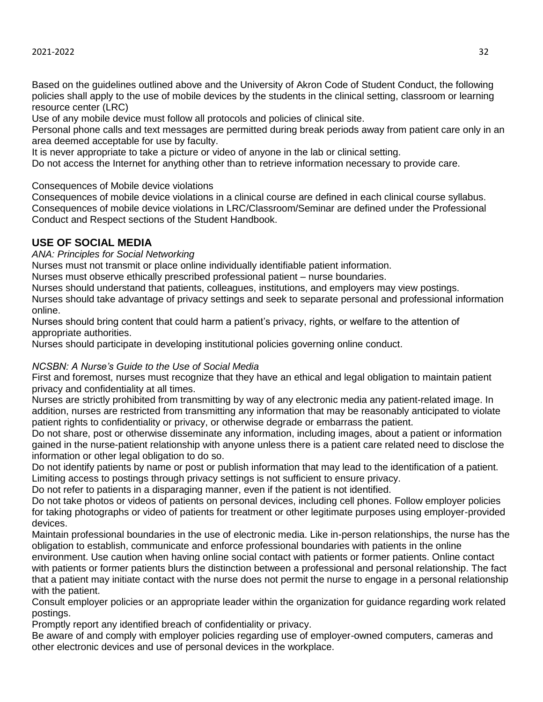Based on the guidelines outlined above and the University of Akron Code of Student Conduct, the following policies shall apply to the use of mobile devices by the students in the clinical setting, classroom or learning resource center (LRC)

Use of any mobile device must follow all protocols and policies of clinical site.

Personal phone calls and text messages are permitted during break periods away from patient care only in an area deemed acceptable for use by faculty.

It is never appropriate to take a picture or video of anyone in the lab or clinical setting.

Do not access the Internet for anything other than to retrieve information necessary to provide care.

Consequences of Mobile device violations

Consequences of mobile device violations in a clinical course are defined in each clinical course syllabus. Consequences of mobile device violations in LRC/Classroom/Seminar are defined under the Professional Conduct and Respect sections of the Student Handbook.

### **USE OF SOCIAL MEDIA**

#### *ANA: Principles for Social Networking*

Nurses must not transmit or place online individually identifiable patient information.

Nurses must observe ethically prescribed professional patient – nurse boundaries.

Nurses should understand that patients, colleagues, institutions, and employers may view postings.

Nurses should take advantage of privacy settings and seek to separate personal and professional information online.

Nurses should bring content that could harm a patient's privacy, rights, or welfare to the attention of appropriate authorities.

Nurses should participate in developing institutional policies governing online conduct.

#### *NCSBN: A Nurse's Guide to the Use of Social Media*

First and foremost, nurses must recognize that they have an ethical and legal obligation to maintain patient privacy and confidentiality at all times.

Nurses are strictly prohibited from transmitting by way of any electronic media any patient-related image. In addition, nurses are restricted from transmitting any information that may be reasonably anticipated to violate patient rights to confidentiality or privacy, or otherwise degrade or embarrass the patient.

Do not share, post or otherwise disseminate any information, including images, about a patient or information gained in the nurse-patient relationship with anyone unless there is a patient care related need to disclose the information or other legal obligation to do so.

Do not identify patients by name or post or publish information that may lead to the identification of a patient. Limiting access to postings through privacy settings is not sufficient to ensure privacy.

Do not refer to patients in a disparaging manner, even if the patient is not identified.

Do not take photos or videos of patients on personal devices, including cell phones. Follow employer policies for taking photographs or video of patients for treatment or other legitimate purposes using employer-provided devices.

Maintain professional boundaries in the use of electronic media. Like in-person relationships, the nurse has the obligation to establish, communicate and enforce professional boundaries with patients in the online

environment. Use caution when having online social contact with patients or former patients. Online contact with patients or former patients blurs the distinction between a professional and personal relationship. The fact that a patient may initiate contact with the nurse does not permit the nurse to engage in a personal relationship with the patient.

Consult employer policies or an appropriate leader within the organization for guidance regarding work related postings.

Promptly report any identified breach of confidentiality or privacy.

Be aware of and comply with employer policies regarding use of employer-owned computers, cameras and other electronic devices and use of personal devices in the workplace.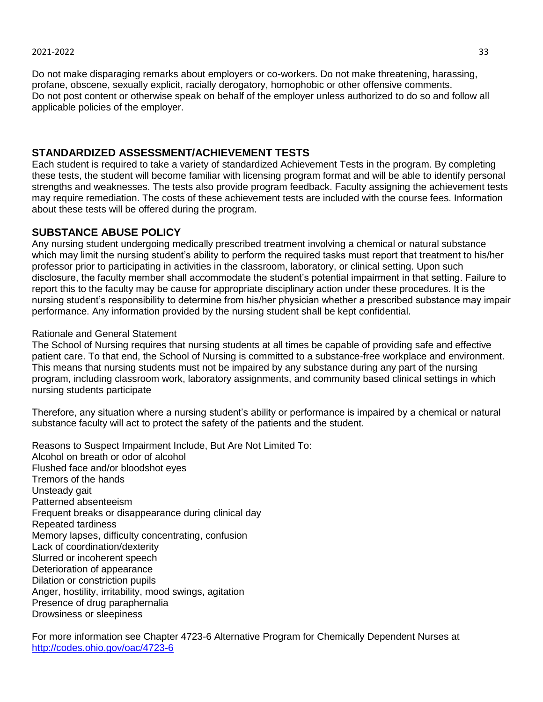Do not make disparaging remarks about employers or co-workers. Do not make threatening, harassing, profane, obscene, sexually explicit, racially derogatory, homophobic or other offensive comments. Do not post content or otherwise speak on behalf of the employer unless authorized to do so and follow all applicable policies of the employer.

#### **STANDARDIZED ASSESSMENT/ACHIEVEMENT TESTS**

Each student is required to take a variety of standardized Achievement Tests in the program. By completing these tests, the student will become familiar with licensing program format and will be able to identify personal strengths and weaknesses. The tests also provide program feedback. Faculty assigning the achievement tests may require remediation. The costs of these achievement tests are included with the course fees. Information about these tests will be offered during the program.

### **SUBSTANCE ABUSE POLICY**

Any nursing student undergoing medically prescribed treatment involving a chemical or natural substance which may limit the nursing student's ability to perform the required tasks must report that treatment to his/her professor prior to participating in activities in the classroom, laboratory, or clinical setting. Upon such disclosure, the faculty member shall accommodate the student's potential impairment in that setting. Failure to report this to the faculty may be cause for appropriate disciplinary action under these procedures. It is the nursing student's responsibility to determine from his/her physician whether a prescribed substance may impair performance. Any information provided by the nursing student shall be kept confidential.

#### Rationale and General Statement

The School of Nursing requires that nursing students at all times be capable of providing safe and effective patient care. To that end, the School of Nursing is committed to a substance-free workplace and environment. This means that nursing students must not be impaired by any substance during any part of the nursing program, including classroom work, laboratory assignments, and community based clinical settings in which nursing students participate

Therefore, any situation where a nursing student's ability or performance is impaired by a chemical or natural substance faculty will act to protect the safety of the patients and the student.

Reasons to Suspect Impairment Include, But Are Not Limited To: Alcohol on breath or odor of alcohol Flushed face and/or bloodshot eyes Tremors of the hands Unsteady gait Patterned absenteeism Frequent breaks or disappearance during clinical day Repeated tardiness Memory lapses, difficulty concentrating, confusion Lack of coordination/dexterity Slurred or incoherent speech Deterioration of appearance Dilation or constriction pupils Anger, hostility, irritability, mood swings, agitation Presence of drug paraphernalia Drowsiness or sleepiness

For more information see Chapter 4723-6 Alternative Program for Chemically Dependent Nurses at <http://codes.ohio.gov/oac/4723-6>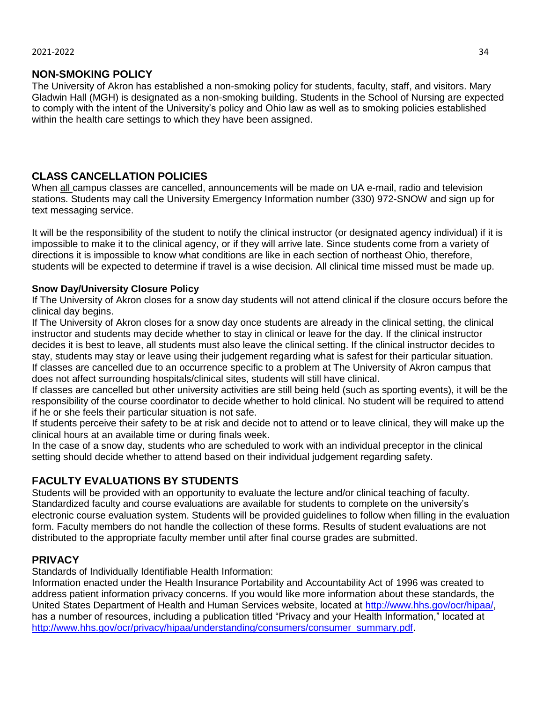#### **NON-SMOKING POLICY**

The University of Akron has established a non-smoking policy for students, faculty, staff, and visitors. Mary Gladwin Hall (MGH) is designated as a non-smoking building. Students in the School of Nursing are expected to comply with the intent of the University's policy and Ohio law as well as to smoking policies established within the health care settings to which they have been assigned.

# **CLASS CANCELLATION POLICIES**

When all campus classes are cancelled, announcements will be made on UA e-mail, radio and television stations. Students may call the University Emergency Information number (330) 972-SNOW and sign up for text messaging service.

It will be the responsibility of the student to notify the clinical instructor (or designated agency individual) if it is impossible to make it to the clinical agency, or if they will arrive late. Since students come from a variety of directions it is impossible to know what conditions are like in each section of northeast Ohio, therefore, students will be expected to determine if travel is a wise decision. All clinical time missed must be made up.

#### **Snow Day/University Closure Policy**

If The University of Akron closes for a snow day students will not attend clinical if the closure occurs before the clinical day begins.

If The University of Akron closes for a snow day once students are already in the clinical setting, the clinical instructor and students may decide whether to stay in clinical or leave for the day. If the clinical instructor decides it is best to leave, all students must also leave the clinical setting. If the clinical instructor decides to stay, students may stay or leave using their judgement regarding what is safest for their particular situation. If classes are cancelled due to an occurrence specific to a problem at The University of Akron campus that does not affect surrounding hospitals/clinical sites, students will still have clinical.

If classes are cancelled but other university activities are still being held (such as sporting events), it will be the responsibility of the course coordinator to decide whether to hold clinical. No student will be required to attend if he or she feels their particular situation is not safe.

If students perceive their safety to be at risk and decide not to attend or to leave clinical, they will make up the clinical hours at an available time or during finals week.

In the case of a snow day, students who are scheduled to work with an individual preceptor in the clinical setting should decide whether to attend based on their individual judgement regarding safety.

# **FACULTY EVALUATIONS BY STUDENTS**

Students will be provided with an opportunity to evaluate the lecture and/or clinical teaching of faculty. Standardized faculty and course evaluations are available for students to complete on the university's electronic course evaluation system. Students will be provided guidelines to follow when filling in the evaluation form. Faculty members do not handle the collection of these forms. Results of student evaluations are not distributed to the appropriate faculty member until after final course grades are submitted.

# **PRIVACY**

Standards of Individually Identifiable Health Information:

Information enacted under the Health Insurance Portability and Accountability Act of 1996 was created to address patient information privacy concerns. If you would like more information about these standards, the United States Department of Health and Human Services website, located at [http://www.hhs.gov/ocr/hipaa/,](http://www.hhs.gov/ocr/hipaa/)  has a number of resources, including a publication titled "Privacy and your Health Information," located at [http://www.hhs.gov/ocr/privacy/hipaa/understanding/consumers/consumer\\_summary.pdf.](http://www.hhs.gov/ocr/privacy/hipaa/understanding/consumers/consumer_summary.pdf)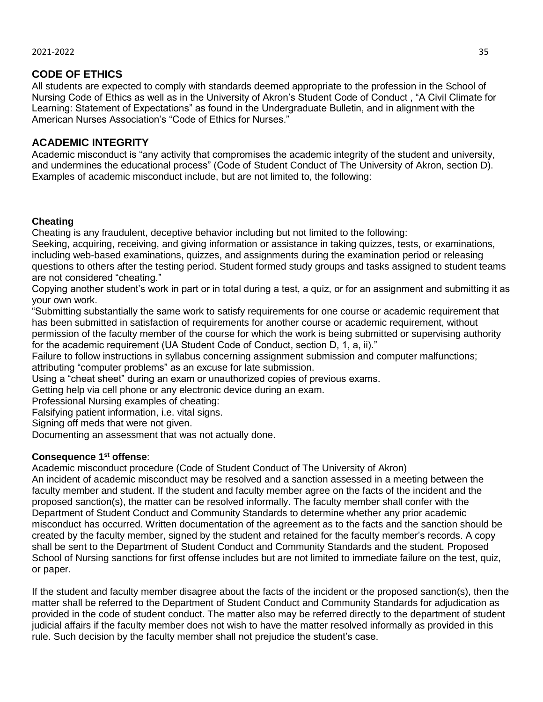#### **CODE OF ETHICS**

All students are expected to comply with standards deemed appropriate to the profession in the School of Nursing Code of Ethics as well as in the University of Akron's Student Code of Conduct , "A Civil Climate for Learning: Statement of Expectations" as found in the Undergraduate Bulletin, and in alignment with the American Nurses Association's "Code of Ethics for Nurses."

# **ACADEMIC INTEGRITY**

Academic misconduct is "any activity that compromises the academic integrity of the student and university, and undermines the educational process" (Code of Student Conduct of The University of Akron, section D). Examples of academic misconduct include, but are not limited to, the following:

#### **Cheating**

Cheating is any fraudulent, deceptive behavior including but not limited to the following:

Seeking, acquiring, receiving, and giving information or assistance in taking quizzes, tests, or examinations, including web-based examinations, quizzes, and assignments during the examination period or releasing questions to others after the testing period. Student formed study groups and tasks assigned to student teams are not considered "cheating."

Copying another student's work in part or in total during a test, a quiz, or for an assignment and submitting it as your own work.

"Submitting substantially the same work to satisfy requirements for one course or academic requirement that has been submitted in satisfaction of requirements for another course or academic requirement, without permission of the faculty member of the course for which the work is being submitted or supervising authority for the academic requirement (UA Student Code of Conduct, section D, 1, a, ii)."

Failure to follow instructions in syllabus concerning assignment submission and computer malfunctions; attributing "computer problems" as an excuse for late submission.

Using a "cheat sheet" during an exam or unauthorized copies of previous exams.

Getting help via cell phone or any electronic device during an exam.

Professional Nursing examples of cheating:

Falsifying patient information, i.e. vital signs.

Signing off meds that were not given.

Documenting an assessment that was not actually done.

#### **Consequence 1st offense**:

Academic misconduct procedure (Code of Student Conduct of The University of Akron)

An incident of academic misconduct may be resolved and a sanction assessed in a meeting between the faculty member and student. If the student and faculty member agree on the facts of the incident and the proposed sanction(s), the matter can be resolved informally. The faculty member shall confer with the Department of Student Conduct and Community Standards to determine whether any prior academic misconduct has occurred. Written documentation of the agreement as to the facts and the sanction should be created by the faculty member, signed by the student and retained for the faculty member's records. A copy shall be sent to the Department of Student Conduct and Community Standards and the student. Proposed School of Nursing sanctions for first offense includes but are not limited to immediate failure on the test, quiz, or paper.

If the student and faculty member disagree about the facts of the incident or the proposed sanction(s), then the matter shall be referred to the Department of Student Conduct and Community Standards for adjudication as provided in the code of student conduct. The matter also may be referred directly to the department of student judicial affairs if the faculty member does not wish to have the matter resolved informally as provided in this rule. Such decision by the faculty member shall not prejudice the student's case.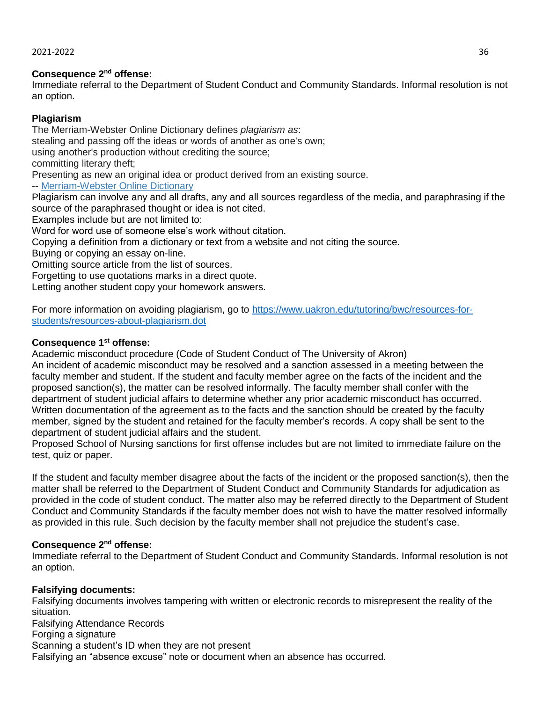### **Consequence 2nd offense:**

Immediate referral to the Department of Student Conduct and Community Standards. Informal resolution is not an option.

# **Plagiarism**

The Merriam-Webster Online Dictionary defines *plagiarism as*: stealing and passing off the ideas or words of another as one's own; using another's production without crediting the source; committing literary theft;

Presenting as new an original idea or product derived from an existing source.

-- [Merriam-Webster Online Dictionary](http://www.merriam-webster.com/dictionary/plagiarizing)

Plagiarism can involve any and all drafts, any and all sources regardless of the media, and paraphrasing if the source of the paraphrased thought or idea is not cited.

Examples include but are not limited to:

Word for word use of someone else's work without citation.

Copying a definition from a dictionary or text from a website and not citing the source.

Buying or copying an essay on-line.

Omitting source article from the list of sources.

Forgetting to use quotations marks in a direct quote.

Letting another student copy your homework answers.

For more information on avoiding plagiarism, go to [https://www.uakron.edu/tutoring/bwc/resources-for](https://www.uakron.edu/tutoring/bwc/resources-for-students/resources-about-plagiarism.dot)[students/resources-about-plagiarism.dot](https://www.uakron.edu/tutoring/bwc/resources-for-students/resources-about-plagiarism.dot)

### **Consequence 1st offense:**

Academic misconduct procedure (Code of Student Conduct of The University of Akron) An incident of academic misconduct may be resolved and a sanction assessed in a meeting between the faculty member and student. If the student and faculty member agree on the facts of the incident and the proposed sanction(s), the matter can be resolved informally. The faculty member shall confer with the department of student judicial affairs to determine whether any prior academic misconduct has occurred. Written documentation of the agreement as to the facts and the sanction should be created by the faculty member, signed by the student and retained for the faculty member's records. A copy shall be sent to the department of student judicial affairs and the student.

Proposed School of Nursing sanctions for first offense includes but are not limited to immediate failure on the test, quiz or paper.

If the student and faculty member disagree about the facts of the incident or the proposed sanction(s), then the matter shall be referred to the Department of Student Conduct and Community Standards for adjudication as provided in the code of student conduct. The matter also may be referred directly to the Department of Student Conduct and Community Standards if the faculty member does not wish to have the matter resolved informally as provided in this rule. Such decision by the faculty member shall not prejudice the student's case.

#### **Consequence 2nd offense:**

Immediate referral to the Department of Student Conduct and Community Standards. Informal resolution is not an option.

# **Falsifying documents:**

Falsifying documents involves tampering with written or electronic records to misrepresent the reality of the situation. Falsifying Attendance Records Forging a signature Scanning a student's ID when they are not present Falsifying an "absence excuse" note or document when an absence has occurred.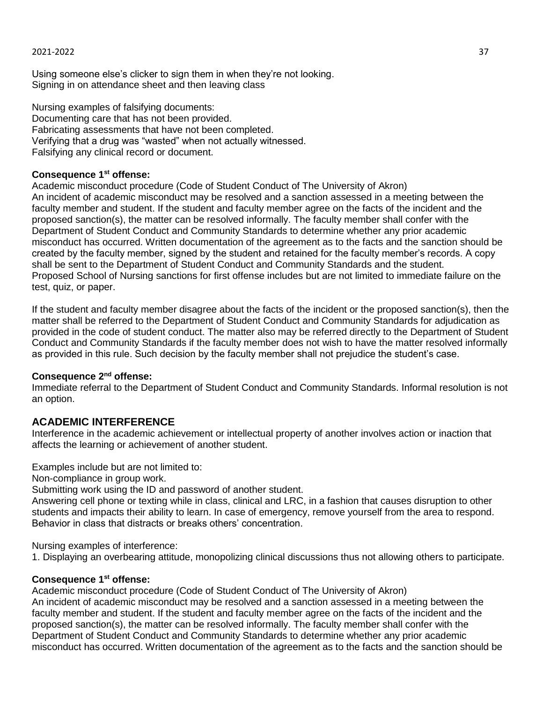Using someone else's clicker to sign them in when they're not looking. Signing in on attendance sheet and then leaving class

Nursing examples of falsifying documents: Documenting care that has not been provided. Fabricating assessments that have not been completed. Verifying that a drug was "wasted" when not actually witnessed. Falsifying any clinical record or document.

#### **Consequence 1st offense:**

Academic misconduct procedure (Code of Student Conduct of The University of Akron) An incident of academic misconduct may be resolved and a sanction assessed in a meeting between the faculty member and student. If the student and faculty member agree on the facts of the incident and the proposed sanction(s), the matter can be resolved informally. The faculty member shall confer with the Department of Student Conduct and Community Standards to determine whether any prior academic misconduct has occurred. Written documentation of the agreement as to the facts and the sanction should be created by the faculty member, signed by the student and retained for the faculty member's records. A copy shall be sent to the Department of Student Conduct and Community Standards and the student. Proposed School of Nursing sanctions for first offense includes but are not limited to immediate failure on the test, quiz, or paper.

If the student and faculty member disagree about the facts of the incident or the proposed sanction(s), then the matter shall be referred to the Department of Student Conduct and Community Standards for adjudication as provided in the code of student conduct. The matter also may be referred directly to the Department of Student Conduct and Community Standards if the faculty member does not wish to have the matter resolved informally as provided in this rule. Such decision by the faculty member shall not prejudice the student's case.

### **Consequence 2nd offense:**

Immediate referral to the Department of Student Conduct and Community Standards. Informal resolution is not an option.

#### **ACADEMIC INTERFERENCE**

Interference in the academic achievement or intellectual property of another involves action or inaction that affects the learning or achievement of another student.

Examples include but are not limited to:

Non-compliance in group work.

Submitting work using the ID and password of another student.

Answering cell phone or texting while in class, clinical and LRC, in a fashion that causes disruption to other students and impacts their ability to learn. In case of emergency, remove yourself from the area to respond. Behavior in class that distracts or breaks others' concentration.

Nursing examples of interference:

1. Displaying an overbearing attitude, monopolizing clinical discussions thus not allowing others to participate.

#### **Consequence 1st offense:**

Academic misconduct procedure (Code of Student Conduct of The University of Akron) An incident of academic misconduct may be resolved and a sanction assessed in a meeting between the faculty member and student. If the student and faculty member agree on the facts of the incident and the proposed sanction(s), the matter can be resolved informally. The faculty member shall confer with the Department of Student Conduct and Community Standards to determine whether any prior academic misconduct has occurred. Written documentation of the agreement as to the facts and the sanction should be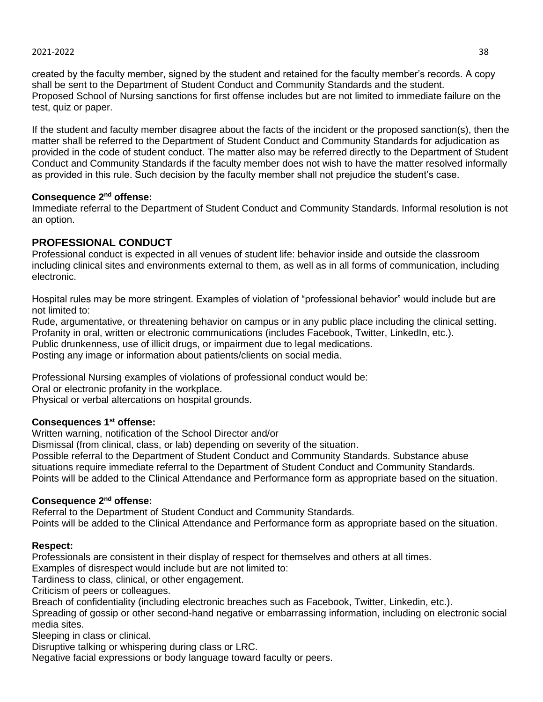created by the faculty member, signed by the student and retained for the faculty member's records. A copy shall be sent to the Department of Student Conduct and Community Standards and the student. Proposed School of Nursing sanctions for first offense includes but are not limited to immediate failure on the test, quiz or paper.

If the student and faculty member disagree about the facts of the incident or the proposed sanction(s), then the matter shall be referred to the Department of Student Conduct and Community Standards for adjudication as provided in the code of student conduct. The matter also may be referred directly to the Department of Student Conduct and Community Standards if the faculty member does not wish to have the matter resolved informally as provided in this rule. Such decision by the faculty member shall not prejudice the student's case.

### **Consequence 2nd offense:**

Immediate referral to the Department of Student Conduct and Community Standards. Informal resolution is not an option.

# **PROFESSIONAL CONDUCT**

Professional conduct is expected in all venues of student life: behavior inside and outside the classroom including clinical sites and environments external to them, as well as in all forms of communication, including electronic.

Hospital rules may be more stringent. Examples of violation of "professional behavior" would include but are not limited to:

Rude, argumentative, or threatening behavior on campus or in any public place including the clinical setting. Profanity in oral, written or electronic communications (includes Facebook, Twitter, LinkedIn, etc.). Public drunkenness, use of illicit drugs, or impairment due to legal medications. Posting any image or information about patients/clients on social media.

Professional Nursing examples of violations of professional conduct would be: Oral or electronic profanity in the workplace. Physical or verbal altercations on hospital grounds.

### **Consequences 1st offense:**

Written warning, notification of the School Director and/or

Dismissal (from clinical, class, or lab) depending on severity of the situation.

Possible referral to the Department of Student Conduct and Community Standards. Substance abuse situations require immediate referral to the Department of Student Conduct and Community Standards. Points will be added to the Clinical Attendance and Performance form as appropriate based on the situation.

#### **Consequence 2nd offense:**

Referral to the Department of Student Conduct and Community Standards.

Points will be added to the Clinical Attendance and Performance form as appropriate based on the situation.

#### **Respect:**

Professionals are consistent in their display of respect for themselves and others at all times.

Examples of disrespect would include but are not limited to:

Tardiness to class, clinical, or other engagement.

Criticism of peers or colleagues.

Breach of confidentiality (including electronic breaches such as Facebook, Twitter, Linkedin, etc.).

Spreading of gossip or other second-hand negative or embarrassing information, including on electronic social media sites.

Sleeping in class or clinical.

Disruptive talking or whispering during class or LRC.

Negative facial expressions or body language toward faculty or peers.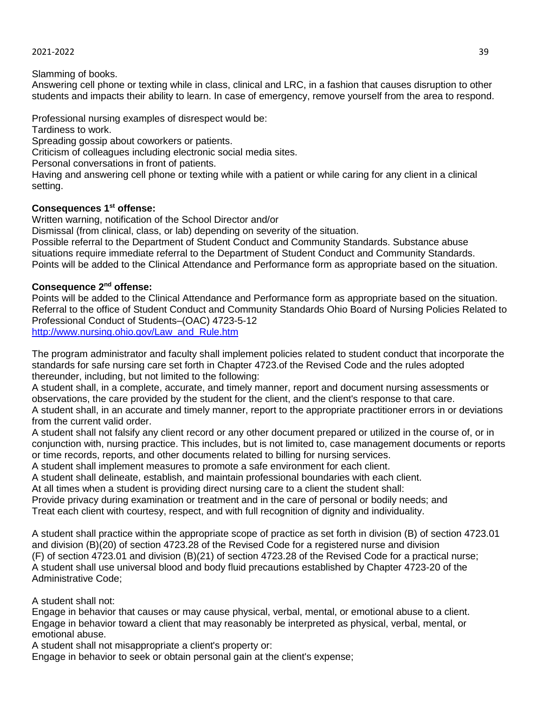Slamming of books.

Answering cell phone or texting while in class, clinical and LRC, in a fashion that causes disruption to other students and impacts their ability to learn. In case of emergency, remove yourself from the area to respond.

Professional nursing examples of disrespect would be:

Tardiness to work.

Spreading gossip about coworkers or patients.

Criticism of colleagues including electronic social media sites.

Personal conversations in front of patients.

Having and answering cell phone or texting while with a patient or while caring for any client in a clinical setting.

#### **Consequences 1st offense:**

Written warning, notification of the School Director and/or

Dismissal (from clinical, class, or lab) depending on severity of the situation.

Possible referral to the Department of Student Conduct and Community Standards. Substance abuse situations require immediate referral to the Department of Student Conduct and Community Standards. Points will be added to the Clinical Attendance and Performance form as appropriate based on the situation.

#### **Consequence 2nd offense:**

Points will be added to the Clinical Attendance and Performance form as appropriate based on the situation. Referral to the office of Student Conduct and Community Standards Ohio Board of Nursing Policies Related to Professional Conduct of Students–(OAC) 4723-5-12 [http://www.nursing.ohio.gov/Law\\_and\\_Rule.htm](http://www.nursing.ohio.gov/Law_and_Rule.htm)

The program administrator and faculty shall implement policies related to student conduct that incorporate the standards for safe nursing care set forth in Chapter 4723.of the Revised Code and the rules adopted thereunder, including, but not limited to the following:

A student shall, in a complete, accurate, and timely manner, report and document nursing assessments or observations, the care provided by the student for the client, and the client's response to that care. A student shall, in an accurate and timely manner, report to the appropriate practitioner errors in or deviations from the current valid order.

A student shall not falsify any client record or any other document prepared or utilized in the course of, or in conjunction with, nursing practice. This includes, but is not limited to, case management documents or reports or time records, reports, and other documents related to billing for nursing services.

A student shall implement measures to promote a safe environment for each client.

A student shall delineate, establish, and maintain professional boundaries with each client.

At all times when a student is providing direct nursing care to a client the student shall:

Provide privacy during examination or treatment and in the care of personal or bodily needs; and Treat each client with courtesy, respect, and with full recognition of dignity and individuality.

A student shall practice within the appropriate scope of practice as set forth in division (B) of section 4723.01 and division (B)(20) of section 4723.28 of the Revised Code for a registered nurse and division (F) of section 4723.01 and division (B)(21) of section 4723.28 of the Revised Code for a practical nurse; A student shall use universal blood and body fluid precautions established by Chapter 4723-20 of the Administrative Code;

A student shall not:

Engage in behavior that causes or may cause physical, verbal, mental, or emotional abuse to a client. Engage in behavior toward a client that may reasonably be interpreted as physical, verbal, mental, or emotional abuse.

A student shall not misappropriate a client's property or:

Engage in behavior to seek or obtain personal gain at the client's expense;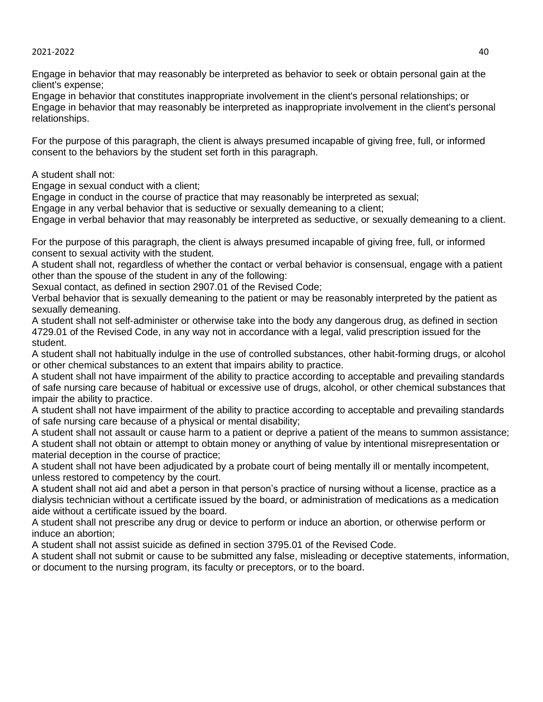Engage in behavior that may reasonably be interpreted as behavior to seek or obtain personal gain at the client's expense;

Engage in behavior that constitutes inappropriate involvement in the client's personal relationships; or Engage in behavior that may reasonably be interpreted as inappropriate involvement in the client's personal relationships.

For the purpose of this paragraph, the client is always presumed incapable of giving free, full, or informed consent to the behaviors by the student set forth in this paragraph.

A student shall not:

Engage in sexual conduct with a client;

Engage in conduct in the course of practice that may reasonably be interpreted as sexual;

Engage in any verbal behavior that is seductive or sexually demeaning to a client;

Engage in verbal behavior that may reasonably be interpreted as seductive, or sexually demeaning to a client.

For the purpose of this paragraph, the client is always presumed incapable of giving free, full, or informed consent to sexual activity with the student.

A student shall not, regardless of whether the contact or verbal behavior is consensual, engage with a patient other than the spouse of the student in any of the following:

Sexual contact, as defined in section 2907.01 of the Revised Code;

Verbal behavior that is sexually demeaning to the patient or may be reasonably interpreted by the patient as sexually demeaning.

A student shall not self-administer or otherwise take into the body any dangerous drug, as defined in section 4729.01 of the Revised Code, in any way not in accordance with a legal, valid prescription issued for the student.

A student shall not habitually indulge in the use of controlled substances, other habit-forming drugs, or alcohol or other chemical substances to an extent that impairs ability to practice.

A student shall not have impairment of the ability to practice according to acceptable and prevailing standards of safe nursing care because of habitual or excessive use of drugs, alcohol, or other chemical substances that impair the ability to practice.

A student shall not have impairment of the ability to practice according to acceptable and prevailing standards of safe nursing care because of a physical or mental disability;

A student shall not assault or cause harm to a patient or deprive a patient of the means to summon assistance; A student shall not obtain or attempt to obtain money or anything of value by intentional misrepresentation or material deception in the course of practice;

A student shall not have been adjudicated by a probate court of being mentally ill or mentally incompetent, unless restored to competency by the court.

A student shall not aid and abet a person in that person's practice of nursing without a license, practice as a dialysis technician without a certificate issued by the board, or administration of medications as a medication aide without a certificate issued by the board.

A student shall not prescribe any drug or device to perform or induce an abortion, or otherwise perform or induce an abortion;

A student shall not assist suicide as defined in section 3795.01 of the Revised Code.

A student shall not submit or cause to be submitted any false, misleading or deceptive statements, information, or document to the nursing program, its faculty or preceptors, or to the board.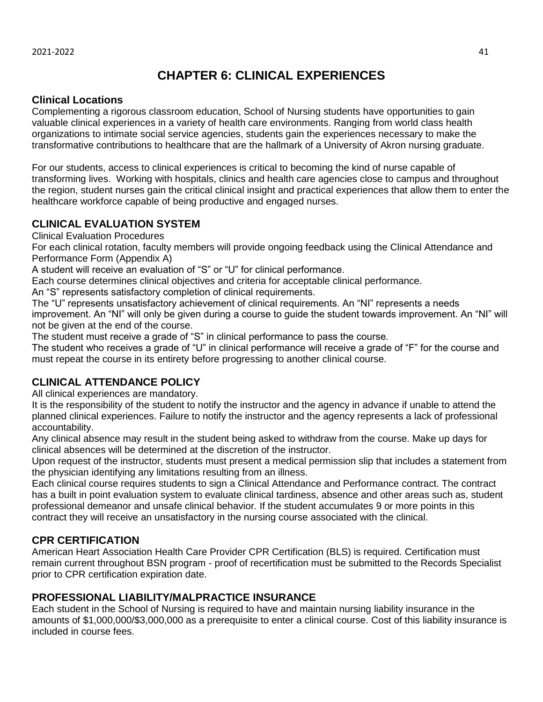# **CHAPTER 6: CLINICAL EXPERIENCES**

#### **Clinical Locations**

Complementing a rigorous classroom education, School of Nursing students have opportunities to gain valuable clinical experiences in a variety of health care environments. Ranging from world class health organizations to intimate social service agencies, students gain the experiences necessary to make the transformative contributions to healthcare that are the hallmark of a University of Akron nursing graduate.

For our students, access to clinical experiences is critical to becoming the kind of nurse capable of transforming lives. Working with hospitals, clinics and health care agencies close to campus and throughout the region, student nurses gain the critical clinical insight and practical experiences that allow them to enter the healthcare workforce capable of being productive and engaged nurses.

# **CLINICAL EVALUATION SYSTEM**

Clinical Evaluation Procedures

For each clinical rotation, faculty members will provide ongoing feedback using the Clinical Attendance and Performance Form (Appendix A)

A student will receive an evaluation of "S" or "U" for clinical performance.

Each course determines clinical objectives and criteria for acceptable clinical performance.

An "S" represents satisfactory completion of clinical requirements.

The "U" represents unsatisfactory achievement of clinical requirements. An "NI" represents a needs improvement. An "NI" will only be given during a course to guide the student towards improvement. An "NI" will not be given at the end of the course.

The student must receive a grade of "S" in clinical performance to pass the course.

The student who receives a grade of "U" in clinical performance will receive a grade of "F" for the course and must repeat the course in its entirety before progressing to another clinical course.

# **CLINICAL ATTENDANCE POLICY**

All clinical experiences are mandatory.

It is the responsibility of the student to notify the instructor and the agency in advance if unable to attend the planned clinical experiences. Failure to notify the instructor and the agency represents a lack of professional accountability.

Any clinical absence may result in the student being asked to withdraw from the course. Make up days for clinical absences will be determined at the discretion of the instructor.

Upon request of the instructor, students must present a medical permission slip that includes a statement from the physician identifying any limitations resulting from an illness.

Each clinical course requires students to sign a Clinical Attendance and Performance contract. The contract has a built in point evaluation system to evaluate clinical tardiness, absence and other areas such as, student professional demeanor and unsafe clinical behavior. If the student accumulates 9 or more points in this contract they will receive an unsatisfactory in the nursing course associated with the clinical.

# **CPR CERTIFICATION**

American Heart Association Health Care Provider CPR Certification (BLS) is required. Certification must remain current throughout BSN program - proof of recertification must be submitted to the Records Specialist prior to CPR certification expiration date.

# **PROFESSIONAL LIABILITY/MALPRACTICE INSURANCE**

Each student in the School of Nursing is required to have and maintain nursing liability insurance in the amounts of \$1,000,000/\$3,000,000 as a prerequisite to enter a clinical course. Cost of this liability insurance is included in course fees.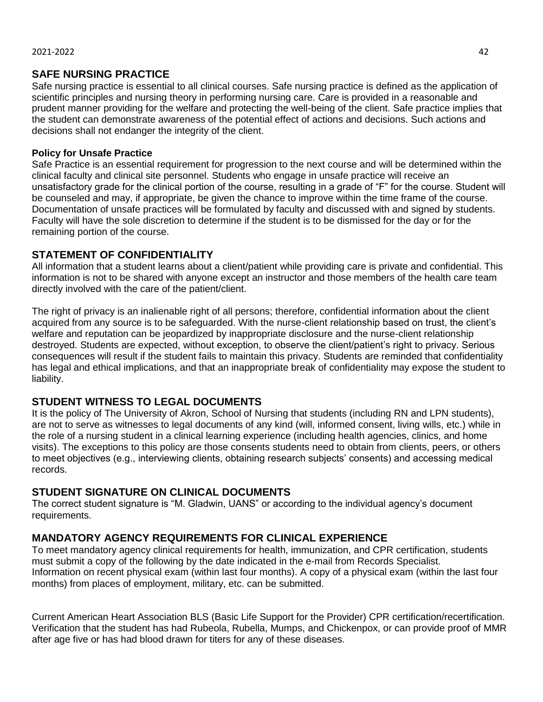#### **SAFE NURSING PRACTICE**

Safe nursing practice is essential to all clinical courses. Safe nursing practice is defined as the application of scientific principles and nursing theory in performing nursing care. Care is provided in a reasonable and prudent manner providing for the welfare and protecting the well-being of the client. Safe practice implies that the student can demonstrate awareness of the potential effect of actions and decisions. Such actions and decisions shall not endanger the integrity of the client.

#### **Policy for Unsafe Practice**

Safe Practice is an essential requirement for progression to the next course and will be determined within the clinical faculty and clinical site personnel. Students who engage in unsafe practice will receive an unsatisfactory grade for the clinical portion of the course, resulting in a grade of "F" for the course. Student will be counseled and may, if appropriate, be given the chance to improve within the time frame of the course. Documentation of unsafe practices will be formulated by faculty and discussed with and signed by students. Faculty will have the sole discretion to determine if the student is to be dismissed for the day or for the remaining portion of the course.

### **STATEMENT OF CONFIDENTIALITY**

All information that a student learns about a client/patient while providing care is private and confidential. This information is not to be shared with anyone except an instructor and those members of the health care team directly involved with the care of the patient/client.

The right of privacy is an inalienable right of all persons; therefore, confidential information about the client acquired from any source is to be safeguarded. With the nurse-client relationship based on trust, the client's welfare and reputation can be jeopardized by inappropriate disclosure and the nurse-client relationship destroyed. Students are expected, without exception, to observe the client/patient's right to privacy. Serious consequences will result if the student fails to maintain this privacy. Students are reminded that confidentiality has legal and ethical implications, and that an inappropriate break of confidentiality may expose the student to liability.

# **STUDENT WITNESS TO LEGAL DOCUMENTS**

It is the policy of The University of Akron, School of Nursing that students (including RN and LPN students), are not to serve as witnesses to legal documents of any kind (will, informed consent, living wills, etc.) while in the role of a nursing student in a clinical learning experience (including health agencies, clinics, and home visits). The exceptions to this policy are those consents students need to obtain from clients, peers, or others to meet objectives (e.g., interviewing clients, obtaining research subjects' consents) and accessing medical records.

# **STUDENT SIGNATURE ON CLINICAL DOCUMENTS**

The correct student signature is "M. Gladwin, UANS" or according to the individual agency's document requirements.

# **MANDATORY AGENCY REQUIREMENTS FOR CLINICAL EXPERIENCE**

To meet mandatory agency clinical requirements for health, immunization, and CPR certification, students must submit a copy of the following by the date indicated in the e-mail from Records Specialist. Information on recent physical exam (within last four months). A copy of a physical exam (within the last four months) from places of employment, military, etc. can be submitted.

Current American Heart Association BLS (Basic Life Support for the Provider) CPR certification/recertification. Verification that the student has had Rubeola, Rubella, Mumps, and Chickenpox, or can provide proof of MMR after age five or has had blood drawn for titers for any of these diseases.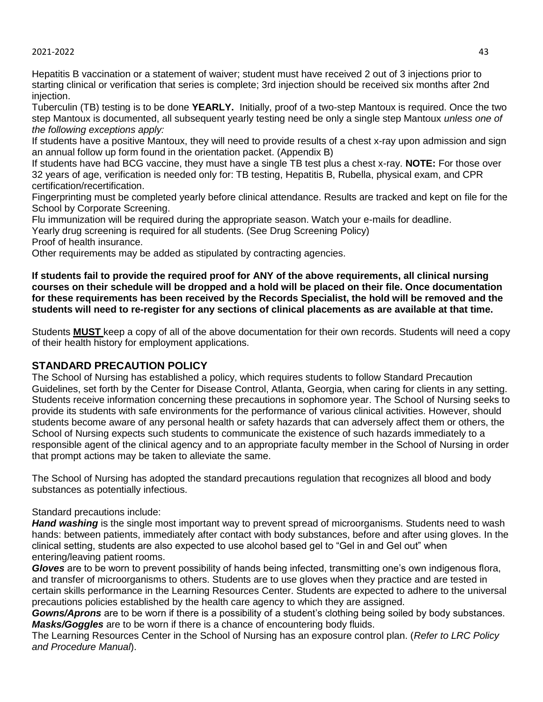Hepatitis B vaccination or a statement of waiver; student must have received 2 out of 3 injections prior to starting clinical or verification that series is complete; 3rd injection should be received six months after 2nd injection.

Tuberculin (TB) testing is to be done **YEARLY.** Initially, proof of a two-step Mantoux is required. Once the two step Mantoux is documented, all subsequent yearly testing need be only a single step Mantoux *unless one of the following exceptions apply:*

If students have a positive Mantoux, they will need to provide results of a chest x-ray upon admission and sign an annual follow up form found in the orientation packet. (Appendix B)

If students have had BCG vaccine, they must have a single TB test plus a chest x-ray. **NOTE:** For those over 32 years of age, verification is needed only for: TB testing, Hepatitis B, Rubella, physical exam, and CPR certification/recertification.

Fingerprinting must be completed yearly before clinical attendance. Results are tracked and kept on file for the School by Corporate Screening.

Flu immunization will be required during the appropriate season. Watch your e-mails for deadline.

Yearly drug screening is required for all students. (See Drug Screening Policy)

Proof of health insurance.

Other requirements may be added as stipulated by contracting agencies.

**If students fail to provide the required proof for ANY of the above requirements, all clinical nursing courses on their schedule will be dropped and a hold will be placed on their file. Once documentation for these requirements has been received by the Records Specialist, the hold will be removed and the students will need to re-register for any sections of clinical placements as are available at that time.**

Students **MUST** keep a copy of all of the above documentation for their own records. Students will need a copy of their health history for employment applications.

# **STANDARD PRECAUTION POLICY**

The School of Nursing has established a policy, which requires students to follow Standard Precaution Guidelines, set forth by the Center for Disease Control, Atlanta, Georgia, when caring for clients in any setting. Students receive information concerning these precautions in sophomore year. The School of Nursing seeks to provide its students with safe environments for the performance of various clinical activities. However, should students become aware of any personal health or safety hazards that can adversely affect them or others, the School of Nursing expects such students to communicate the existence of such hazards immediately to a responsible agent of the clinical agency and to an appropriate faculty member in the School of Nursing in order that prompt actions may be taken to alleviate the same.

The School of Nursing has adopted the standard precautions regulation that recognizes all blood and body substances as potentially infectious.

#### Standard precautions include:

*Hand washing* is the single most important way to prevent spread of microorganisms. Students need to wash hands: between patients, immediately after contact with body substances, before and after using gloves. In the clinical setting, students are also expected to use alcohol based gel to "Gel in and Gel out" when entering/leaving patient rooms.

*Gloves* are to be worn to prevent possibility of hands being infected, transmitting one's own indigenous flora, and transfer of microorganisms to others. Students are to use gloves when they practice and are tested in certain skills performance in the Learning Resources Center. Students are expected to adhere to the universal precautions policies established by the health care agency to which they are assigned.

*Gowns/Aprons* are to be worn if there is a possibility of a student's clothing being soiled by body substances. *Masks/Goggles* are to be worn if there is a chance of encountering body fluids.

The Learning Resources Center in the School of Nursing has an exposure control plan. (*Refer to LRC Policy and Procedure Manual*).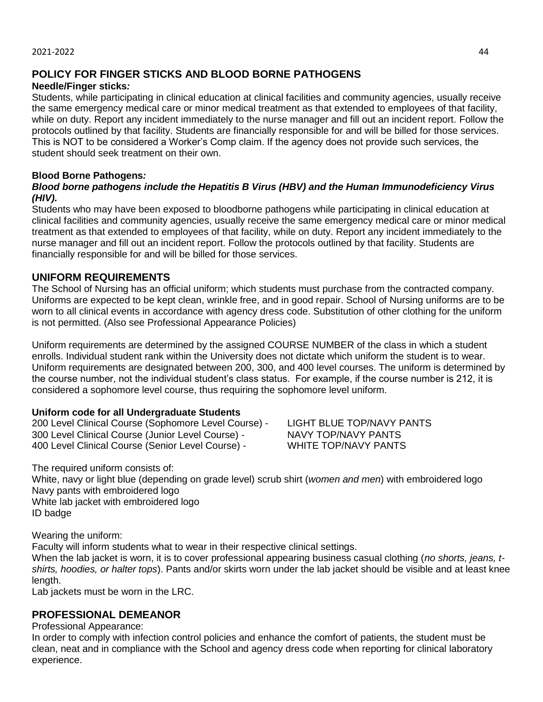# **POLICY FOR FINGER STICKS AND BLOOD BORNE PATHOGENS**

#### **Needle/Finger sticks***:*

Students, while participating in clinical education at clinical facilities and community agencies, usually receive the same emergency medical care or minor medical treatment as that extended to employees of that facility, while on duty. Report any incident immediately to the nurse manager and fill out an incident report. Follow the protocols outlined by that facility. Students are financially responsible for and will be billed for those services. This is NOT to be considered a Worker's Comp claim. If the agency does not provide such services, the student should seek treatment on their own.

#### **Blood Borne Pathogens***:*

#### *Blood borne pathogens include the Hepatitis B Virus (HBV) and the Human Immunodeficiency Virus (HIV).*

Students who may have been exposed to bloodborne pathogens while participating in clinical education at clinical facilities and community agencies, usually receive the same emergency medical care or minor medical treatment as that extended to employees of that facility, while on duty. Report any incident immediately to the nurse manager and fill out an incident report. Follow the protocols outlined by that facility. Students are financially responsible for and will be billed for those services.

# **UNIFORM REQUIREMENTS**

The School of Nursing has an official uniform; which students must purchase from the contracted company. Uniforms are expected to be kept clean, wrinkle free, and in good repair. School of Nursing uniforms are to be worn to all clinical events in accordance with agency dress code. Substitution of other clothing for the uniform is not permitted. (Also see Professional Appearance Policies)

Uniform requirements are determined by the assigned COURSE NUMBER of the class in which a student enrolls. Individual student rank within the University does not dictate which uniform the student is to wear. Uniform requirements are designated between 200, 300, and 400 level courses. The uniform is determined by the course number, not the individual student's class status. For example, if the course number is 212, it is considered a sophomore level course, thus requiring the sophomore level uniform.

# **Uniform code for all Undergraduate Students**

200 Level Clinical Course (Sophomore Level Course) - LIGHT BLUE TOP/NAVY PANTS 300 Level Clinical Course (Junior Level Course) - NAVY TOP/NAVY PANTS 400 Level Clinical Course (Senior Level Course) - WHITE TOP/NAVY PANTS

The required uniform consists of:

White, navy or light blue (depending on grade level) scrub shirt (*women and men*) with embroidered logo Navy pants with embroidered logo White lab jacket with embroidered logo ID badge

Wearing the uniform:

Faculty will inform students what to wear in their respective clinical settings.

When the lab jacket is worn, it is to cover professional appearing business casual clothing (*no shorts, jeans, tshirts, hoodies, or halter tops*). Pants and/or skirts worn under the lab jacket should be visible and at least knee length.

Lab jackets must be worn in the LRC.

# **PROFESSIONAL DEMEANOR**

Professional Appearance:

In order to comply with infection control policies and enhance the comfort of patients, the student must be clean, neat and in compliance with the School and agency dress code when reporting for clinical laboratory experience.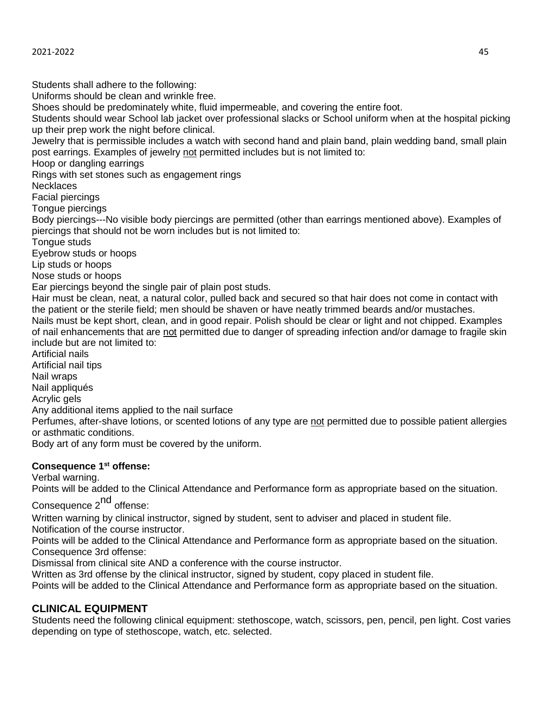Students shall adhere to the following:

Uniforms should be clean and wrinkle free.

Shoes should be predominately white, fluid impermeable, and covering the entire foot.

Students should wear School lab jacket over professional slacks or School uniform when at the hospital picking up their prep work the night before clinical.

Jewelry that is permissible includes a watch with second hand and plain band, plain wedding band, small plain post earrings. Examples of jewelry not permitted includes but is not limited to:

Hoop or dangling earrings

Rings with set stones such as engagement rings

**Necklaces** 

Facial piercings

Tongue piercings

Body piercings---No visible body piercings are permitted (other than earrings mentioned above). Examples of piercings that should not be worn includes but is not limited to:

Tongue studs

Eyebrow studs or hoops

Lip studs or hoops

Nose studs or hoops

Ear piercings beyond the single pair of plain post studs.

Hair must be clean, neat, a natural color, pulled back and secured so that hair does not come in contact with the patient or the sterile field; men should be shaven or have neatly trimmed beards and/or mustaches. Nails must be kept short, clean, and in good repair. Polish should be clear or light and not chipped. Examples of nail enhancements that are not permitted due to danger of spreading infection and/or damage to fragile skin include but are not limited to:

Artificial nails Artificial nail tips

Nail wraps

Nail appliqués

Acrylic gels

Any additional items applied to the nail surface

Perfumes, after-shave lotions, or scented lotions of any type are not permitted due to possible patient allergies or asthmatic conditions.

Body art of any form must be covered by the uniform.

#### **Consequence 1st offense:**

Verbal warning.

Points will be added to the Clinical Attendance and Performance form as appropriate based on the situation.

Consequence 2<sup>nd</sup> offense:

Written warning by clinical instructor, signed by student, sent to adviser and placed in student file.

Notification of the course instructor.

Points will be added to the Clinical Attendance and Performance form as appropriate based on the situation. Consequence 3rd offense:

Dismissal from clinical site AND a conference with the course instructor.

Written as 3rd offense by the clinical instructor, signed by student, copy placed in student file.

Points will be added to the Clinical Attendance and Performance form as appropriate based on the situation.

# **CLINICAL EQUIPMENT**

Students need the following clinical equipment: stethoscope, watch, scissors, pen, pencil, pen light. Cost varies depending on type of stethoscope, watch, etc. selected.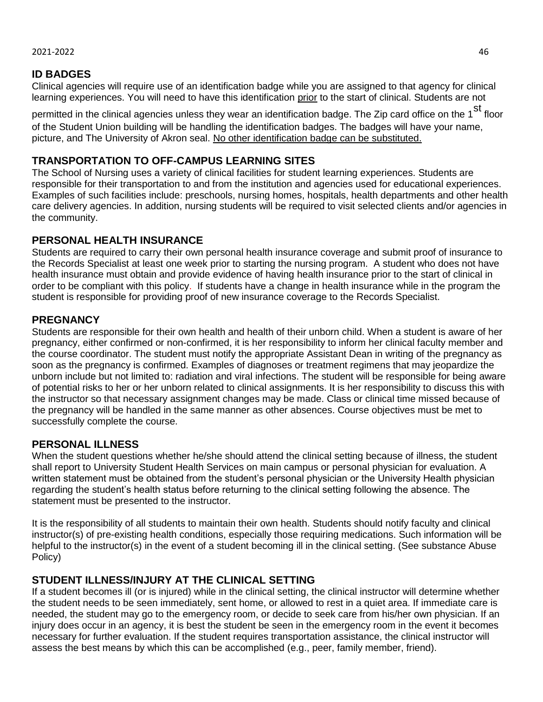#### **ID BADGES**

Clinical agencies will require use of an identification badge while you are assigned to that agency for clinical learning experiences. You will need to have this identification prior to the start of clinical. Students are not

permitted in the clinical agencies unless they wear an identification badge. The Zip card office on the 1<sup>St</sup> floor of the Student Union building will be handling the identification badges. The badges will have your name, picture, and The University of Akron seal. No other identification badge can be substituted.

#### **TRANSPORTATION TO OFF-CAMPUS LEARNING SITES**

The School of Nursing uses a variety of clinical facilities for student learning experiences. Students are responsible for their transportation to and from the institution and agencies used for educational experiences. Examples of such facilities include: preschools, nursing homes, hospitals, health departments and other health care delivery agencies. In addition, nursing students will be required to visit selected clients and/or agencies in the community.

#### **PERSONAL HEALTH INSURANCE**

Students are required to carry their own personal health insurance coverage and submit proof of insurance to the Records Specialist at least one week prior to starting the nursing program. A student who does not have health insurance must obtain and provide evidence of having health insurance prior to the start of clinical in order to be compliant with this policy. If students have a change in health insurance while in the program the student is responsible for providing proof of new insurance coverage to the Records Specialist.

#### **PREGNANCY**

Students are responsible for their own health and health of their unborn child. When a student is aware of her pregnancy, either confirmed or non-confirmed, it is her responsibility to inform her clinical faculty member and the course coordinator. The student must notify the appropriate Assistant Dean in writing of the pregnancy as soon as the pregnancy is confirmed. Examples of diagnoses or treatment regimens that may jeopardize the unborn include but not limited to: radiation and viral infections. The student will be responsible for being aware of potential risks to her or her unborn related to clinical assignments. It is her responsibility to discuss this with the instructor so that necessary assignment changes may be made. Class or clinical time missed because of the pregnancy will be handled in the same manner as other absences. Course objectives must be met to successfully complete the course.

#### **PERSONAL ILLNESS**

When the student questions whether he/she should attend the clinical setting because of illness, the student shall report to University Student Health Services on main campus or personal physician for evaluation. A written statement must be obtained from the student's personal physician or the University Health physician regarding the student's health status before returning to the clinical setting following the absence. The statement must be presented to the instructor.

It is the responsibility of all students to maintain their own health. Students should notify faculty and clinical instructor(s) of pre-existing health conditions, especially those requiring medications. Such information will be helpful to the instructor(s) in the event of a student becoming ill in the clinical setting. (See substance Abuse Policy)

#### **STUDENT ILLNESS/INJURY AT THE CLINICAL SETTING**

If a student becomes ill (or is injured) while in the clinical setting, the clinical instructor will determine whether the student needs to be seen immediately, sent home, or allowed to rest in a quiet area. If immediate care is needed, the student may go to the emergency room, or decide to seek care from his/her own physician. If an injury does occur in an agency, it is best the student be seen in the emergency room in the event it becomes necessary for further evaluation. If the student requires transportation assistance, the clinical instructor will assess the best means by which this can be accomplished (e.g., peer, family member, friend).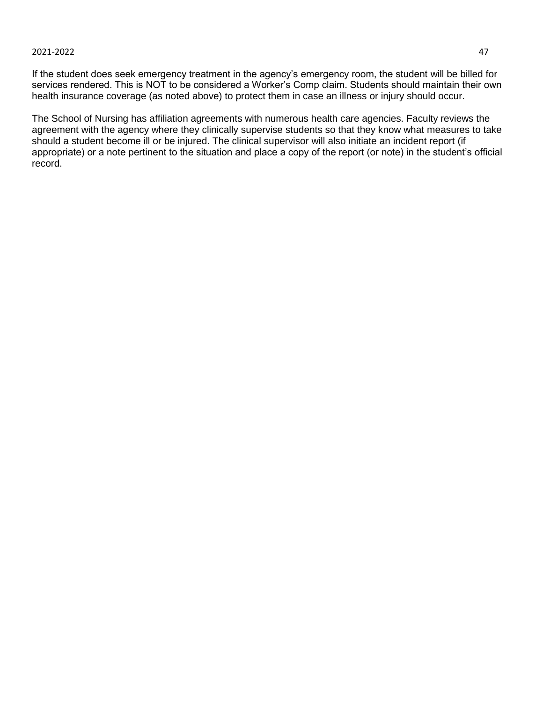If the student does seek emergency treatment in the agency's emergency room, the student will be billed for services rendered. This is NOT to be considered a Worker's Comp claim. Students should maintain their own health insurance coverage (as noted above) to protect them in case an illness or injury should occur.

The School of Nursing has affiliation agreements with numerous health care agencies. Faculty reviews the agreement with the agency where they clinically supervise students so that they know what measures to take should a student become ill or be injured. The clinical supervisor will also initiate an incident report (if appropriate) or a note pertinent to the situation and place a copy of the report (or note) in the student's official record.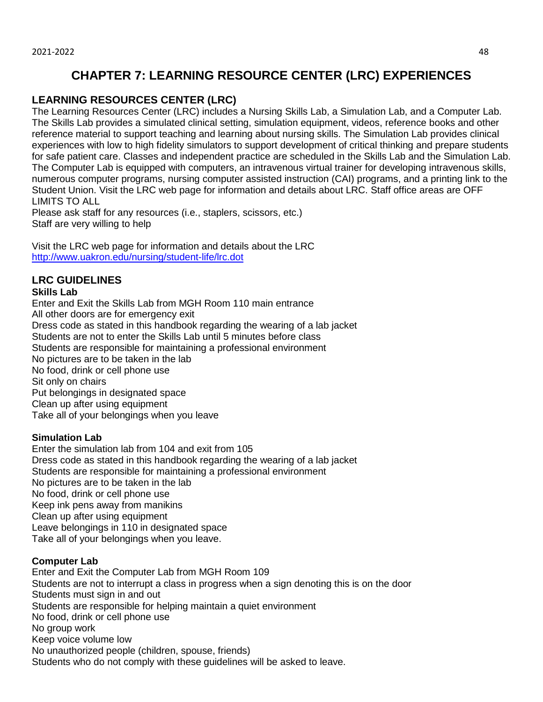# **CHAPTER 7: LEARNING RESOURCE CENTER (LRC) EXPERIENCES**

# **LEARNING RESOURCES CENTER (LRC)**

The Learning Resources Center (LRC) includes a Nursing Skills Lab, a Simulation Lab, and a Computer Lab. The Skills Lab provides a simulated clinical setting, simulation equipment, videos, reference books and other reference material to support teaching and learning about nursing skills. The Simulation Lab provides clinical experiences with low to high fidelity simulators to support development of critical thinking and prepare students for safe patient care. Classes and independent practice are scheduled in the Skills Lab and the Simulation Lab. The Computer Lab is equipped with computers, an intravenous virtual trainer for developing intravenous skills, numerous computer programs, nursing computer assisted instruction (CAI) programs, and a printing link to the Student Union. Visit the LRC web page for information and details about LRC. Staff office areas are OFF LIMITS TO ALL

Please ask staff for any resources (i.e., staplers, scissors, etc.) Staff are very willing to help

Visit the LRC web page for information and details about the LRC <http://www.uakron.edu/nursing/student-life/lrc.dot>

# **LRC GUIDELINES**

#### **Skills Lab**

Enter and Exit the Skills Lab from MGH Room 110 main entrance All other doors are for emergency exit Dress code as stated in this handbook regarding the wearing of a lab jacket Students are not to enter the Skills Lab until 5 minutes before class Students are responsible for maintaining a professional environment No pictures are to be taken in the lab No food, drink or cell phone use Sit only on chairs Put belongings in designated space Clean up after using equipment Take all of your belongings when you leave

#### **Simulation Lab**

Enter the simulation lab from 104 and exit from 105 Dress code as stated in this handbook regarding the wearing of a lab jacket Students are responsible for maintaining a professional environment No pictures are to be taken in the lab No food, drink or cell phone use Keep ink pens away from manikins Clean up after using equipment Leave belongings in 110 in designated space Take all of your belongings when you leave.

#### **Computer Lab**

Enter and Exit the Computer Lab from MGH Room 109 Students are not to interrupt a class in progress when a sign denoting this is on the door Students must sign in and out Students are responsible for helping maintain a quiet environment No food, drink or cell phone use No group work Keep voice volume low No unauthorized people (children, spouse, friends) Students who do not comply with these guidelines will be asked to leave.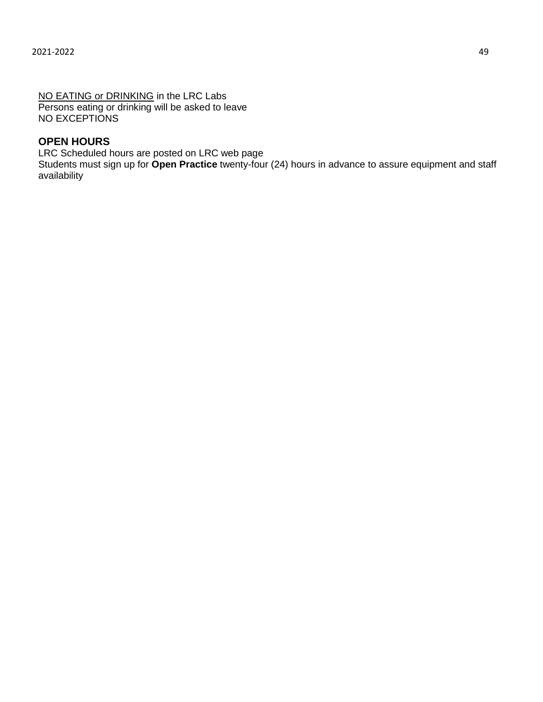NO EATING or DRINKING in the LRC Labs Persons eating or drinking will be asked to leave NO EXCEPTIONS

### **OPEN HOURS**

LRC Scheduled hours are posted on LRC web page Students must sign up for **Open Practice** twenty-four (24) hours in advance to assure equipment and staff availability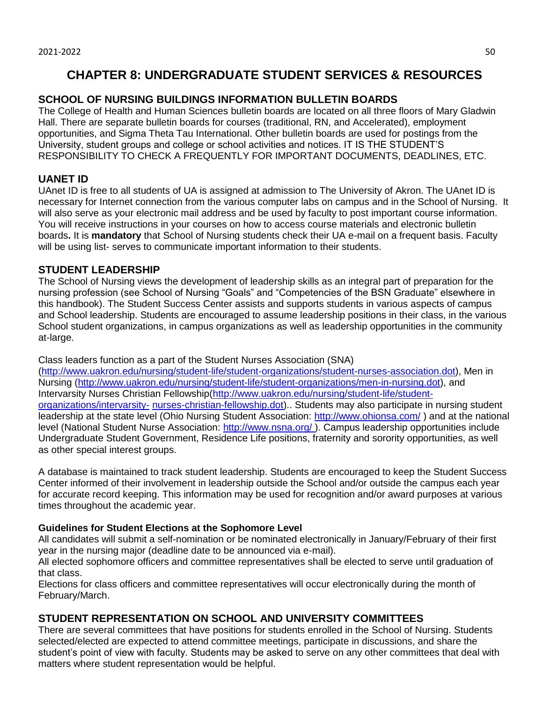# **CHAPTER 8: UNDERGRADUATE STUDENT SERVICES & RESOURCES**

# **SCHOOL OF NURSING BUILDINGS INFORMATION BULLETIN BOARDS**

The College of Health and Human Sciences bulletin boards are located on all three floors of Mary Gladwin Hall. There are separate bulletin boards for courses (traditional, RN, and Accelerated), employment opportunities, and Sigma Theta Tau International. Other bulletin boards are used for postings from the University, student groups and college or school activities and notices. IT IS THE STUDENT'S RESPONSIBILITY TO CHECK A FREQUENTLY FOR IMPORTANT DOCUMENTS, DEADLINES, ETC.

# **UANET ID**

UAnet ID is free to all students of UA is assigned at admission to The University of Akron. The UAnet ID is necessary for Internet connection from the various computer labs on campus and in the School of Nursing. It will also serve as your electronic mail address and be used by faculty to post important course information. You will receive instructions in your courses on how to access course materials and electronic bulletin boards**.** It is **mandatory** that School of Nursing students check their UA e-mail on a frequent basis. Faculty will be using list- serves to communicate important information to their students.

### **STUDENT LEADERSHIP**

The School of Nursing views the development of leadership skills as an integral part of preparation for the nursing profession (see School of Nursing "Goals" and "Competencies of the BSN Graduate" elsewhere in this handbook). The Student Success Center assists and supports students in various aspects of campus and School leadership. Students are encouraged to assume leadership positions in their class, in the various School student organizations, in campus organizations as well as leadership opportunities in the community at-large.

Class leaders function as a part of the Student Nurses Association (SNA)

[\(http://www.uakron.edu/nursing/student-life/student-organizations/student-nurses-association.dot\)](http://www.uakron.edu/nursing/student-life/student-organizations/student-nurses-association.dot), Men in Nursing [\(http://www.uakron.edu/nursing/student-life/student-organizations/men-in-nursing.dot\)](http://www.uakron.edu/nursing/student-life/student-organizations/men-in-nursing.dot), and Intervarsity Nurses Christian Fellowship[\(http://www.uakron.edu/nursing/student-life/student](http://www.uakron.edu/nursing/student-life/student-organizations/intervarsity-nurses-christian-fellowship.dot)[organizations/intervarsity-](http://www.uakron.edu/nursing/student-life/student-organizations/intervarsity-nurses-christian-fellowship.dot) [nurses-christian-fellowship.dot\)](http://www.uakron.edu/nursing/student-life/student-organizations/intervarsity-nurses-christian-fellowship.dot).. Students may also participate in nursing student leadership at the state level (Ohio Nursing Student Association:<http://www.ohionsa.com/>[\)](http://www.ohionsa.com/) and at the national level (National Student Nurse Association: [http://www.nsna.org/ \)](http://www.nsna.org/). Campus leadership opportunities include Undergraduate Student Government, Residence Life positions, fraternity and sorority opportunities, as well as other special interest groups.

A database is maintained to track student leadership. Students are encouraged to keep the Student Success Center informed of their involvement in leadership outside the School and/or outside the campus each year for accurate record keeping. This information may be used for recognition and/or award purposes at various times throughout the academic year.

#### **Guidelines for Student Elections at the Sophomore Level**

All candidates will submit a self-nomination or be nominated electronically in January/February of their first year in the nursing major (deadline date to be announced via e-mail).

All elected sophomore officers and committee representatives shall be elected to serve until graduation of that class.

Elections for class officers and committee representatives will occur electronically during the month of February/March.

# **STUDENT REPRESENTATION ON SCHOOL AND UNIVERSITY COMMITTEES**

There are several committees that have positions for students enrolled in the School of Nursing. Students selected/elected are expected to attend committee meetings, participate in discussions, and share the student's point of view with faculty. Students may be asked to serve on any other committees that deal with matters where student representation would be helpful.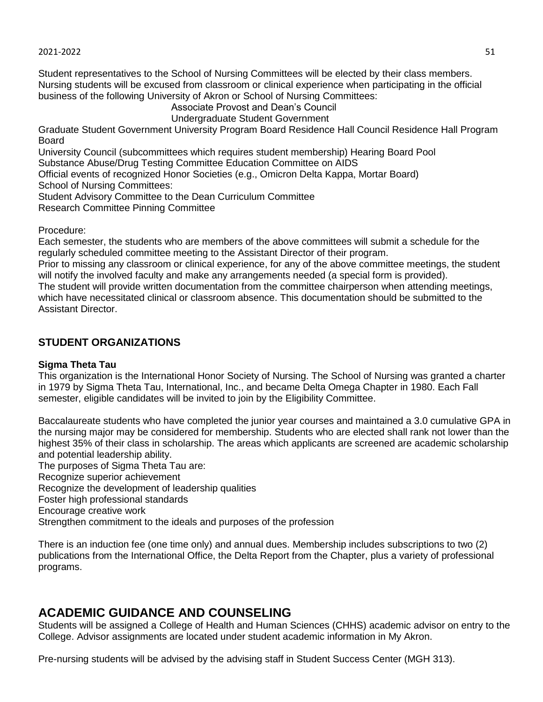Student representatives to the School of Nursing Committees will be elected by their class members. Nursing students will be excused from classroom or clinical experience when participating in the official business of the following University of Akron or School of Nursing Committees:

Associate Provost and Dean's Council

Undergraduate Student Government

Graduate Student Government University Program Board Residence Hall Council Residence Hall Program Board

University Council (subcommittees which requires student membership) Hearing Board Pool Substance Abuse/Drug Testing Committee Education Committee on AIDS

Official events of recognized Honor Societies (e.g., Omicron Delta Kappa, Mortar Board)

School of Nursing Committees:

Student Advisory Committee to the Dean Curriculum Committee

Research Committee Pinning Committee

Procedure:

Each semester, the students who are members of the above committees will submit a schedule for the regularly scheduled committee meeting to the Assistant Director of their program.

Prior to missing any classroom or clinical experience, for any of the above committee meetings, the student will notify the involved faculty and make any arrangements needed (a special form is provided).

The student will provide written documentation from the committee chairperson when attending meetings, which have necessitated clinical or classroom absence. This documentation should be submitted to the Assistant Director.

# **STUDENT ORGANIZATIONS**

#### **Sigma Theta Tau**

This organization is the International Honor Society of Nursing. The School of Nursing was granted a charter in 1979 by Sigma Theta Tau, International, Inc., and became Delta Omega Chapter in 1980. Each Fall semester, eligible candidates will be invited to join by the Eligibility Committee.

Baccalaureate students who have completed the junior year courses and maintained a 3.0 cumulative GPA in the nursing major may be considered for membership. Students who are elected shall rank not lower than the highest 35% of their class in scholarship. The areas which applicants are screened are academic scholarship and potential leadership ability.

The purposes of Sigma Theta Tau are:

Recognize superior achievement

Recognize the development of leadership qualities

Foster high professional standards

Encourage creative work

Strengthen commitment to the ideals and purposes of the profession

There is an induction fee (one time only) and annual dues. Membership includes subscriptions to two (2) publications from the International Office, the Delta Report from the Chapter, plus a variety of professional programs.

# **ACADEMIC GUIDANCE AND COUNSELING**

Students will be assigned a College of Health and Human Sciences (CHHS) academic advisor on entry to the College. Advisor assignments are located under student academic information in My Akron.

Pre-nursing students will be advised by the advising staff in Student Success Center (MGH 313).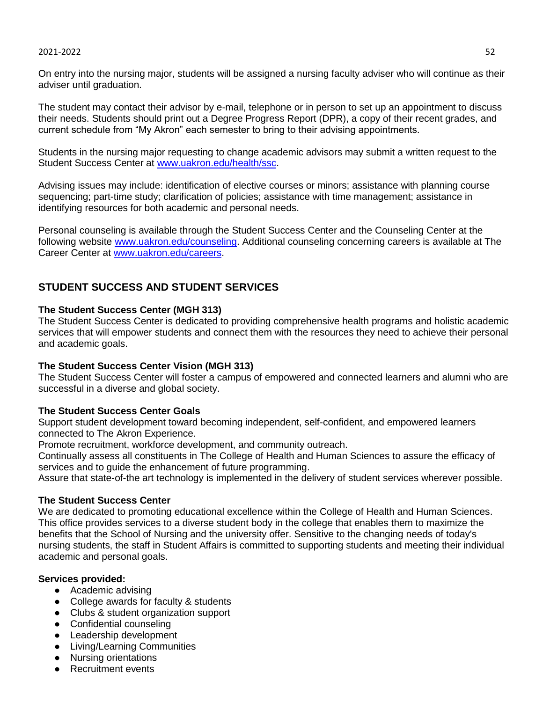On entry into the nursing major, students will be assigned a nursing faculty adviser who will continue as their adviser until graduation.

The student may contact their advisor by e-mail, telephone or in person to set up an appointment to discuss their needs. Students should print out a Degree Progress Report (DPR), a copy of their recent grades, and current schedule from "My Akron" each semester to bring to their advising appointments.

Students in the nursing major requesting to change academic advisors may submit a written request to the Student Success Center at [www.uakron.edu/health/ssc.](http://www.uakron.edu/health/ssc)

Advising issues may include: identification of elective courses or minors; assistance with planning course sequencing; part-time study; clarification of policies; assistance with time management; assistance in identifying resources for both academic and personal needs.

Personal counseling is available through the Student Success Center and the Counseling Center at the following website [www.uakron.edu/counseling. A](http://www.uakron.edu/counseling)dditional counseling concerning careers is available at The Career Center at [www.uakron.edu/careers.](http://www.uakron.edu/careers)

# **STUDENT SUCCESS AND STUDENT SERVICES**

#### **The Student Success Center (MGH 313)**

The Student Success Center is dedicated to providing comprehensive health programs and holistic academic services that will empower students and connect them with the resources they need to achieve their personal and academic goals.

#### **The Student Success Center Vision (MGH 313)**

The Student Success Center will foster a campus of empowered and connected learners and alumni who are successful in a diverse and global society.

#### **The Student Success Center Goals**

Support student development toward becoming independent, self-confident, and empowered learners connected to The Akron Experience.

Promote recruitment, workforce development, and community outreach.

Continually assess all constituents in The College of Health and Human Sciences to assure the efficacy of services and to guide the enhancement of future programming.

Assure that state-of-the art technology is implemented in the delivery of student services wherever possible.

#### **The Student Success Center**

We are dedicated to promoting educational excellence within the College of Health and Human Sciences. This office provides services to a diverse student body in the college that enables them to maximize the benefits that the School of Nursing and the university offer. Sensitive to the changing needs of today's nursing students, the staff in Student Affairs is committed to supporting students and meeting their individual academic and personal goals.

#### **Services provided:**

- Academic advising
- College awards for faculty & students
- Clubs & student organization support
- Confidential counseling
- Leadership development
- Living/Learning Communities
- Nursing orientations
- Recruitment events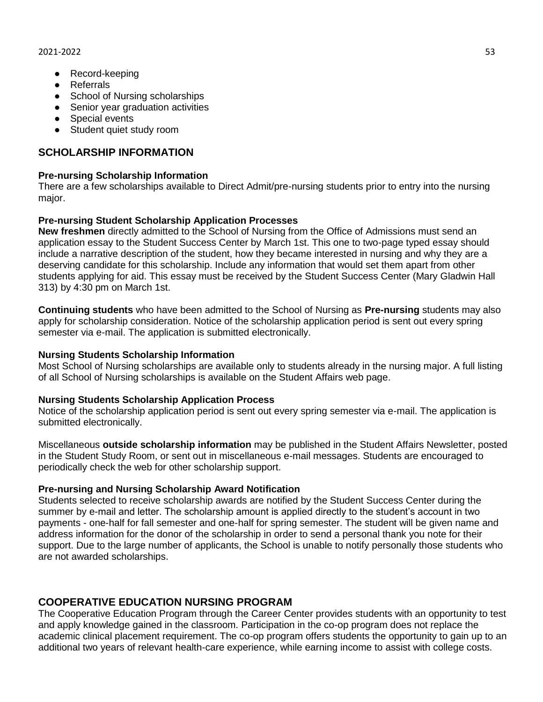- Record-keeping
- Referrals
- School of Nursing scholarships
- Senior year graduation activities
- Special events
- Student quiet study room

# **SCHOLARSHIP INFORMATION**

#### **Pre-nursing Scholarship Information**

There are a few scholarships available to Direct Admit/pre-nursing students prior to entry into the nursing major.

#### **Pre-nursing Student Scholarship Application Processes**

**New freshmen** directly admitted to the School of Nursing from the Office of Admissions must send an application essay to the Student Success Center by March 1st. This one to two-page typed essay should include a narrative description of the student, how they became interested in nursing and why they are a deserving candidate for this scholarship. Include any information that would set them apart from other students applying for aid. This essay must be received by the Student Success Center (Mary Gladwin Hall 313) by 4:30 pm on March 1st.

**Continuing students** who have been admitted to the School of Nursing as **Pre-nursing** students may also apply for scholarship consideration. Notice of the scholarship application period is sent out every spring semester via e-mail. The application is submitted electronically.

#### **Nursing Students Scholarship Information**

Most School of Nursing scholarships are available only to students already in the nursing major. A full listing of all School of Nursing scholarships is available on the Student Affairs web page.

#### **Nursing Students Scholarship Application Process**

Notice of the scholarship application period is sent out every spring semester via e-mail. The application is submitted electronically.

Miscellaneous **outside scholarship information** may be published in the Student Affairs Newsletter, posted in the Student Study Room, or sent out in miscellaneous e-mail messages. Students are encouraged to periodically check the web for other scholarship support.

#### **Pre-nursing and Nursing Scholarship Award Notification**

Students selected to receive scholarship awards are notified by the Student Success Center during the summer by e-mail and letter. The scholarship amount is applied directly to the student's account in two payments - one-half for fall semester and one-half for spring semester. The student will be given name and address information for the donor of the scholarship in order to send a personal thank you note for their support. Due to the large number of applicants, the School is unable to notify personally those students who are not awarded scholarships.

# **COOPERATIVE EDUCATION NURSING PROGRAM**

The Cooperative Education Program through the Career Center provides students with an opportunity to test and apply knowledge gained in the classroom. Participation in the co-op program does not replace the academic clinical placement requirement. The co-op program offers students the opportunity to gain up to an additional two years of relevant health-care experience, while earning income to assist with college costs.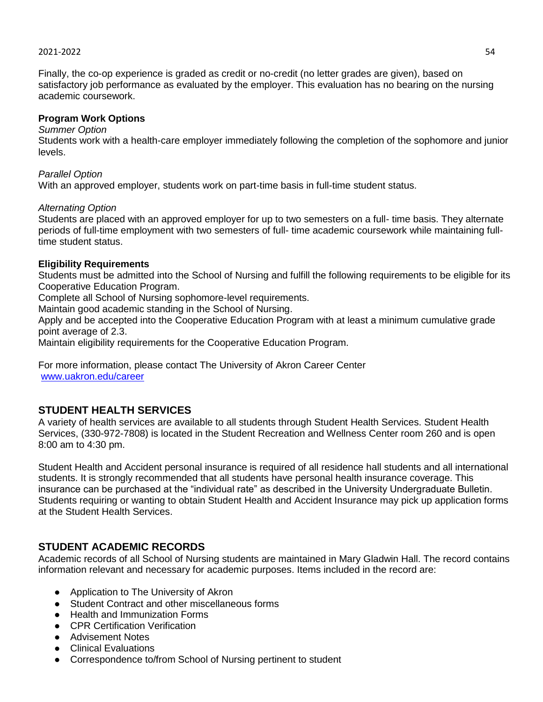Finally, the co-op experience is graded as credit or no-credit (no letter grades are given), based on satisfactory job performance as evaluated by the employer. This evaluation has no bearing on the nursing academic coursework.

#### **Program Work Options**

*Summer Option*

Students work with a health-care employer immediately following the completion of the sophomore and junior levels.

*Parallel Option*

With an approved employer, students work on part-time basis in full-time student status.

#### *Alternating Option*

Students are placed with an approved employer for up to two semesters on a full- time basis. They alternate periods of full-time employment with two semesters of full- time academic coursework while maintaining fulltime student status.

#### **Eligibility Requirements**

Students must be admitted into the School of Nursing and fulfill the following requirements to be eligible for its Cooperative Education Program.

Complete all School of Nursing sophomore-level requirements.

Maintain good academic standing in the School of Nursing.

Apply and be accepted into the Cooperative Education Program with at least a minimum cumulative grade point average of 2.3.

Maintain eligibility requirements for the Cooperative Education Program.

For more information, please contact The University of Akron Career Center [www.uakron.edu/career](http://www.uakron.edu/career)

# **STUDENT HEALTH SERVICES**

A variety of health services are available to all students through Student Health Services. Student Health Services, (330-972-7808) is located in the Student Recreation and Wellness Center room 260 and is open 8:00 am to 4:30 pm.

Student Health and Accident personal insurance is required of all residence hall students and all international students. It is strongly recommended that all students have personal health insurance coverage. This insurance can be purchased at the "individual rate" as described in the University Undergraduate Bulletin. Students requiring or wanting to obtain Student Health and Accident Insurance may pick up application forms at the Student Health Services.

# **STUDENT ACADEMIC RECORDS**

Academic records of all School of Nursing students are maintained in Mary Gladwin Hall. The record contains information relevant and necessary for academic purposes. Items included in the record are:

- Application to The University of Akron
- Student Contract and other miscellaneous forms
- Health and Immunization Forms
- CPR Certification Verification
- Advisement Notes
- Clinical Evaluations
- Correspondence to/from School of Nursing pertinent to student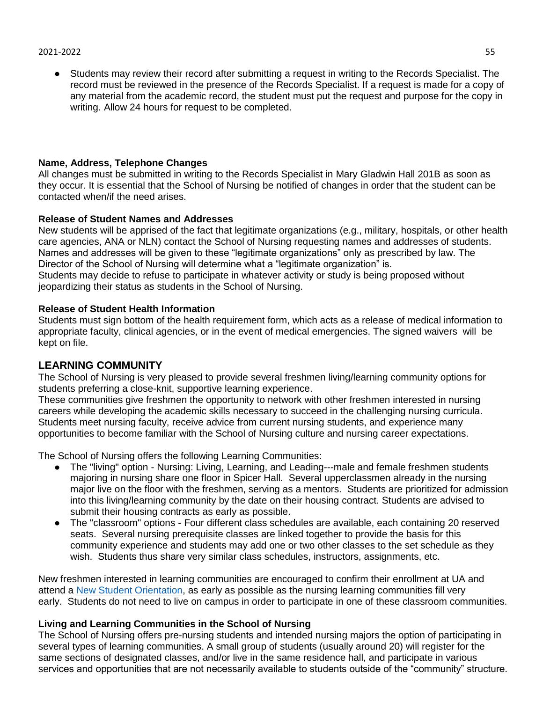● Students may review their record after submitting a request in writing to the Records Specialist. The record must be reviewed in the presence of the Records Specialist. If a request is made for a copy of any material from the academic record, the student must put the request and purpose for the copy in writing. Allow 24 hours for request to be completed.

#### **Name, Address, Telephone Changes**

All changes must be submitted in writing to the Records Specialist in Mary Gladwin Hall 201B as soon as they occur. It is essential that the School of Nursing be notified of changes in order that the student can be contacted when/if the need arises.

#### **Release of Student Names and Addresses**

New students will be apprised of the fact that legitimate organizations (e.g., military, hospitals, or other health care agencies, ANA or NLN) contact the School of Nursing requesting names and addresses of students. Names and addresses will be given to these "legitimate organizations" only as prescribed by law. The Director of the School of Nursing will determine what a "legitimate organization" is.

Students may decide to refuse to participate in whatever activity or study is being proposed without jeopardizing their status as students in the School of Nursing.

#### **Release of Student Health Information**

Students must sign bottom of the health requirement form, which acts as a release of medical information to appropriate faculty, clinical agencies, or in the event of medical emergencies. The signed waivers will be kept on file.

#### **LEARNING COMMUNITY**

The School of Nursing is very pleased to provide several freshmen living/learning community options for students preferring a close-knit, supportive learning experience.

These communities give freshmen the opportunity to network with other freshmen interested in nursing careers while developing the academic skills necessary to succeed in the challenging nursing curricula. Students meet nursing faculty, receive advice from current nursing students, and experience many opportunities to become familiar with the School of Nursing culture and nursing career expectations.

The School of Nursing offers the following Learning Communities:

- The "living" option Nursing: Living, Learning, and Leading---male and female freshmen students majoring in nursing share one floor in Spicer Hall. Several upperclassmen already in the nursing major live on the floor with the freshmen, serving as a mentors. Students are prioritized for admission into this living/learning community by the date on their housing contract. Students are advised to submit their housing contracts as early as possible.
- The "classroom" options Four different class schedules are available, each containing 20 reserved seats. Several nursing prerequisite classes are linked together to provide the basis for this community experience and students may add one or two other classes to the set schedule as they wish. Students thus share very similar class schedules, instructors, assignments, etc.

New freshmen interested in learning communities are encouraged to confirm their enrollment at UA and attend a [New Student Orientation,](https://www.uakron.edu/nursing/student-life/orientation.dot) as early as possible as the nursing learning communities fill very early. Students do not need to live on campus in order to participate in one of these classroom communities.

#### **Living and Learning Communities in the School of Nursing**

The School of Nursing offers pre-nursing students and intended nursing majors the option of participating in several types of learning communities. A small group of students (usually around 20) will register for the same sections of designated classes, and/or live in the same residence hall, and participate in various services and opportunities that are not necessarily available to students outside of the "community" structure.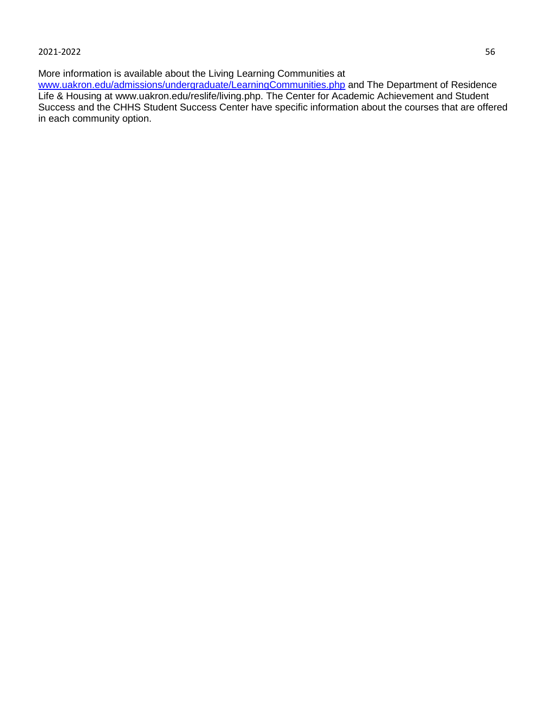More information is available about the Living Learning Communities at

[www.uakron.edu/admissions/undergraduate/LearningCommunities.php](http://www.uakron.edu/admissions/undergraduate/LearningCommunities.php) and The Department of Residence Life & Hou[sing at www.uakron.edu/reslife/living.php. T](http://www.uakron.edu/reslife/living.php)he Center for Academic Achievement and Student Success and the CHHS Student Success Center have specific information about the courses that are offered in each community option.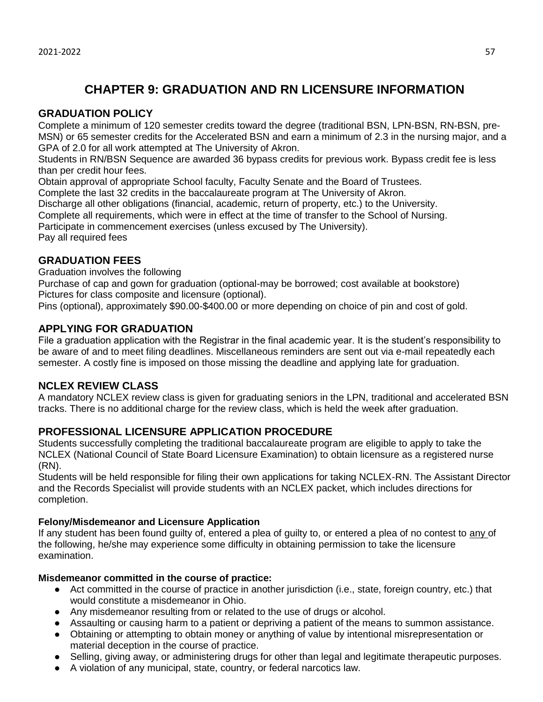# **CHAPTER 9: GRADUATION AND RN LICENSURE INFORMATION**

# **GRADUATION POLICY**

Complete a minimum of 120 semester credits toward the degree (traditional BSN, LPN-BSN, RN-BSN, pre-MSN) or 65 semester credits for the Accelerated BSN and earn a minimum of 2.3 in the nursing major, and a GPA of 2.0 for all work attempted at The University of Akron.

Students in RN/BSN Sequence are awarded 36 bypass credits for previous work. Bypass credit fee is less than per credit hour fees.

Obtain approval of appropriate School faculty, Faculty Senate and the Board of Trustees.

Complete the last 32 credits in the baccalaureate program at The University of Akron.

Discharge all other obligations (financial, academic, return of property, etc.) to the University.

Complete all requirements, which were in effect at the time of transfer to the School of Nursing.

Participate in commencement exercises (unless excused by The University).

Pay all required fees

# **GRADUATION FEES**

Graduation involves the following

Purchase of cap and gown for graduation (optional-may be borrowed; cost available at bookstore) Pictures for class composite and licensure (optional).

Pins (optional), approximately \$90.00-\$400.00 or more depending on choice of pin and cost of gold.

# **APPLYING FOR GRADUATION**

File a graduation application with the Registrar in the final academic year. It is the student's responsibility to be aware of and to meet filing deadlines. Miscellaneous reminders are sent out via e-mail repeatedly each semester. A costly fine is imposed on those missing the deadline and applying late for graduation.

# **NCLEX REVIEW CLASS**

A mandatory NCLEX review class is given for graduating seniors in the LPN, traditional and accelerated BSN tracks. There is no additional charge for the review class, which is held the week after graduation.

# **PROFESSIONAL LICENSURE APPLICATION PROCEDURE**

Students successfully completing the traditional baccalaureate program are eligible to apply to take the NCLEX (National Council of State Board Licensure Examination) to obtain licensure as a registered nurse (RN).

Students will be held responsible for filing their own applications for taking NCLEX-RN. The Assistant Director and the Records Specialist will provide students with an NCLEX packet, which includes directions for completion.

# **Felony/Misdemeanor and Licensure Application**

If any student has been found guilty of, entered a plea of guilty to, or entered a plea of no contest to any of the following, he/she may experience some difficulty in obtaining permission to take the licensure examination.

# **Misdemeanor committed in the course of practice:**

- Act committed in the course of practice in another jurisdiction (i.e., state, foreign country, etc.) that would constitute a misdemeanor in Ohio.
- Any misdemeanor resulting from or related to the use of drugs or alcohol.
- Assaulting or causing harm to a patient or depriving a patient of the means to summon assistance.
- Obtaining or attempting to obtain money or anything of value by intentional misrepresentation or material deception in the course of practice.
- Selling, giving away, or administering drugs for other than legal and legitimate therapeutic purposes.
- A violation of any municipal, state, country, or federal narcotics law.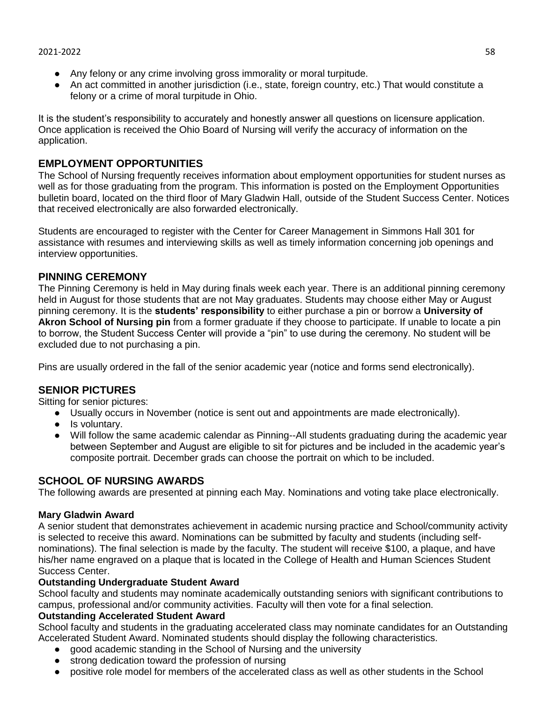- Any felony or any crime involving gross immorality or moral turpitude.
- An act committed in another jurisdiction (i.e., state, foreign country, etc.) That would constitute a felony or a crime of moral turpitude in Ohio.

It is the student's responsibility to accurately and honestly answer all questions on licensure application. Once application is received the Ohio Board of Nursing will verify the accuracy of information on the application.

# **EMPLOYMENT OPPORTUNITIES**

The School of Nursing frequently receives information about employment opportunities for student nurses as well as for those graduating from the program. This information is posted on the Employment Opportunities bulletin board, located on the third floor of Mary Gladwin Hall, outside of the Student Success Center. Notices that received electronically are also forwarded electronically.

Students are encouraged to register with the Center for Career Management in Simmons Hall 301 for assistance with resumes and interviewing skills as well as timely information concerning job openings and interview opportunities.

# **PINNING CEREMONY**

The Pinning Ceremony is held in May during finals week each year. There is an additional pinning ceremony held in August for those students that are not May graduates. Students may choose either May or August pinning ceremony. It is the **students' responsibility** to either purchase a pin or borrow a **University of Akron School of Nursing pin** from a former graduate if they choose to participate. If unable to locate a pin to borrow, the Student Success Center will provide a "pin" to use during the ceremony. No student will be excluded due to not purchasing a pin.

Pins are usually ordered in the fall of the senior academic year (notice and forms send electronically).

# **SENIOR PICTURES**

Sitting for senior pictures:

- Usually occurs in November (notice is sent out and appointments are made electronically).
- Is voluntary.
- Will follow the same academic calendar as Pinning--All students graduating during the academic year between September and August are eligible to sit for pictures and be included in the academic year's composite portrait. December grads can choose the portrait on which to be included.

# **SCHOOL OF NURSING AWARDS**

The following awards are presented at pinning each May. Nominations and voting take place electronically.

#### **Mary Gladwin Award**

A senior student that demonstrates achievement in academic nursing practice and School/community activity is selected to receive this award. Nominations can be submitted by faculty and students (including selfnominations). The final selection is made by the faculty. The student will receive \$100, a plaque, and have his/her name engraved on a plaque that is located in the College of Health and Human Sciences Student Success Center.

#### **Outstanding Undergraduate Student Award**

School faculty and students may nominate academically outstanding seniors with significant contributions to campus, professional and/or community activities. Faculty will then vote for a final selection.

#### **Outstanding Accelerated Student Award**

School faculty and students in the graduating accelerated class may nominate candidates for an Outstanding Accelerated Student Award. Nominated students should display the following characteristics.

- good academic standing in the School of Nursing and the university
- strong dedication toward the profession of nursing
- positive role model for members of the accelerated class as well as other students in the School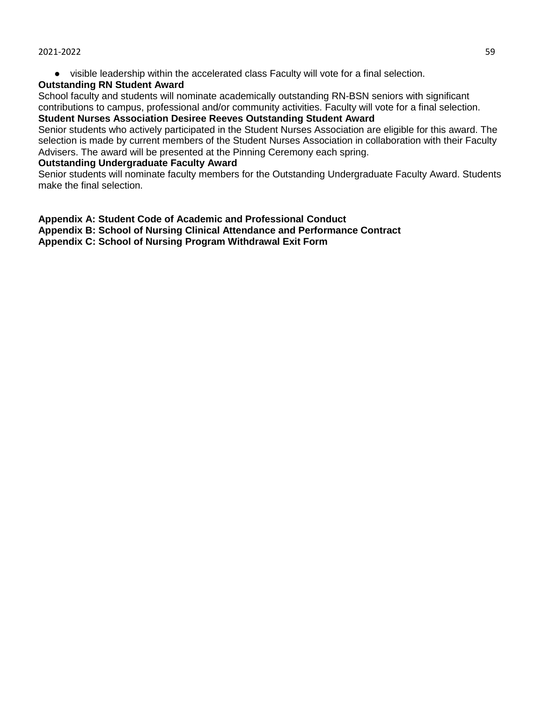● visible leadership within the accelerated class Faculty will vote for a final selection.

### **Outstanding RN Student Award**

School faculty and students will nominate academically outstanding RN-BSN seniors with significant contributions to campus, professional and/or community activities. Faculty will vote for a final selection.

# **Student Nurses Association Desiree Reeves Outstanding Student Award**

Senior students who actively participated in the Student Nurses Association are eligible for this award. The selection is made by current members of the Student Nurses Association in collaboration with their Faculty Advisers. The award will be presented at the Pinning Ceremony each spring.

#### **Outstanding Undergraduate Faculty Award**

Senior students will nominate faculty members for the Outstanding Undergraduate Faculty Award. Students make the final selection.

**Appendix A: Student Code of Academic and Professional Conduct Appendix B: School of Nursing Clinical Attendance and Performance Contract Appendix C: School of Nursing Program Withdrawal Exit Form**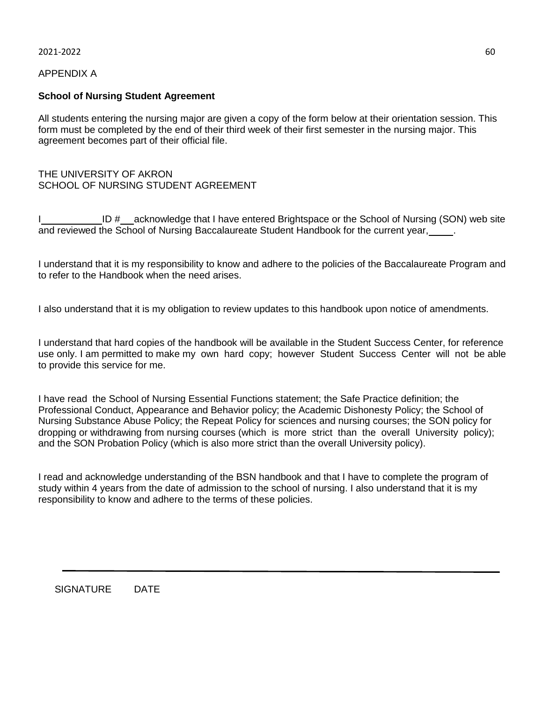APPENDIX A

#### **School of Nursing Student Agreement**

All students entering the nursing major are given a copy of the form below at their orientation session. This form must be completed by the end of their third week of their first semester in the nursing major. This agreement becomes part of their official file.

THE UNIVERSITY OF AKRON SCHOOL OF NURSING STUDENT AGREEMENT

I ID # acknowledge that I have entered Brightspace or the School of Nursing (SON) web site and reviewed the School of Nursing Baccalaureate Student Handbook for the current year,  $\overline{\phantom{a}}$ .

I understand that it is my responsibility to know and adhere to the policies of the Baccalaureate Program and to refer to the Handbook when the need arises.

I also understand that it is my obligation to review updates to this handbook upon notice of amendments.

I understand that hard copies of the handbook will be available in the Student Success Center, for reference use only. I am permitted to make my own hard copy; however Student Success Center will not be able to provide this service for me.

I have read the School of Nursing Essential Functions statement; the Safe Practice definition; the Professional Conduct, Appearance and Behavior policy; the Academic Dishonesty Policy; the School of Nursing Substance Abuse Policy; the Repeat Policy for sciences and nursing courses; the SON policy for dropping or withdrawing from nursing courses (which is more strict than the overall University policy); and the SON Probation Policy (which is also more strict than the overall University policy).

I read and acknowledge understanding of the BSN handbook and that I have to complete the program of study within 4 years from the date of admission to the school of nursing. I also understand that it is my responsibility to know and adhere to the terms of these policies.

# SIGNATURE DATE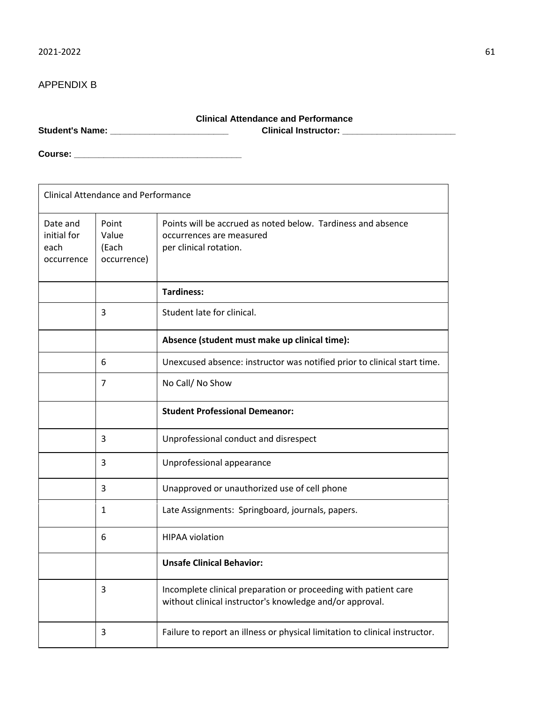| 2021-2022 | 61 |
|-----------|----|
|           |    |

# APPENDIX B

#### **Clinical Attendance and Performance**

**Student's Name: \_\_\_\_\_\_\_\_\_\_\_\_\_\_\_\_\_\_\_\_\_\_\_\_ Clinical Instructor: \_\_\_\_\_\_\_\_\_\_\_\_\_\_\_\_\_\_\_\_\_\_\_**

**Course: \_\_\_\_\_\_\_\_\_\_\_\_\_\_\_\_\_\_\_\_\_\_\_\_\_\_\_\_\_\_\_\_\_\_** 

|                                               | <b>Clinical Attendance and Performance</b> |                                                                                                                             |
|-----------------------------------------------|--------------------------------------------|-----------------------------------------------------------------------------------------------------------------------------|
| Date and<br>initial for<br>each<br>occurrence | Point<br>Value<br>(Each<br>occurrence)     | Points will be accrued as noted below. Tardiness and absence<br>occurrences are measured<br>per clinical rotation.          |
|                                               |                                            | <b>Tardiness:</b>                                                                                                           |
|                                               | 3                                          | Student late for clinical.                                                                                                  |
|                                               |                                            | Absence (student must make up clinical time):                                                                               |
|                                               | 6                                          | Unexcused absence: instructor was notified prior to clinical start time.                                                    |
|                                               | 7                                          | No Call/ No Show                                                                                                            |
|                                               |                                            | <b>Student Professional Demeanor:</b>                                                                                       |
|                                               | 3                                          | Unprofessional conduct and disrespect                                                                                       |
|                                               | 3                                          | Unprofessional appearance                                                                                                   |
|                                               | 3                                          | Unapproved or unauthorized use of cell phone                                                                                |
|                                               | 1                                          | Late Assignments: Springboard, journals, papers.                                                                            |
|                                               | 6                                          | <b>HIPAA</b> violation                                                                                                      |
|                                               |                                            | <b>Unsafe Clinical Behavior:</b>                                                                                            |
|                                               | 3                                          | Incomplete clinical preparation or proceeding with patient care<br>without clinical instructor's knowledge and/or approval. |
|                                               | 3                                          | Failure to report an illness or physical limitation to clinical instructor.                                                 |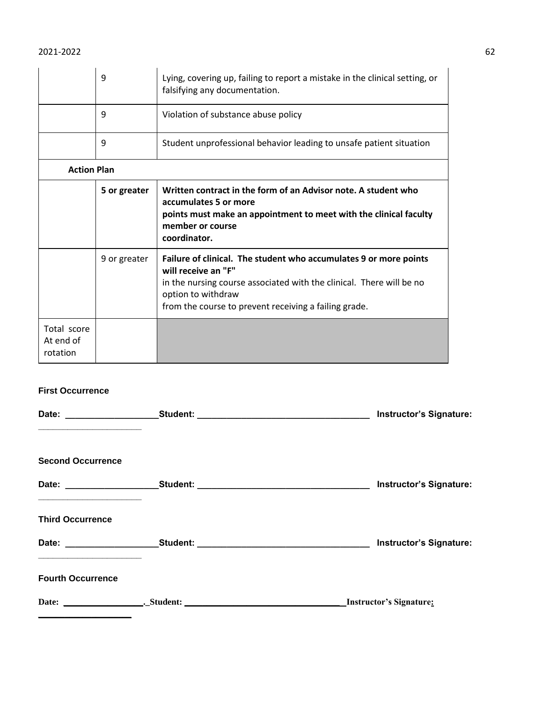|                                      | 9            | Lying, covering up, failing to report a mistake in the clinical setting, or<br>falsifying any documentation.                                                                                                                                    |
|--------------------------------------|--------------|-------------------------------------------------------------------------------------------------------------------------------------------------------------------------------------------------------------------------------------------------|
|                                      | 9            | Violation of substance abuse policy                                                                                                                                                                                                             |
|                                      | 9            | Student unprofessional behavior leading to unsafe patient situation                                                                                                                                                                             |
| <b>Action Plan</b>                   |              |                                                                                                                                                                                                                                                 |
|                                      | 5 or greater | Written contract in the form of an Advisor note. A student who<br>accumulates 5 or more<br>points must make an appointment to meet with the clinical faculty<br>member or course<br>coordinator.                                                |
|                                      | 9 or greater | Failure of clinical. The student who accumulates 9 or more points<br>will receive an "F"<br>in the nursing course associated with the clinical. There will be no<br>option to withdraw<br>from the course to prevent receiving a failing grade. |
| Total score<br>At end of<br>rotation |              |                                                                                                                                                                                                                                                 |

#### **First Occurrence**

|                                                                                                                                                                                                                                      |                                                                                                                                                                                                                               | <b>Instructor's Signature:</b> |
|--------------------------------------------------------------------------------------------------------------------------------------------------------------------------------------------------------------------------------------|-------------------------------------------------------------------------------------------------------------------------------------------------------------------------------------------------------------------------------|--------------------------------|
| <b>Second Occurrence</b>                                                                                                                                                                                                             |                                                                                                                                                                                                                               |                                |
|                                                                                                                                                                                                                                      |                                                                                                                                                                                                                               | <b>Instructor's Signature:</b> |
| <b>Third Occurrence</b>                                                                                                                                                                                                              |                                                                                                                                                                                                                               |                                |
|                                                                                                                                                                                                                                      | Date: Student: Student: Student: Student: Student: Student: Student: Student: Student: Student: Student: Student: Student: Student: Student: Student: Student: Student: Student: Student: Student: Student: Student: Student: | <b>Instructor's Signature:</b> |
| <b>Fourth Occurrence</b>                                                                                                                                                                                                             |                                                                                                                                                                                                                               |                                |
| <u>in de la companya de la companya de la companya de la companya de la companya de la companya de la companya de la companya de la companya de la companya de la companya de la companya de la companya de la companya de la co</u> |                                                                                                                                                                                                                               |                                |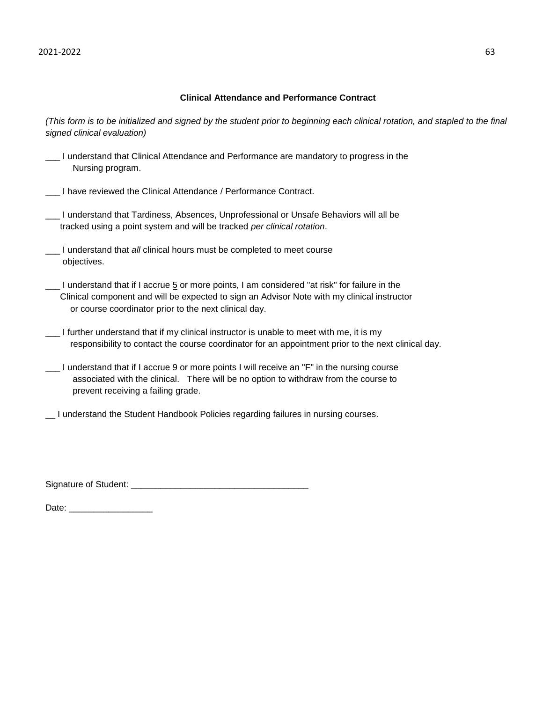#### **Clinical Attendance and Performance Contract**

*(This form is to be initialized and signed by the student prior to beginning each clinical rotation, and stapled to the final signed clinical evaluation)*

- \_\_\_ I understand that Clinical Attendance and Performance are mandatory to progress in the Nursing program.
- **\_\_\_ I have reviewed the Clinical Attendance / Performance Contract.**
- \_\_\_ I understand that Tardiness, Absences, Unprofessional or Unsafe Behaviors will all be tracked using a point system and will be tracked *per clinical rotation*.
- \_\_\_ I understand that *all* clinical hours must be completed to meet course objectives.
- $\_\_$ I understand that if I accrue 5 or more points, I am considered "at risk" for failure in the Clinical component and will be expected to sign an Advisor Note with my clinical instructor or course coordinator prior to the next clinical day.
- \_\_\_ I further understand that if my clinical instructor is unable to meet with me, it is my responsibility to contact the course coordinator for an appointment prior to the next clinical day.
- \_\_\_ I understand that if I accrue 9 or more points I will receive an "F" in the nursing course associated with the clinical. There will be no option to withdraw from the course to prevent receiving a failing grade.
- \_\_ I understand the Student Handbook Policies regarding failures in nursing courses.

Signature of Student:

Date: \_\_\_\_\_\_\_\_\_\_\_\_\_\_\_\_\_